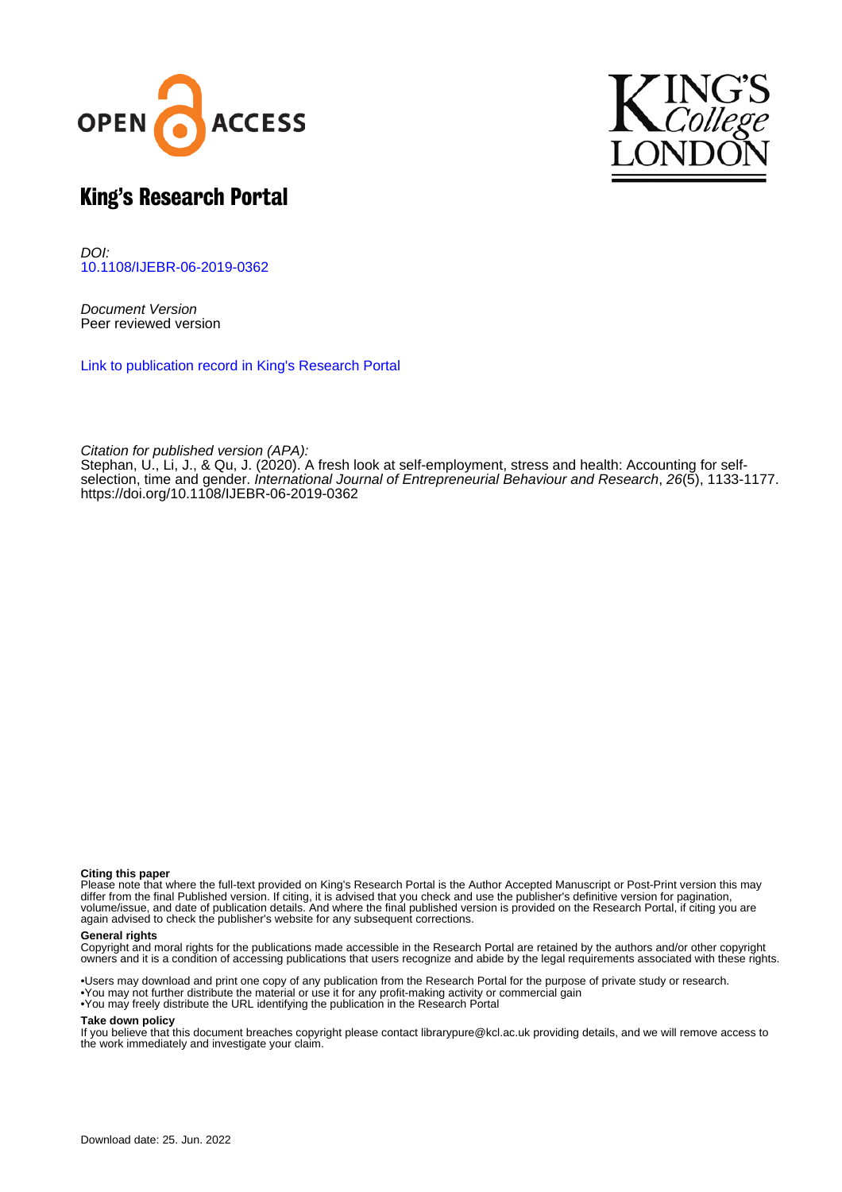



# King's Research Portal

DOI: [10.1108/IJEBR-06-2019-0362](https://doi.org/10.1108/IJEBR-06-2019-0362)

Document Version Peer reviewed version

[Link to publication record in King's Research Portal](https://kclpure.kcl.ac.uk/portal/en/publications/a-fresh-look-at-selfemployment-stress-and-health(6f677cb8-c01a-4310-8eab-945b3a0b8df9).html)

Citation for published version (APA):

[Stephan, U.,](/portal/ute.stephan.html) Li, J., & Qu, J. (2020). [A fresh look at self-employment, stress and health: Accounting for self](https://kclpure.kcl.ac.uk/portal/en/publications/a-fresh-look-at-selfemployment-stress-and-health(6f677cb8-c01a-4310-8eab-945b3a0b8df9).html)[selection, time and gender](https://kclpure.kcl.ac.uk/portal/en/publications/a-fresh-look-at-selfemployment-stress-and-health(6f677cb8-c01a-4310-8eab-945b3a0b8df9).html). *[International Journal of Entrepreneurial Behaviour and Research](https://kclpure.kcl.ac.uk/portal/en/journals/international-journal-of-entrepreneurial-behaviour-and-research(d4fbd7ce-4a31-426f-8e28-a05b1e6c9aea).html), 26*(5), 1133-1177. <https://doi.org/10.1108/IJEBR-06-2019-0362>

#### **Citing this paper**

Please note that where the full-text provided on King's Research Portal is the Author Accepted Manuscript or Post-Print version this may differ from the final Published version. If citing, it is advised that you check and use the publisher's definitive version for pagination, volume/issue, and date of publication details. And where the final published version is provided on the Research Portal, if citing you are again advised to check the publisher's website for any subsequent corrections.

#### **General rights**

Copyright and moral rights for the publications made accessible in the Research Portal are retained by the authors and/or other copyright owners and it is a condition of accessing publications that users recognize and abide by the legal requirements associated with these rights.

•Users may download and print one copy of any publication from the Research Portal for the purpose of private study or research. •You may not further distribute the material or use it for any profit-making activity or commercial gain •You may freely distribute the URL identifying the publication in the Research Portal

#### **Take down policy**

If you believe that this document breaches copyright please contact librarypure@kcl.ac.uk providing details, and we will remove access to the work immediately and investigate your claim.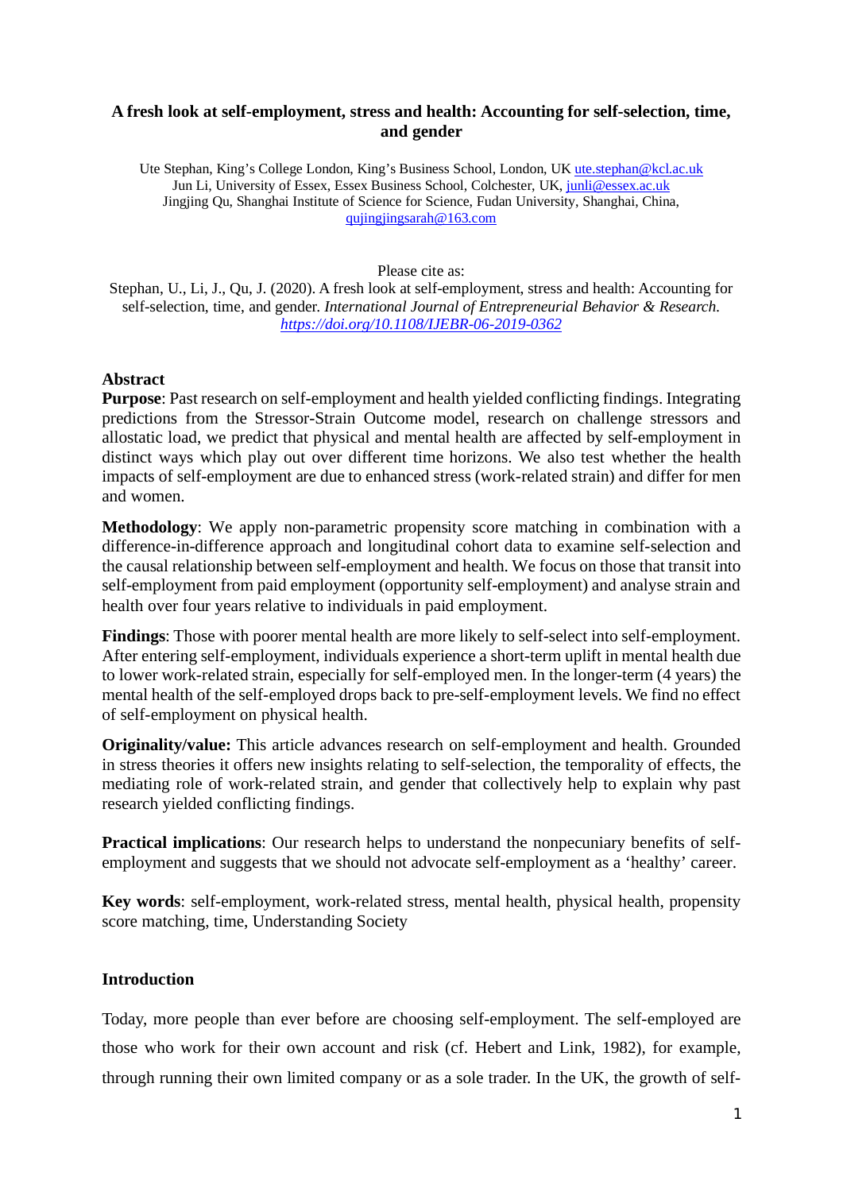# **A fresh look at self-employment, stress and health: Accounting for self-selection, time, and gender**

Ute Stephan, King's College London, King's Business School, London, UK ute.stephan@kcl.ac.uk Jun Li, University of Essex, Essex Business School, Colchester, UK, junli@essex.ac.uk Jingjing Qu, Shanghai Institute of Science for Science, Fudan University, Shanghai, China, qujingjingsarah@163.com

Please cite as:

Stephan, U., Li, J., Qu, J. (2020). A fresh look at self-employment, stress and health: Accounting for self-selection, time, and gender. *International Journal of Entrepreneurial Behavior & Research. https://doi.org/10.1108/IJEBR-06-2019-0362*

# **Abstract**

**Purpose**: Past research on self-employment and health yielded conflicting findings. Integrating predictions from the Stressor-Strain Outcome model, research on challenge stressors and allostatic load, we predict that physical and mental health are affected by self-employment in distinct ways which play out over different time horizons. We also test whether the health impacts of self-employment are due to enhanced stress (work-related strain) and differ for men and women.

**Methodology**: We apply non-parametric propensity score matching in combination with a difference-in-difference approach and longitudinal cohort data to examine self-selection and the causal relationship between self-employment and health. We focus on those that transit into self-employment from paid employment (opportunity self-employment) and analyse strain and health over four years relative to individuals in paid employment.

**Findings**: Those with poorer mental health are more likely to self-select into self-employment. After entering self-employment, individuals experience a short-term uplift in mental health due to lower work-related strain, especially for self-employed men. In the longer-term (4 years) the mental health of the self-employed drops back to pre-self-employment levels. We find no effect of self-employment on physical health.

**Originality/value:** This article advances research on self-employment and health. Grounded in stress theories it offers new insights relating to self-selection, the temporality of effects, the mediating role of work-related strain, and gender that collectively help to explain why past research yielded conflicting findings.

**Practical implications**: Our research helps to understand the nonpecuniary benefits of selfemployment and suggests that we should not advocate self-employment as a 'healthy' career.

**Key words**: self-employment, work-related stress, mental health, physical health, propensity score matching, time, Understanding Society

# **Introduction**

Today, more people than ever before are choosing self-employment. The self-employed are those who work for their own account and risk (cf. Hebert and Link, 1982), for example, through running their own limited company or as a sole trader. In the UK, the growth of self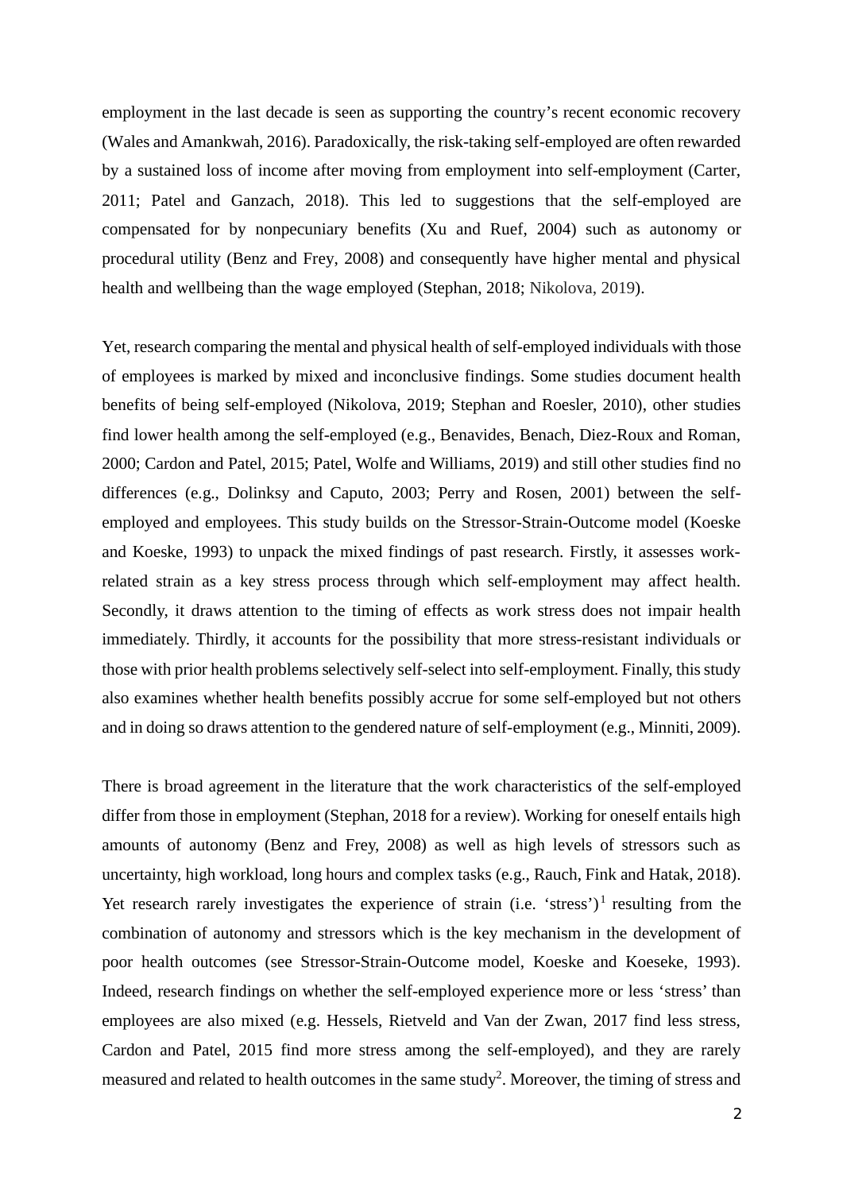employment in the last decade is seen as supporting the country's recent economic recovery (Wales and Amankwah, 2016). Paradoxically, the risk-taking self-employed are often rewarded by a sustained loss of income after moving from employment into self-employment (Carter, 2011; Patel and Ganzach, 2018). This led to suggestions that the self-employed are compensated for by nonpecuniary benefits (Xu and Ruef, 2004) such as autonomy or procedural utility (Benz and Frey, 2008) and consequently have higher mental and physical health and wellbeing than the wage employed (Stephan, 2018; Nikolova, 2019).

Yet, research comparing the mental and physical health of self-employed individuals with those of employees is marked by mixed and inconclusive findings. Some studies document health benefits of being self-employed (Nikolova, 2019; Stephan and Roesler, 2010), other studies find lower health among the self-employed (e.g., Benavides, Benach, Diez-Roux and Roman, 2000; Cardon and Patel, 2015; Patel, Wolfe and Williams, 2019) and still other studies find no differences (e.g., Dolinksy and Caputo, 2003; Perry and Rosen, 2001) between the selfemployed and employees. This study builds on the Stressor-Strain-Outcome model (Koeske and Koeske, 1993) to unpack the mixed findings of past research. Firstly, it assesses workrelated strain as a key stress process through which self-employment may affect health. Secondly, it draws attention to the timing of effects as work stress does not impair health immediately. Thirdly, it accounts for the possibility that more stress-resistant individuals or those with prior health problems selectively self-select into self-employment. Finally, this study also examines whether health benefits possibly accrue for some self-employed but not others and in doing so draws attention to the gendered nature of self-employment (e.g., Minniti, 2009).

There is broad agreement in the literature that the work characteristics of the self-employed differ from those in employment (Stephan, 2018 for a review). Working for oneself entails high amounts of autonomy (Benz and Frey, 2008) as well as high levels of stressors such as uncertainty, high workload, long hours and complex tasks (e.g., Rauch, Fink and Hatak, 2018). Yet research rarely investigates the experience of strain (i.e. 'stress')<sup>1</sup> resulting from the combination of autonomy and stressors which is the key mechanism in the development of poor health outcomes (see Stressor-Strain-Outcome model, Koeske and Koeseke, 1993). Indeed, research findings on whether the self-employed experience more or less 'stress' than employees are also mixed (e.g. Hessels, Rietveld and Van der Zwan, 2017 find less stress, Cardon and Patel, 2015 find more stress among the self-employed), and they are rarely measured and related to health outcomes in the same study<sup>2</sup>. Moreover, the timing of stress and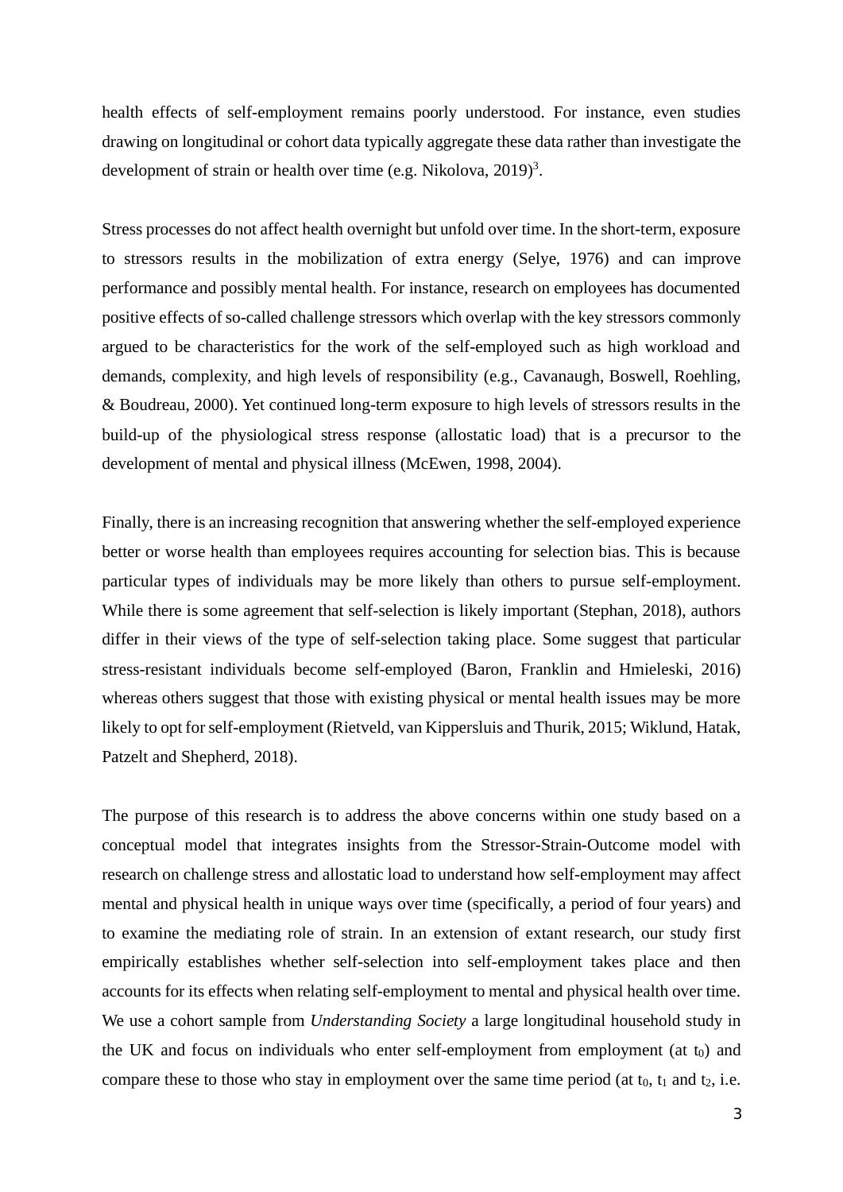health effects of self-employment remains poorly understood. For instance, even studies drawing on longitudinal or cohort data typically aggregate these data rather than investigate the development of strain or health over time (e.g. Nikolova,  $2019$ )<sup>3</sup>.

Stress processes do not affect health overnight but unfold over time. In the short-term, exposure to stressors results in the mobilization of extra energy (Selye, 1976) and can improve performance and possibly mental health. For instance, research on employees has documented positive effects of so-called challenge stressors which overlap with the key stressors commonly argued to be characteristics for the work of the self-employed such as high workload and demands, complexity, and high levels of responsibility (e.g., Cavanaugh, Boswell, Roehling, & Boudreau, 2000). Yet continued long-term exposure to high levels of stressors results in the build-up of the physiological stress response (allostatic load) that is a precursor to the development of mental and physical illness (McEwen, 1998, 2004).

Finally, there is an increasing recognition that answering whether the self-employed experience better or worse health than employees requires accounting for selection bias. This is because particular types of individuals may be more likely than others to pursue self-employment. While there is some agreement that self-selection is likely important (Stephan, 2018), authors differ in their views of the type of self-selection taking place. Some suggest that particular stress-resistant individuals become self-employed (Baron, Franklin and Hmieleski, 2016) whereas others suggest that those with existing physical or mental health issues may be more likely to opt for self-employment (Rietveld, van Kippersluis and Thurik, 2015; Wiklund, Hatak, Patzelt and Shepherd, 2018).

The purpose of this research is to address the above concerns within one study based on a conceptual model that integrates insights from the Stressor-Strain-Outcome model with research on challenge stress and allostatic load to understand how self-employment may affect mental and physical health in unique ways over time (specifically, a period of four years) and to examine the mediating role of strain. In an extension of extant research, our study first empirically establishes whether self-selection into self-employment takes place and then accounts for its effects when relating self-employment to mental and physical health over time. We use a cohort sample from *Understanding Society* a large longitudinal household study in the UK and focus on individuals who enter self-employment from employment (at  $t_0$ ) and compare these to those who stay in employment over the same time period (at  $t_0$ ,  $t_1$  and  $t_2$ , i.e.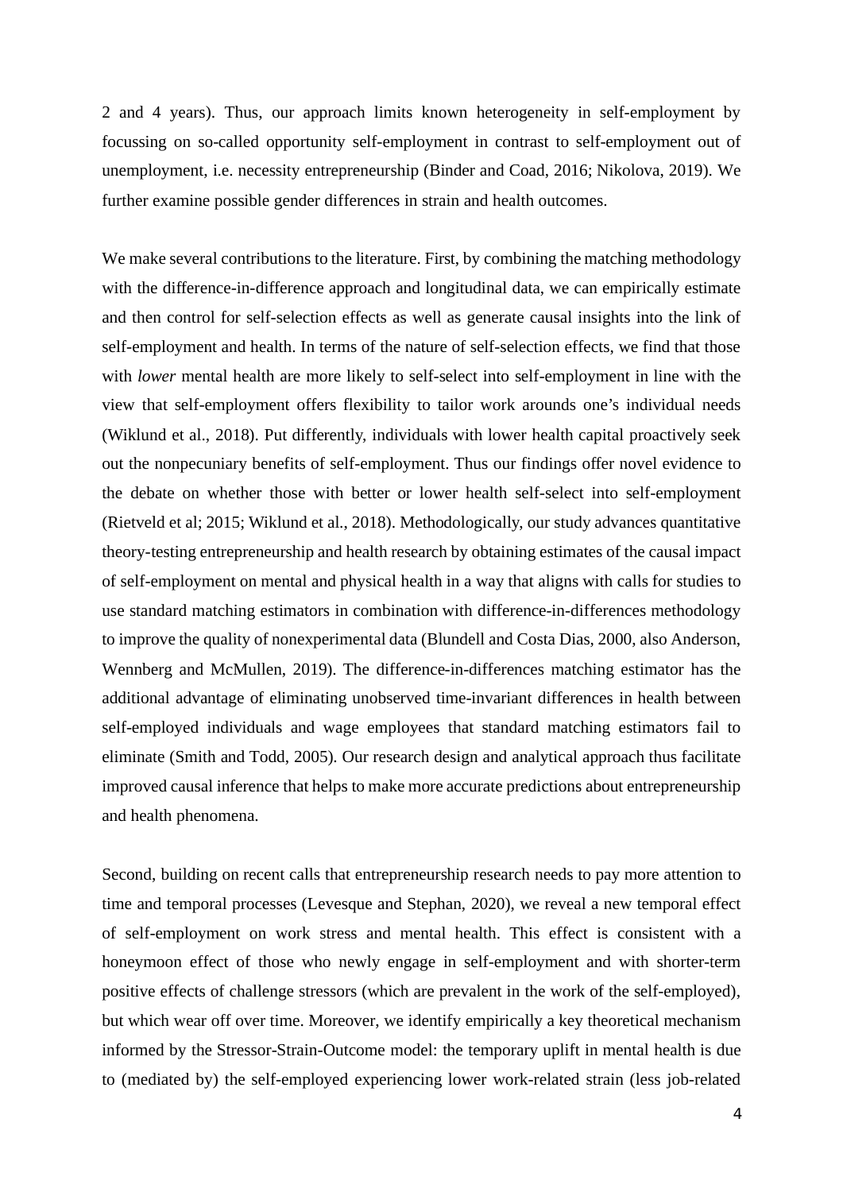2 and 4 years). Thus, our approach limits known heterogeneity in self-employment by focussing on so-called opportunity self-employment in contrast to self-employment out of unemployment, i.e. necessity entrepreneurship (Binder and Coad, 2016; Nikolova, 2019). We further examine possible gender differences in strain and health outcomes.

We make several contributions to the literature. First, by combining the matching methodology with the difference-in-difference approach and longitudinal data, we can empirically estimate and then control for self-selection effects as well as generate causal insights into the link of self-employment and health. In terms of the nature of self-selection effects, we find that those with *lower* mental health are more likely to self-select into self-employment in line with the view that self-employment offers flexibility to tailor work arounds one's individual needs (Wiklund et al., 2018). Put differently, individuals with lower health capital proactively seek out the nonpecuniary benefits of self-employment. Thus our findings offer novel evidence to the debate on whether those with better or lower health self-select into self-employment (Rietveld et al; 2015; Wiklund et al., 2018). Methodologically, our study advances quantitative theory-testing entrepreneurship and health research by obtaining estimates of the causal impact of self-employment on mental and physical health in a way that aligns with calls for studies to use standard matching estimators in combination with difference-in-differences methodology to improve the quality of nonexperimental data (Blundell and Costa Dias, 2000, also Anderson, Wennberg and McMullen, 2019). The difference-in-differences matching estimator has the additional advantage of eliminating unobserved time-invariant differences in health between self-employed individuals and wage employees that standard matching estimators fail to eliminate (Smith and Todd, 2005). Our research design and analytical approach thus facilitate improved causal inference that helps to make more accurate predictions about entrepreneurship and health phenomena.

Second, building on recent calls that entrepreneurship research needs to pay more attention to time and temporal processes (Levesque and Stephan, 2020), we reveal a new temporal effect of self-employment on work stress and mental health. This effect is consistent with a honeymoon effect of those who newly engage in self-employment and with shorter-term positive effects of challenge stressors (which are prevalent in the work of the self-employed), but which wear off over time. Moreover, we identify empirically a key theoretical mechanism informed by the Stressor-Strain-Outcome model: the temporary uplift in mental health is due to (mediated by) the self-employed experiencing lower work-related strain (less job-related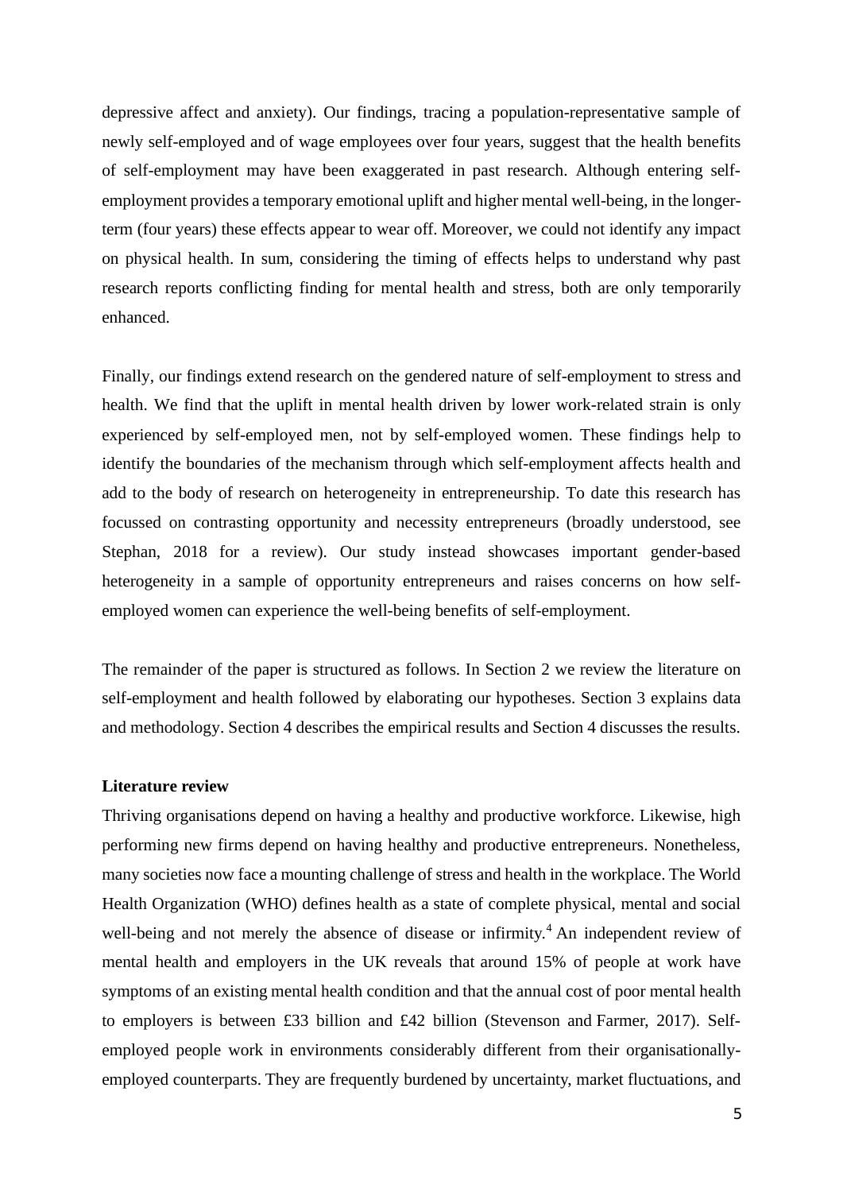depressive affect and anxiety). Our findings, tracing a population-representative sample of newly self-employed and of wage employees over four years, suggest that the health benefits of self-employment may have been exaggerated in past research. Although entering selfemployment provides a temporary emotional uplift and higher mental well-being, in the longerterm (four years) these effects appear to wear off. Moreover, we could not identify any impact on physical health. In sum, considering the timing of effects helps to understand why past research reports conflicting finding for mental health and stress, both are only temporarily enhanced.

Finally, our findings extend research on the gendered nature of self-employment to stress and health. We find that the uplift in mental health driven by lower work-related strain is only experienced by self-employed men, not by self-employed women. These findings help to identify the boundaries of the mechanism through which self-employment affects health and add to the body of research on heterogeneity in entrepreneurship. To date this research has focussed on contrasting opportunity and necessity entrepreneurs (broadly understood, see Stephan, 2018 for a review). Our study instead showcases important gender-based heterogeneity in a sample of opportunity entrepreneurs and raises concerns on how selfemployed women can experience the well-being benefits of self-employment.

The remainder of the paper is structured as follows. In Section 2 we review the literature on self-employment and health followed by elaborating our hypotheses. Section 3 explains data and methodology. Section 4 describes the empirical results and Section 4 discusses the results.

#### **Literature review**

Thriving organisations depend on having a healthy and productive workforce. Likewise, high performing new firms depend on having healthy and productive entrepreneurs. Nonetheless, many societies now face a mounting challenge of stress and health in the workplace. The World Health Organization (WHO) defines health as a state of complete physical, mental and social well-being and not merely the absence of disease or infirmity.<sup>4</sup> An independent review of mental health and employers in the UK reveals that around 15% of people at work have symptoms of an existing mental health condition and that the annual cost of poor mental health to employers is between £33 billion and £42 billion (Stevenson and Farmer, 2017). Selfemployed people work in environments considerably different from their organisationallyemployed counterparts. They are frequently burdened by uncertainty, market fluctuations, and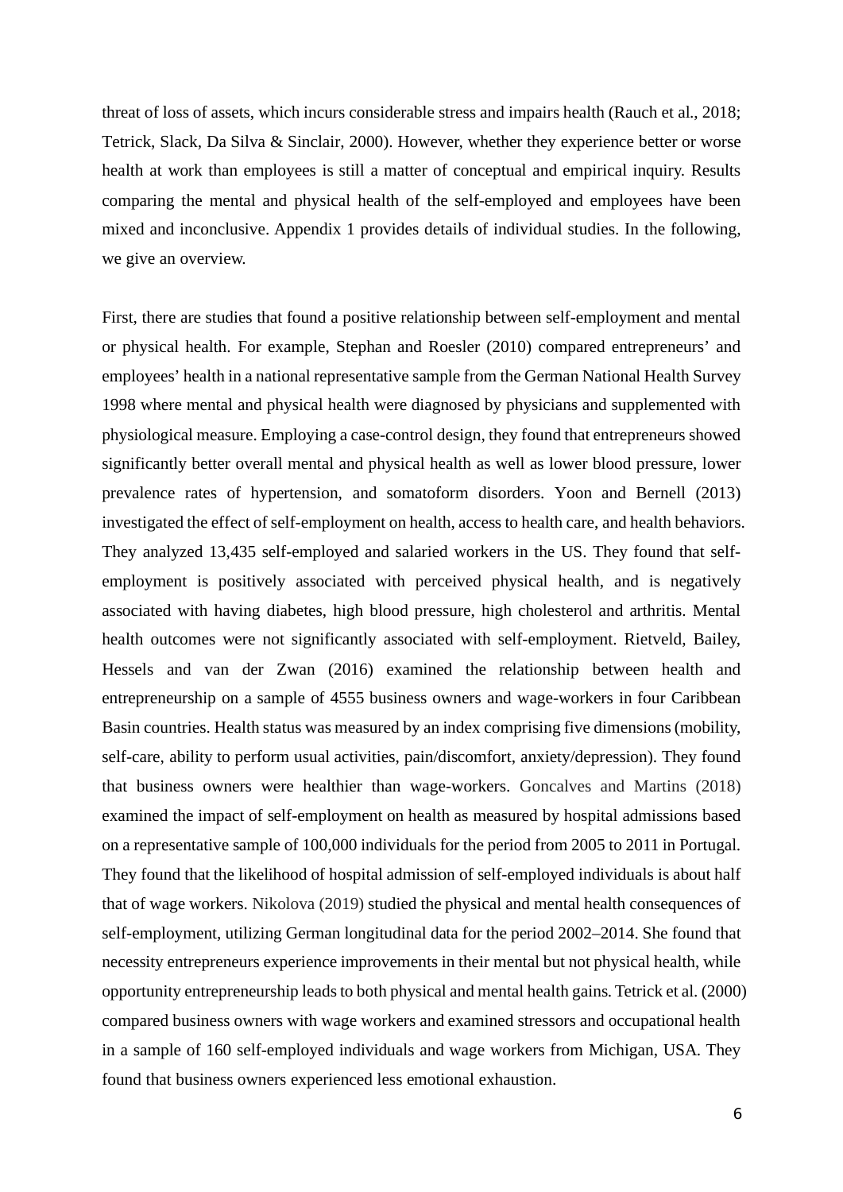threat of loss of assets, which incurs considerable stress and impairs health (Rauch et al., 2018; Tetrick, Slack, Da Silva & Sinclair, 2000). However, whether they experience better or worse health at work than employees is still a matter of conceptual and empirical inquiry. Results comparing the mental and physical health of the self-employed and employees have been mixed and inconclusive. Appendix 1 provides details of individual studies. In the following, we give an overview.

First, there are studies that found a positive relationship between self-employment and mental or physical health. For example, Stephan and Roesler (2010) compared entrepreneurs' and employees' health in a national representative sample from the German National Health Survey 1998 where mental and physical health were diagnosed by physicians and supplemented with physiological measure. Employing a case-control design, they found that entrepreneurs showed significantly better overall mental and physical health as well as lower blood pressure, lower prevalence rates of hypertension, and somatoform disorders. Yoon and Bernell (2013) investigated the effect of self-employment on health, access to health care, and health behaviors. They analyzed 13,435 self-employed and salaried workers in the US. They found that selfemployment is positively associated with perceived physical health, and is negatively associated with having diabetes, high blood pressure, high cholesterol and arthritis. Mental health outcomes were not significantly associated with self-employment. Rietveld, Bailey, Hessels and van der Zwan (2016) examined the relationship between health and entrepreneurship on a sample of 4555 business owners and wage-workers in four Caribbean Basin countries. Health status was measured by an index comprising five dimensions (mobility, self-care, ability to perform usual activities, pain/discomfort, anxiety/depression). They found that business owners were healthier than wage-workers. Goncalves and Martins (2018) examined the impact of self-employment on health as measured by hospital admissions based on a representative sample of 100,000 individuals for the period from 2005 to 2011 in Portugal. They found that the likelihood of hospital admission of self-employed individuals is about half that of wage workers. Nikolova (2019) studied the physical and mental health consequences of self-employment, utilizing German longitudinal data for the period 2002–2014. She found that necessity entrepreneurs experience improvements in their mental but not physical health, while opportunity entrepreneurship leads to both physical and mental health gains. Tetrick et al. (2000) compared business owners with wage workers and examined stressors and occupational health in a sample of 160 self-employed individuals and wage workers from Michigan, USA. They found that business owners experienced less emotional exhaustion.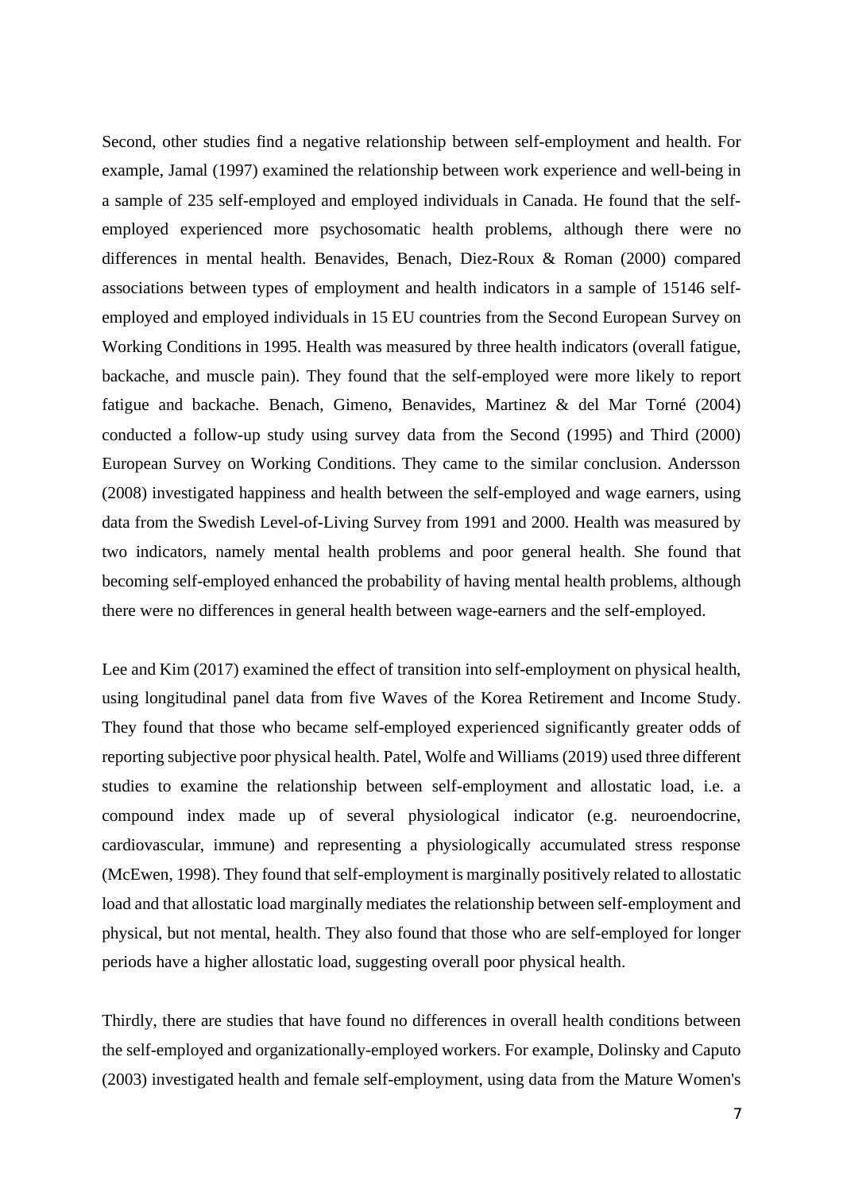Second, other studies find a negative relationship between self-employment and health. For example, Jamal (1997) examined the relationship between work experience and well-being in a sample of 235 self-employed and employed individuals in Canada. He found that the selfemployed experienced more psychosomatic health problems, although there were no differences in mental health. Benavides, Benach, Diez-Roux & Roman (2000) compared associations between types of employment and health indicators in a sample of 15146 selfemployed and employed individuals in 15 EU countries from the Second European Survey on Working Conditions in 1995. Health was measured by three health indicators (overall fatigue, backache, and muscle pain). They found that the self-employed were more likely to report fatigue and backache. Benach, Gimeno, Benavides, Martinez & del Mar Torné (2004) conducted a follow-up study using survey data from the Second (1995) and Third (2000) European Survey on Working Conditions. They came to the similar conclusion. Andersson (2008) investigated happiness and health between the self-employed and wage earners, using data from the Swedish Level-of-Living Survey from 1991 and 2000. Health was measured by two indicators, namely mental health problems and poor general health. She found that becoming self-employed enhanced the probability of having mental health problems, although there were no differences in general health between wage-earners and the self-employed.

Lee and Kim (2017) examined the effect of transition into self-employment on physical health, using longitudinal panel data from five Waves of the Korea Retirement and Income Study. They found that those who became self-employed experienced significantly greater odds of reporting subjective poor physical health. Patel, Wolfe and Williams (2019) used three different studies to examine the relationship between self-employment and allostatic load, i.e. a compound index made up of several physiological indicator (e.g. neuroendocrine, cardiovascular, immune) and representing a physiologically accumulated stress response (McEwen, 1998). They found that self-employment is marginally positively related to allostatic load and that allostatic load marginally mediates the relationship between self-employment and physical, but not mental, health. They also found that those who are self-employed for longer periods have a higher allostatic load, suggesting overall poor physical health.

Thirdly, there are studies that have found no differences in overall health conditions between the self-employed and organizationally-employed workers. For example, Dolinsky and Caputo (2003) investigated health and female self-employment, using data from the Mature Women's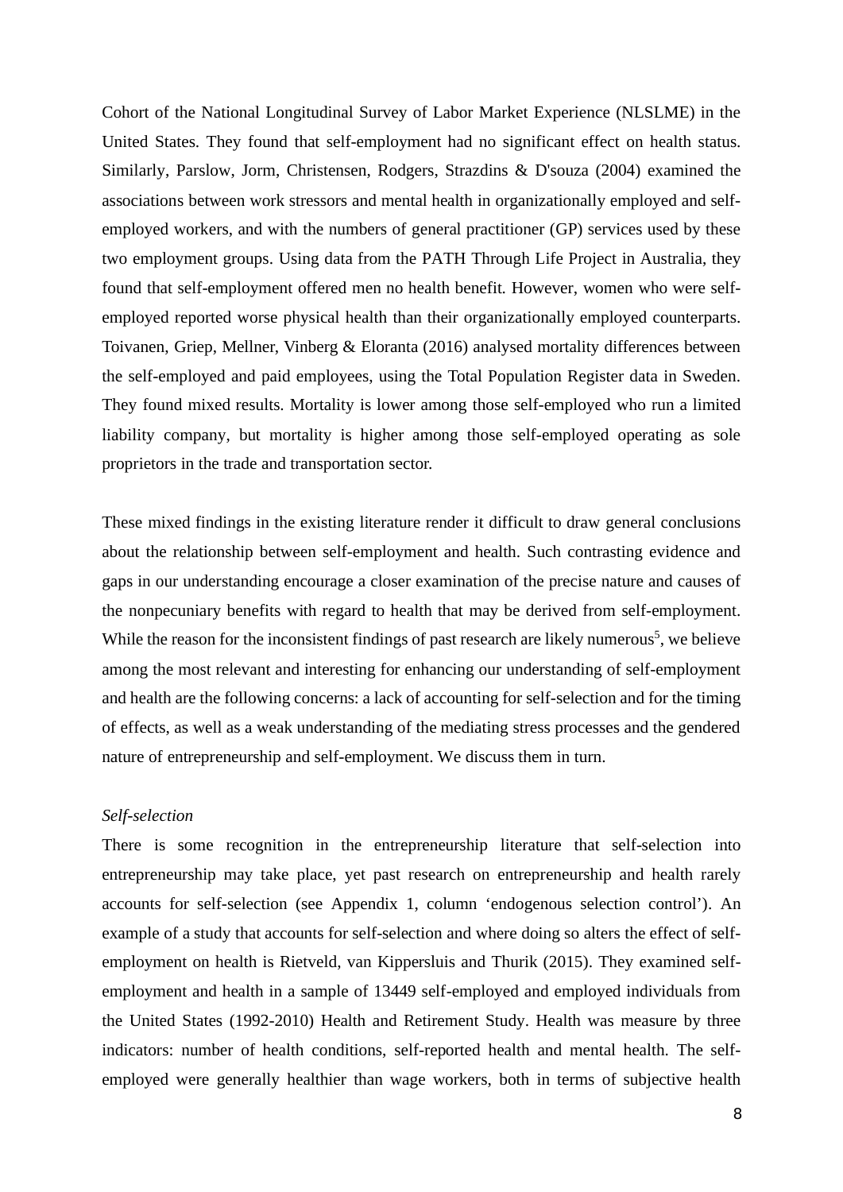Cohort of the National Longitudinal Survey of Labor Market Experience (NLSLME) in the United States. They found that self-employment had no significant effect on health status. Similarly, Parslow, Jorm, Christensen, Rodgers, Strazdins & D'souza (2004) examined the associations between work stressors and mental health in organizationally employed and selfemployed workers, and with the numbers of general practitioner (GP) services used by these two employment groups. Using data from the PATH Through Life Project in Australia, they found that self-employment offered men no health benefit. However, women who were selfemployed reported worse physical health than their organizationally employed counterparts. Toivanen, Griep, Mellner, Vinberg & Eloranta (2016) analysed mortality differences between the self-employed and paid employees, using the Total Population Register data in Sweden. They found mixed results. Mortality is lower among those self-employed who run a limited liability company, but mortality is higher among those self-employed operating as sole proprietors in the trade and transportation sector.

These mixed findings in the existing literature render it difficult to draw general conclusions about the relationship between self-employment and health. Such contrasting evidence and gaps in our understanding encourage a closer examination of the precise nature and causes of the nonpecuniary benefits with regard to health that may be derived from self-employment. While the reason for the inconsistent findings of past research are likely numerous<sup>5</sup>, we believe among the most relevant and interesting for enhancing our understanding of self-employment and health are the following concerns: a lack of accounting for self-selection and for the timing of effects, as well as a weak understanding of the mediating stress processes and the gendered nature of entrepreneurship and self-employment. We discuss them in turn.

# *Self-selection*

There is some recognition in the entrepreneurship literature that self-selection into entrepreneurship may take place, yet past research on entrepreneurship and health rarely accounts for self-selection (see Appendix 1, column 'endogenous selection control'). An example of a study that accounts for self-selection and where doing so alters the effect of selfemployment on health is Rietveld, van Kippersluis and Thurik (2015). They examined selfemployment and health in a sample of 13449 self-employed and employed individuals from the United States (1992-2010) Health and Retirement Study. Health was measure by three indicators: number of health conditions, self-reported health and mental health. The selfemployed were generally healthier than wage workers, both in terms of subjective health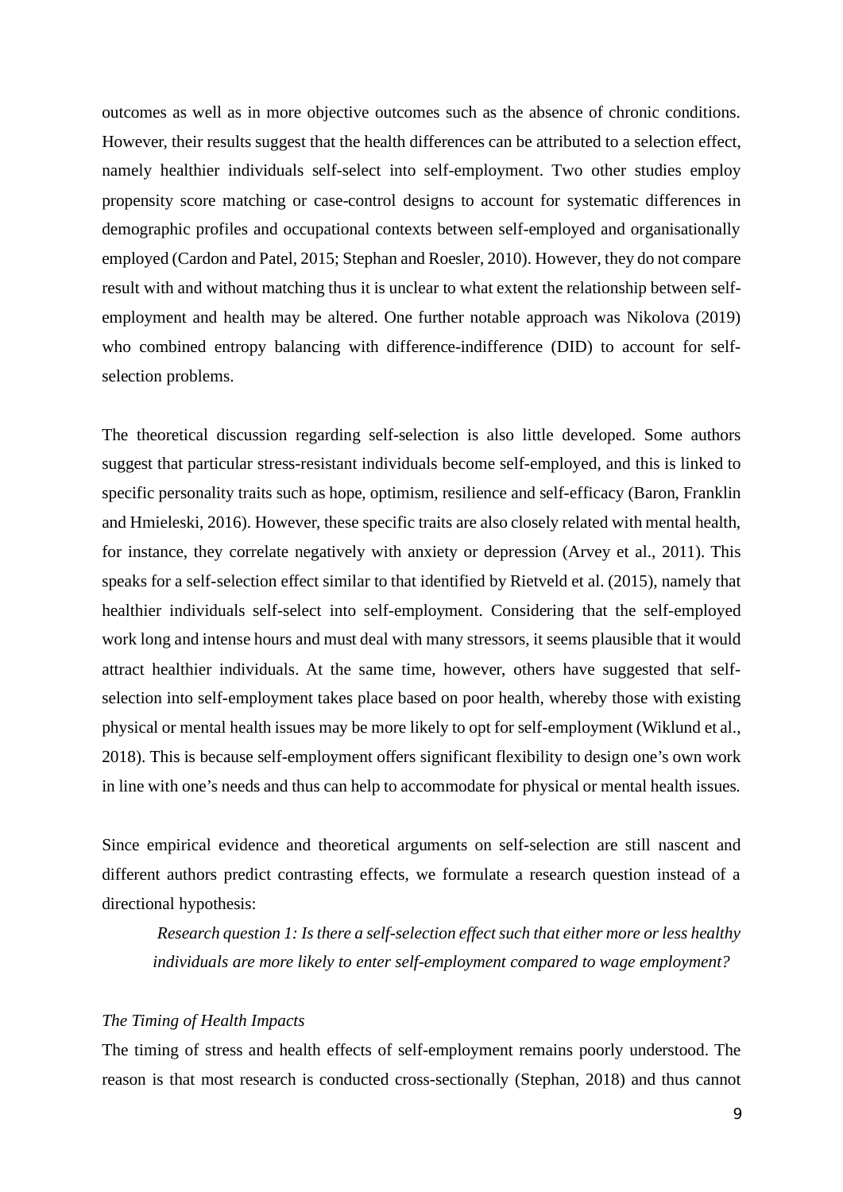outcomes as well as in more objective outcomes such as the absence of chronic conditions. However, their results suggest that the health differences can be attributed to a selection effect, namely healthier individuals self-select into self-employment. Two other studies employ propensity score matching or case-control designs to account for systematic differences in demographic profiles and occupational contexts between self-employed and organisationally employed (Cardon and Patel, 2015; Stephan and Roesler, 2010). However, they do not compare result with and without matching thus it is unclear to what extent the relationship between selfemployment and health may be altered. One further notable approach was Nikolova (2019) who combined entropy balancing with difference-indifference (DID) to account for selfselection problems.

The theoretical discussion regarding self-selection is also little developed. Some authors suggest that particular stress-resistant individuals become self-employed, and this is linked to specific personality traits such as hope, optimism, resilience and self-efficacy (Baron, Franklin and Hmieleski, 2016). However, these specific traits are also closely related with mental health, for instance, they correlate negatively with anxiety or depression (Arvey et al., 2011). This speaks for a self-selection effect similar to that identified by Rietveld et al. (2015), namely that healthier individuals self-select into self-employment. Considering that the self-employed work long and intense hours and must deal with many stressors, it seems plausible that it would attract healthier individuals. At the same time, however, others have suggested that selfselection into self-employment takes place based on poor health, whereby those with existing physical or mental health issues may be more likely to opt for self-employment (Wiklund et al., 2018). This is because self-employment offers significant flexibility to design one's own work in line with one's needs and thus can help to accommodate for physical or mental health issues.

Since empirical evidence and theoretical arguments on self-selection are still nascent and different authors predict contrasting effects, we formulate a research question instead of a directional hypothesis:

*Research question 1: Is there a self-selection effect such that either more or less healthy individuals are more likely to enter self-employment compared to wage employment?*

#### *The Timing of Health Impacts*

The timing of stress and health effects of self-employment remains poorly understood. The reason is that most research is conducted cross-sectionally (Stephan, 2018) and thus cannot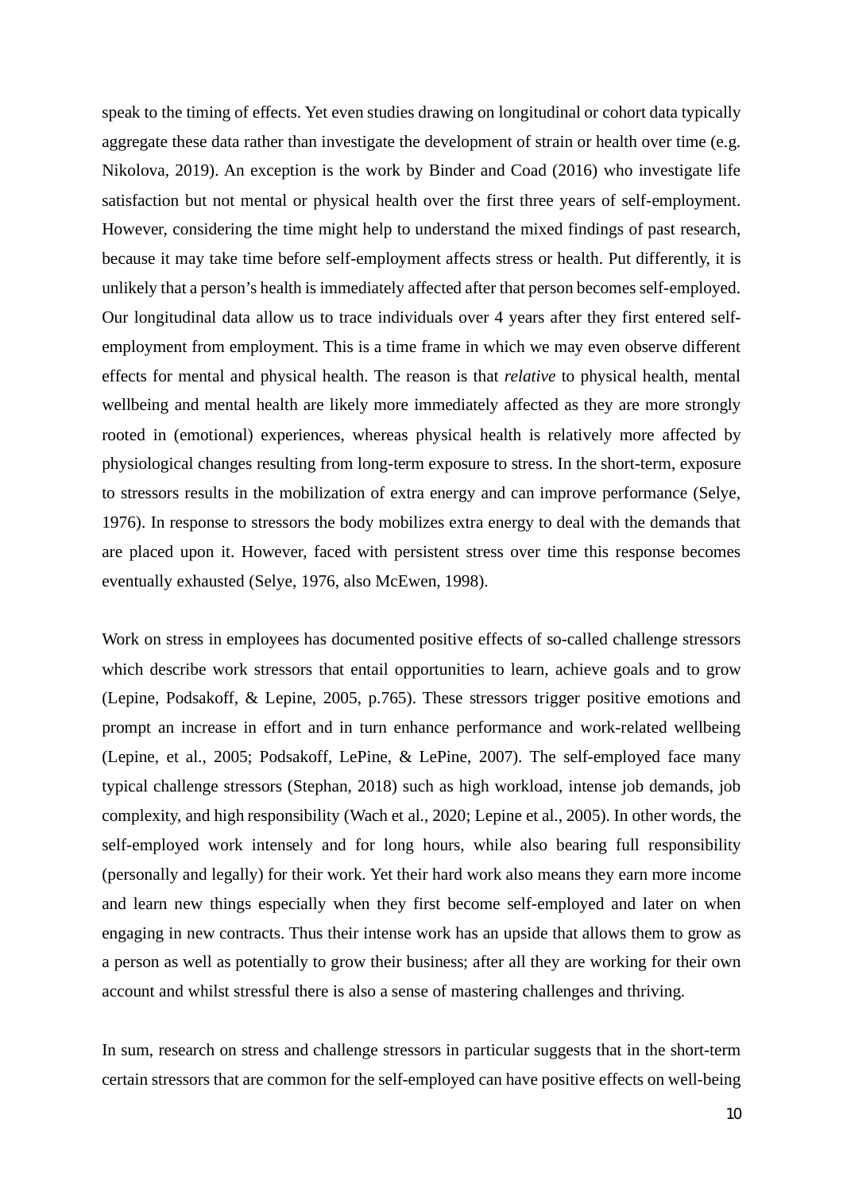speak to the timing of effects. Yet even studies drawing on longitudinal or cohort data typically aggregate these data rather than investigate the development of strain or health over time (e.g. Nikolova, 2019). An exception is the work by Binder and Coad (2016) who investigate life satisfaction but not mental or physical health over the first three years of self-employment. However, considering the time might help to understand the mixed findings of past research, because it may take time before self-employment affects stress or health. Put differently, it is unlikely that a person's health is immediately affected after that person becomes self-employed. Our longitudinal data allow us to trace individuals over 4 years after they first entered selfemployment from employment. This is a time frame in which we may even observe different effects for mental and physical health. The reason is that *relative* to physical health, mental wellbeing and mental health are likely more immediately affected as they are more strongly rooted in (emotional) experiences, whereas physical health is relatively more affected by physiological changes resulting from long-term exposure to stress. In the short-term, exposure to stressors results in the mobilization of extra energy and can improve performance (Selye, 1976). In response to stressors the body mobilizes extra energy to deal with the demands that are placed upon it. However, faced with persistent stress over time this response becomes eventually exhausted (Selye, 1976, also McEwen, 1998).

Work on stress in employees has documented positive effects of so-called challenge stressors which describe work stressors that entail opportunities to learn, achieve goals and to grow (Lepine, Podsakoff, & Lepine, 2005, p.765). These stressors trigger positive emotions and prompt an increase in effort and in turn enhance performance and work-related wellbeing (Lepine, et al., 2005; Podsakoff, LePine, & LePine, 2007)*.* The self-employed face many typical challenge stressors (Stephan, 2018) such as high workload, intense job demands, job complexity, and high responsibility (Wach et al., 2020; Lepine et al., 2005). In other words, the self-employed work intensely and for long hours, while also bearing full responsibility (personally and legally) for their work. Yet their hard work also means they earn more income and learn new things especially when they first become self-employed and later on when engaging in new contracts. Thus their intense work has an upside that allows them to grow as a person as well as potentially to grow their business; after all they are working for their own account and whilst stressful there is also a sense of mastering challenges and thriving.

In sum, research on stress and challenge stressors in particular suggests that in the short-term certain stressors that are common for the self-employed can have positive effects on well-being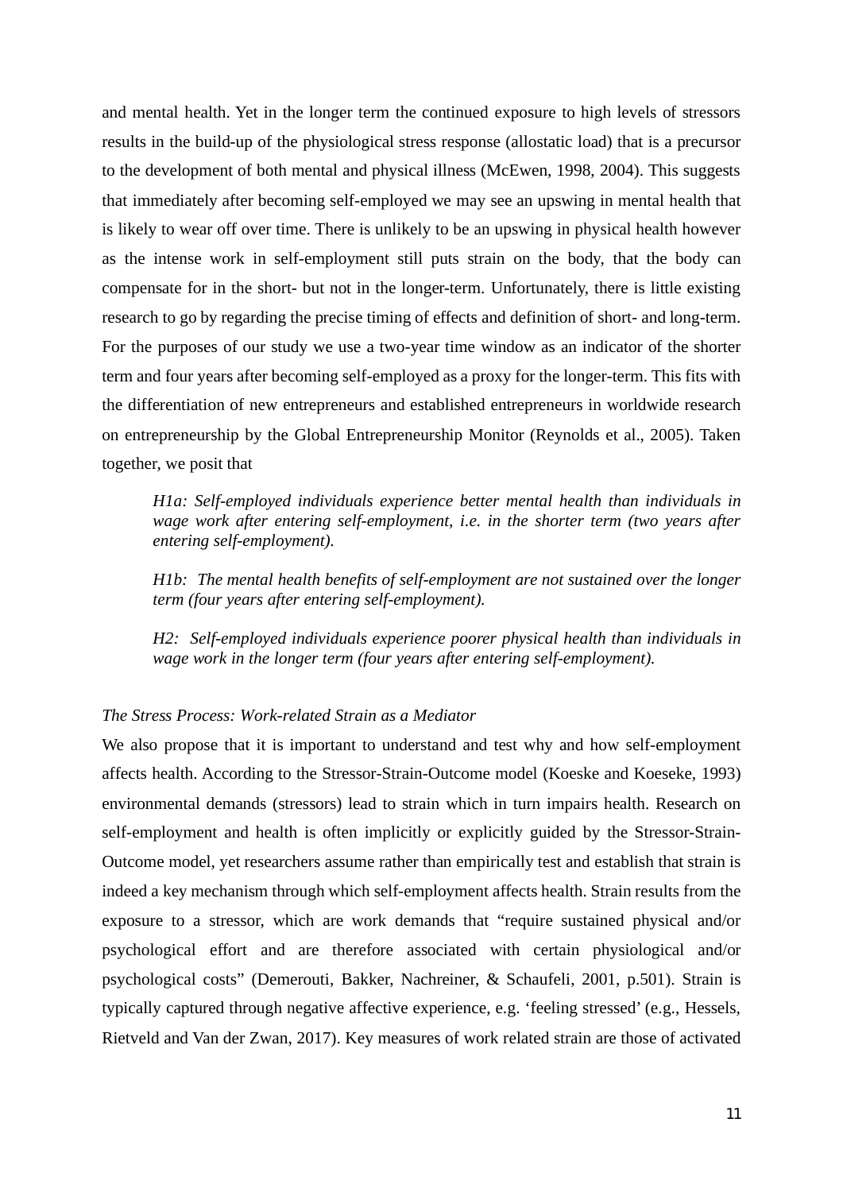and mental health. Yet in the longer term the continued exposure to high levels of stressors results in the build-up of the physiological stress response (allostatic load) that is a precursor to the development of both mental and physical illness (McEwen, 1998, 2004). This suggests that immediately after becoming self-employed we may see an upswing in mental health that is likely to wear off over time. There is unlikely to be an upswing in physical health however as the intense work in self-employment still puts strain on the body, that the body can compensate for in the short- but not in the longer-term. Unfortunately, there is little existing research to go by regarding the precise timing of effects and definition of short- and long-term. For the purposes of our study we use a two-year time window as an indicator of the shorter term and four years after becoming self-employed as a proxy for the longer-term. This fits with the differentiation of new entrepreneurs and established entrepreneurs in worldwide research on entrepreneurship by the Global Entrepreneurship Monitor (Reynolds et al., 2005). Taken together, we posit that

*H1a: Self-employed individuals experience better mental health than individuals in wage work after entering self-employment, i.e. in the shorter term (two years after entering self-employment).*

*H1b: The mental health benefits of self-employment are not sustained over the longer term (four years after entering self-employment).*

*H2: Self-employed individuals experience poorer physical health than individuals in wage work in the longer term (four years after entering self-employment).*

# *The Stress Process: Work-related Strain as a Mediator*

We also propose that it is important to understand and test why and how self-employment affects health. According to the Stressor-Strain-Outcome model (Koeske and Koeseke, 1993) environmental demands (stressors) lead to strain which in turn impairs health. Research on self-employment and health is often implicitly or explicitly guided by the Stressor-Strain-Outcome model, yet researchers assume rather than empirically test and establish that strain is indeed a key mechanism through which self-employment affects health. Strain results from the exposure to a stressor, which are work demands that "require sustained physical and/or psychological effort and are therefore associated with certain physiological and/or psychological costs" (Demerouti, Bakker, Nachreiner, & Schaufeli, 2001, p.501). Strain is typically captured through negative affective experience, e.g. 'feeling stressed' (e.g., Hessels, Rietveld and Van der Zwan, 2017). Key measures of work related strain are those of activated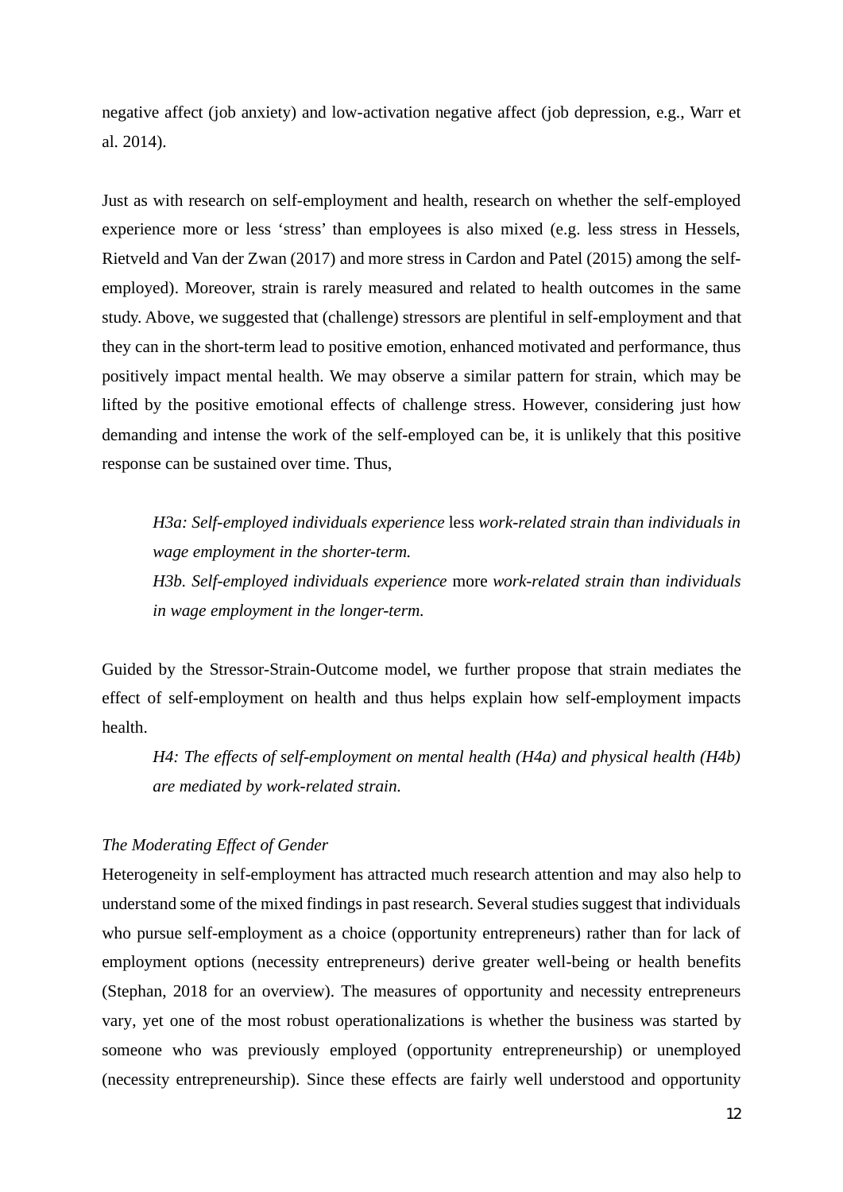negative affect (job anxiety) and low-activation negative affect (job depression, e.g., Warr et al. 2014).

Just as with research on self-employment and health, research on whether the self-employed experience more or less 'stress' than employees is also mixed (e.g. less stress in Hessels, Rietveld and Van der Zwan (2017) and more stress in Cardon and Patel (2015) among the selfemployed). Moreover, strain is rarely measured and related to health outcomes in the same study. Above, we suggested that (challenge) stressors are plentiful in self-employment and that they can in the short-term lead to positive emotion, enhanced motivated and performance, thus positively impact mental health. We may observe a similar pattern for strain, which may be lifted by the positive emotional effects of challenge stress. However, considering just how demanding and intense the work of the self-employed can be, it is unlikely that this positive response can be sustained over time. Thus,

*H3a: Self-employed individuals experience* less *work-related strain than individuals in wage employment in the shorter-term. H3b. Self-employed individuals experience* more *work-related strain than individuals*

*in wage employment in the longer-term.*

Guided by the Stressor-Strain-Outcome model, we further propose that strain mediates the effect of self-employment on health and thus helps explain how self-employment impacts health.

*H4: The effects of self-employment on mental health (H4a) and physical health (H4b) are mediated by work-related strain.*

# *The Moderating Effect of Gender*

Heterogeneity in self-employment has attracted much research attention and may also help to understand some of the mixed findings in past research. Several studies suggest that individuals who pursue self-employment as a choice (opportunity entrepreneurs) rather than for lack of employment options (necessity entrepreneurs) derive greater well-being or health benefits (Stephan, 2018 for an overview). The measures of opportunity and necessity entrepreneurs vary, yet one of the most robust operationalizations is whether the business was started by someone who was previously employed (opportunity entrepreneurship) or unemployed (necessity entrepreneurship). Since these effects are fairly well understood and opportunity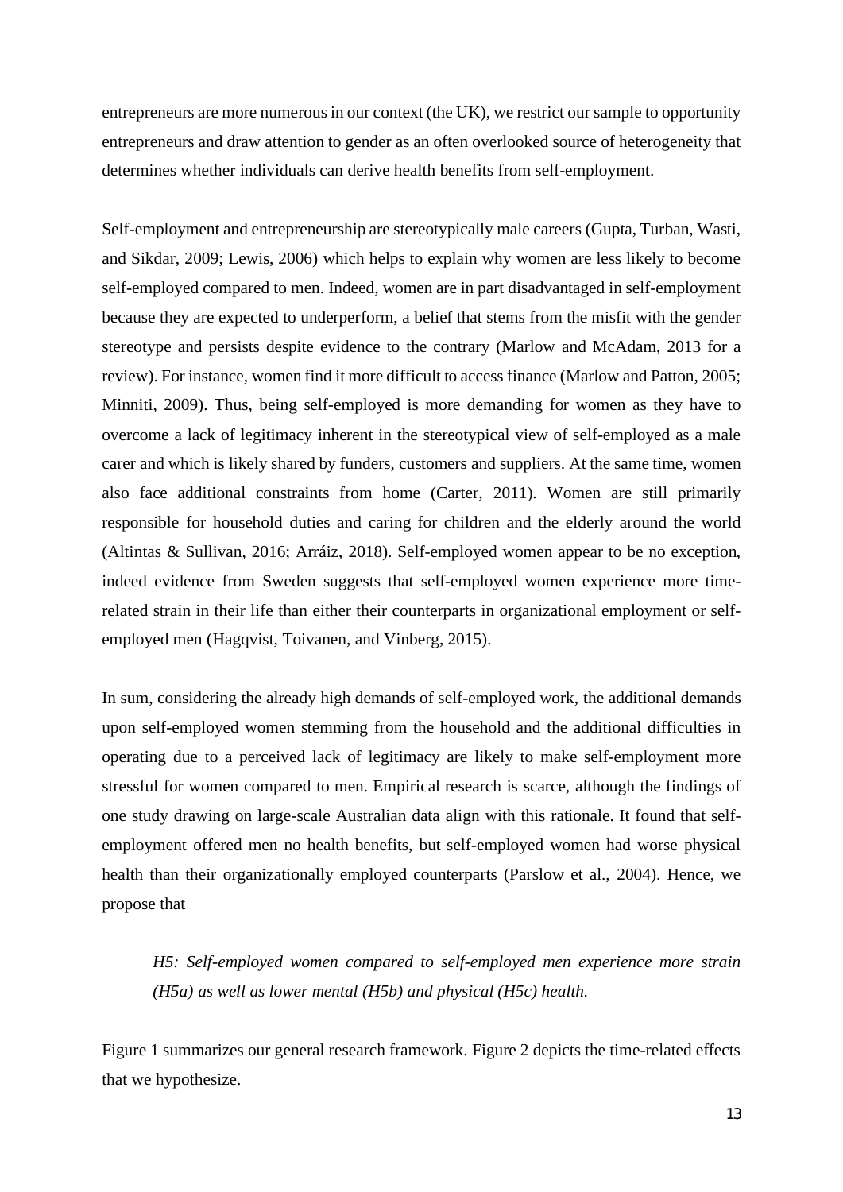entrepreneurs are more numerous in our context (the UK), we restrict our sample to opportunity entrepreneurs and draw attention to gender as an often overlooked source of heterogeneity that determines whether individuals can derive health benefits from self-employment.

Self-employment and entrepreneurship are stereotypically male careers (Gupta, Turban, Wasti, and Sikdar, 2009; Lewis, 2006) which helps to explain why women are less likely to become self-employed compared to men. Indeed, women are in part disadvantaged in self-employment because they are expected to underperform, a belief that stems from the misfit with the gender stereotype and persists despite evidence to the contrary (Marlow and McAdam, 2013 for a review). For instance, women find it more difficult to access finance (Marlow and Patton, 2005; Minniti, 2009). Thus, being self-employed is more demanding for women as they have to overcome a lack of legitimacy inherent in the stereotypical view of self-employed as a male carer and which is likely shared by funders, customers and suppliers. At the same time, women also face additional constraints from home (Carter, 2011). Women are still primarily responsible for household duties and caring for children and the elderly around the world (Altintas & Sullivan, 2016; Arráiz, 2018). Self-employed women appear to be no exception, indeed evidence from Sweden suggests that self-employed women experience more timerelated strain in their life than either their counterparts in organizational employment or selfemployed men (Hagqvist, Toivanen, and Vinberg, 2015).

In sum, considering the already high demands of self-employed work, the additional demands upon self-employed women stemming from the household and the additional difficulties in operating due to a perceived lack of legitimacy are likely to make self-employment more stressful for women compared to men. Empirical research is scarce, although the findings of one study drawing on large-scale Australian data align with this rationale. It found that selfemployment offered men no health benefits, but self-employed women had worse physical health than their organizationally employed counterparts (Parslow et al., 2004). Hence, we propose that

*H5: Self-employed women compared to self-employed men experience more strain (H5a) as well as lower mental (H5b) and physical (H5c) health.*

Figure 1 summarizes our general research framework. Figure 2 depicts the time-related effects that we hypothesize.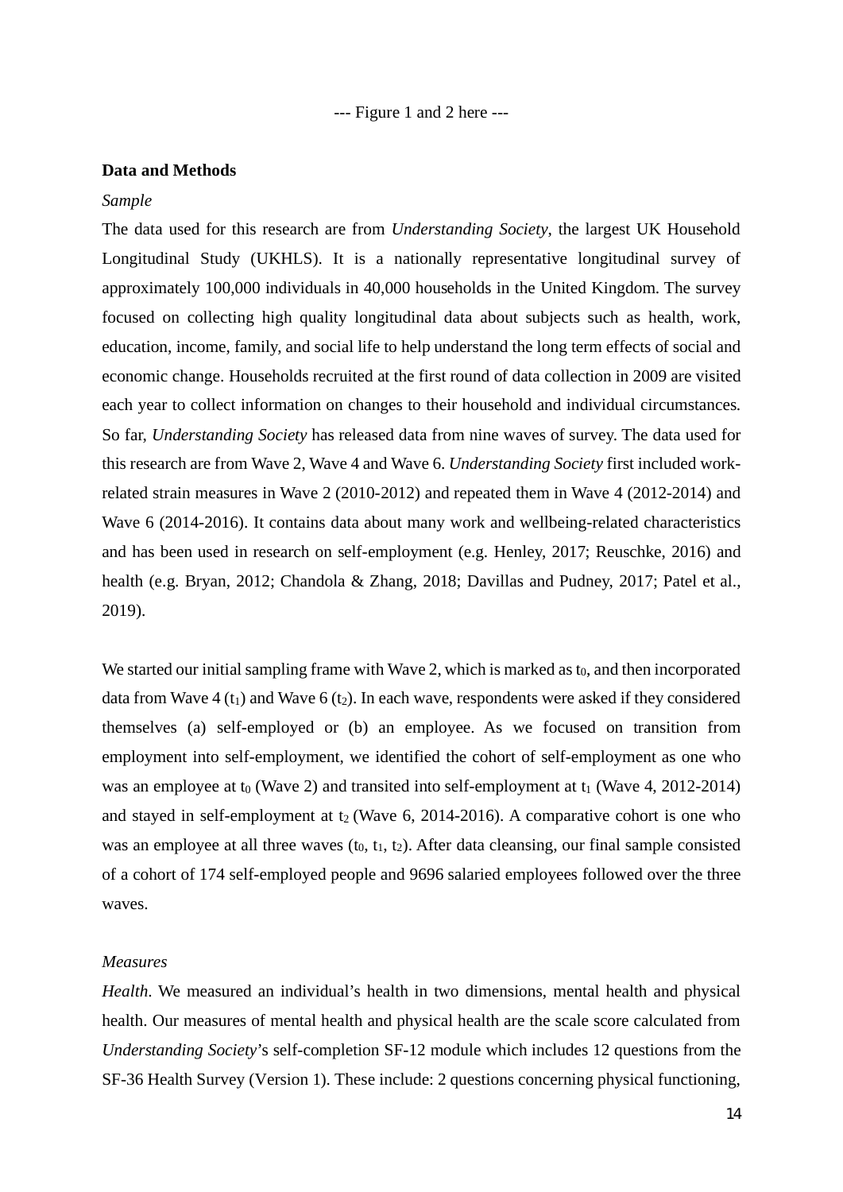--- Figure 1 and 2 here ---

#### **Data and Methods**

#### *Sample*

The data used for this research are from *Understanding Society*, the largest UK Household Longitudinal Study (UKHLS). It is a nationally representative longitudinal survey of approximately 100,000 individuals in 40,000 households in the United Kingdom. The survey focused on collecting high quality longitudinal data about subjects such as health, work, education, income, family, and social life to help understand the long term effects of social and economic change. Households recruited at the first round of data collection in 2009 are visited each year to collect information on changes to their household and individual circumstances. So far, *Understanding Society* has released data from nine waves of survey. The data used for this research are from Wave 2, Wave 4 and Wave 6. *Understanding Society* first included workrelated strain measures in Wave 2 (2010-2012) and repeated them in Wave 4 (2012-2014) and Wave 6 (2014-2016). It contains data about many work and wellbeing-related characteristics and has been used in research on self-employment (e.g. Henley, 2017; Reuschke, 2016) and health (e.g. Bryan, 2012; Chandola & Zhang, 2018; Davillas and Pudney, 2017; Patel et al., 2019).

We started our initial sampling frame with Wave 2, which is marked as  $t_0$ , and then incorporated data from Wave  $4(t_1)$  and Wave  $6(t_2)$ . In each wave, respondents were asked if they considered themselves (a) self-employed or (b) an employee. As we focused on transition from employment into self-employment, we identified the cohort of self-employment as one who was an employee at  $t_0$  (Wave 2) and transited into self-employment at  $t_1$  (Wave 4, 2012-2014) and stayed in self-employment at  $t_2$  (Wave 6, 2014-2016). A comparative cohort is one who was an employee at all three waves  $(t_0, t_1, t_2)$ . After data cleansing, our final sample consisted of a cohort of 174 self-employed people and 9696 salaried employees followed over the three waves.

### *Measures*

*Health*. We measured an individual's health in two dimensions, mental health and physical health. Our measures of mental health and physical health are the scale score calculated from *Understanding Society*'s self-completion SF-12 module which includes 12 questions from the SF-36 Health Survey (Version 1). These include: 2 questions concerning physical functioning,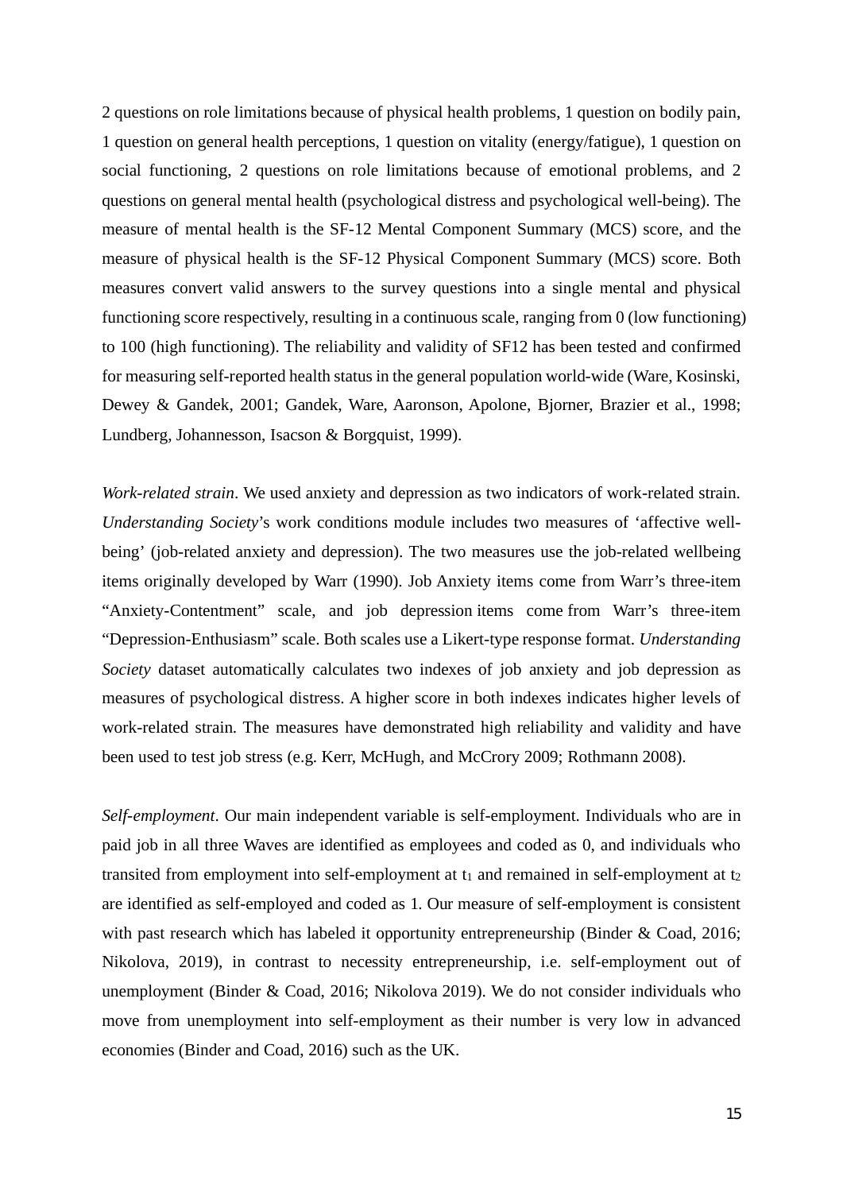2 questions on role limitations because of physical health problems, 1 question on bodily pain, 1 question on general health perceptions, 1 question on vitality (energy/fatigue), 1 question on social functioning, 2 questions on role limitations because of emotional problems, and 2 questions on general mental health (psychological distress and psychological well-being). The measure of mental health is the SF-12 Mental Component Summary (MCS) score, and the measure of physical health is the SF-12 Physical Component Summary (MCS) score. Both measures convert valid answers to the survey questions into a single mental and physical functioning score respectively, resulting in a continuous scale, ranging from 0 (low functioning) to 100 (high functioning). The reliability and validity of SF12 has been tested and confirmed for measuring self-reported health status in the general population world-wide (Ware, Kosinski, Dewey & Gandek, 2001; Gandek, Ware, Aaronson, Apolone, Bjorner, Brazier et al., 1998; Lundberg, Johannesson, Isacson & Borgquist, 1999).

*Work-related strain*. We used anxiety and depression as two indicators of work-related strain. *Understanding Society*'s work conditions module includes two measures of 'affective wellbeing' (job-related anxiety and depression). The two measures use the job-related wellbeing items originally developed by Warr (1990). Job Anxiety items come from Warr's three-item "Anxiety-Contentment" scale, and job depression items come from Warr's three-item "Depression-Enthusiasm" scale. Both scales use a Likert-type response format. *Understanding Society* dataset automatically calculates two indexes of job anxiety and job depression as measures of psychological distress. A higher score in both indexes indicates higher levels of work-related strain. The measures have demonstrated high reliability and validity and have been used to test job stress (e.g. Kerr, McHugh, and McCrory 2009; Rothmann 2008).

*Self-employment*. Our main independent variable is self-employment. Individuals who are in paid job in all three Waves are identified as employees and coded as 0, and individuals who transited from employment into self-employment at  $t_1$  and remained in self-employment at  $t_2$ are identified as self-employed and coded as 1. Our measure of self-employment is consistent with past research which has labeled it opportunity entrepreneurship (Binder & Coad, 2016; Nikolova, 2019), in contrast to necessity entrepreneurship, i.e. self-employment out of unemployment (Binder & Coad, 2016; Nikolova 2019). We do not consider individuals who move from unemployment into self-employment as their number is very low in advanced economies (Binder and Coad, 2016) such as the UK.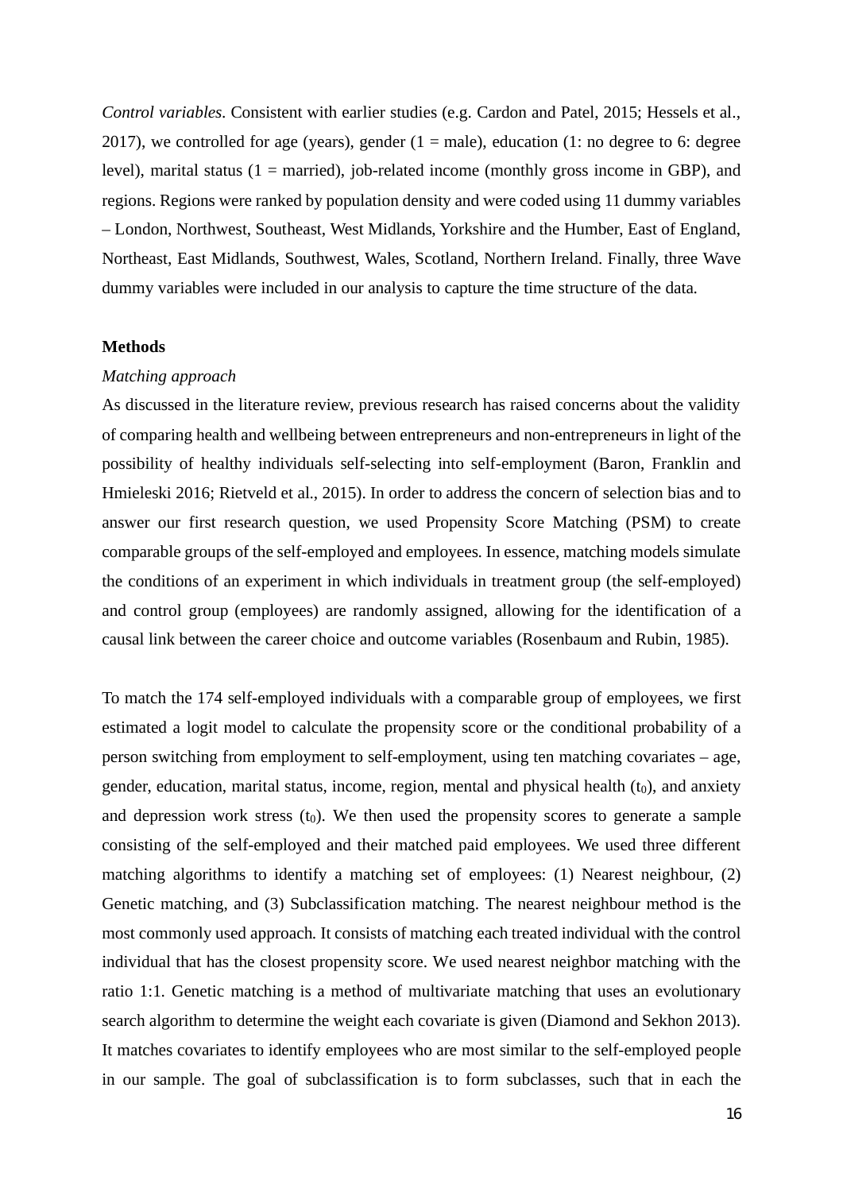*Control variables*. Consistent with earlier studies (e.g. Cardon and Patel, 2015; Hessels et al., 2017), we controlled for age (years), gender  $(1 = male)$ , education  $(1: no degree to 6: degree$ level), marital status (1 = married), job-related income (monthly gross income in GBP), and regions. Regions were ranked by population density and were coded using 11 dummy variables – London, Northwest, Southeast, West Midlands, Yorkshire and the Humber, East of England, Northeast, East Midlands, Southwest, Wales, Scotland, Northern Ireland. Finally, three Wave dummy variables were included in our analysis to capture the time structure of the data.

#### **Methods**

#### *Matching approach*

As discussed in the literature review, previous research has raised concerns about the validity of comparing health and wellbeing between entrepreneurs and non-entrepreneurs in light of the possibility of healthy individuals self-selecting into self-employment (Baron, Franklin and Hmieleski 2016; Rietveld et al., 2015). In order to address the concern of selection bias and to answer our first research question, we used Propensity Score Matching (PSM) to create comparable groups of the self-employed and employees. In essence, matching models simulate the conditions of an experiment in which individuals in treatment group (the self-employed) and control group (employees) are randomly assigned, allowing for the identification of a causal link between the career choice and outcome variables (Rosenbaum and Rubin, 1985).

To match the 174 self-employed individuals with a comparable group of employees, we first estimated a logit model to calculate the propensity score or the conditional probability of a person switching from employment to self-employment, using ten matching covariates – age, gender, education, marital status, income, region, mental and physical health  $(t_0)$ , and anxiety and depression work stress  $(t_0)$ . We then used the propensity scores to generate a sample consisting of the self-employed and their matched paid employees. We used three different matching algorithms to identify a matching set of employees: (1) Nearest neighbour, (2) Genetic matching, and (3) Subclassification matching. The nearest neighbour method is the most commonly used approach. It consists of matching each treated individual with the control individual that has the closest propensity score. We used nearest neighbor matching with the ratio 1:1. Genetic matching is a method of multivariate matching that uses an evolutionary search algorithm to determine the weight each covariate is given (Diamond and Sekhon 2013). It matches covariates to identify employees who are most similar to the self-employed people in our sample. The goal of subclassification is to form subclasses, such that in each the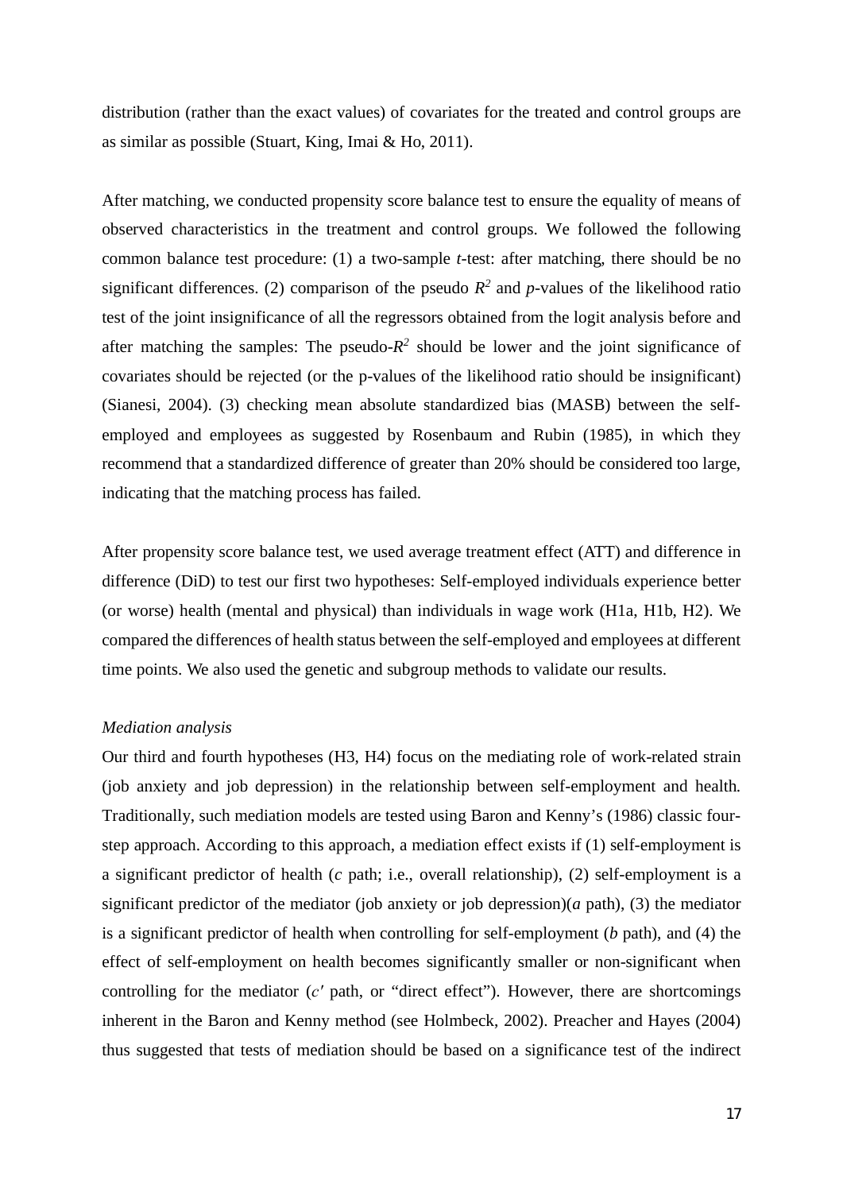distribution (rather than the exact values) of covariates for the treated and control groups are as similar as possible (Stuart, King, Imai & Ho, 2011).

After matching, we conducted propensity score balance test to ensure the equality of means of observed characteristics in the treatment and control groups. We followed the following common balance test procedure: (1) a two-sample *t*-test: after matching, there should be no significant differences. (2) comparison of the pseudo  $R^2$  and p-values of the likelihood ratio test of the joint insignificance of all the regressors obtained from the logit analysis before and after matching the samples: The pseudo- $R^2$  should be lower and the joint significance of covariates should be rejected (or the p-values of the likelihood ratio should be insignificant) (Sianesi, 2004). (3) checking mean absolute standardized bias (MASB) between the selfemployed and employees as suggested by Rosenbaum and Rubin (1985), in which they recommend that a standardized difference of greater than 20% should be considered too large, indicating that the matching process has failed.

After propensity score balance test, we used average treatment effect (ATT) and difference in difference (DiD) to test our first two hypotheses: Self-employed individuals experience better (or worse) health (mental and physical) than individuals in wage work (H1a, H1b, H2). We compared the differences of health status between the self-employed and employees at different time points. We also used the genetic and subgroup methods to validate our results.

### *Mediation analysis*

Our third and fourth hypotheses (H3, H4) focus on the mediating role of work-related strain (job anxiety and job depression) in the relationship between self-employment and health. Traditionally, such mediation models are tested using Baron and Kenny's (1986) classic fourstep approach. According to this approach, a mediation effect exists if (1) self-employment is a significant predictor of health (*c* path; i.e., overall relationship), (2) self-employment is a significant predictor of the mediator (job anxiety or job depression)(*a* path), (3) the mediator is a significant predictor of health when controlling for self-employment (*b* path), and (4) the effect of self-employment on health becomes significantly smaller or non-significant when controlling for the mediator (*c′* path, or "direct effect"). However, there are shortcomings inherent in the Baron and Kenny method (see Holmbeck, 2002). Preacher and Hayes (2004) thus suggested that tests of mediation should be based on a significance test of the indirect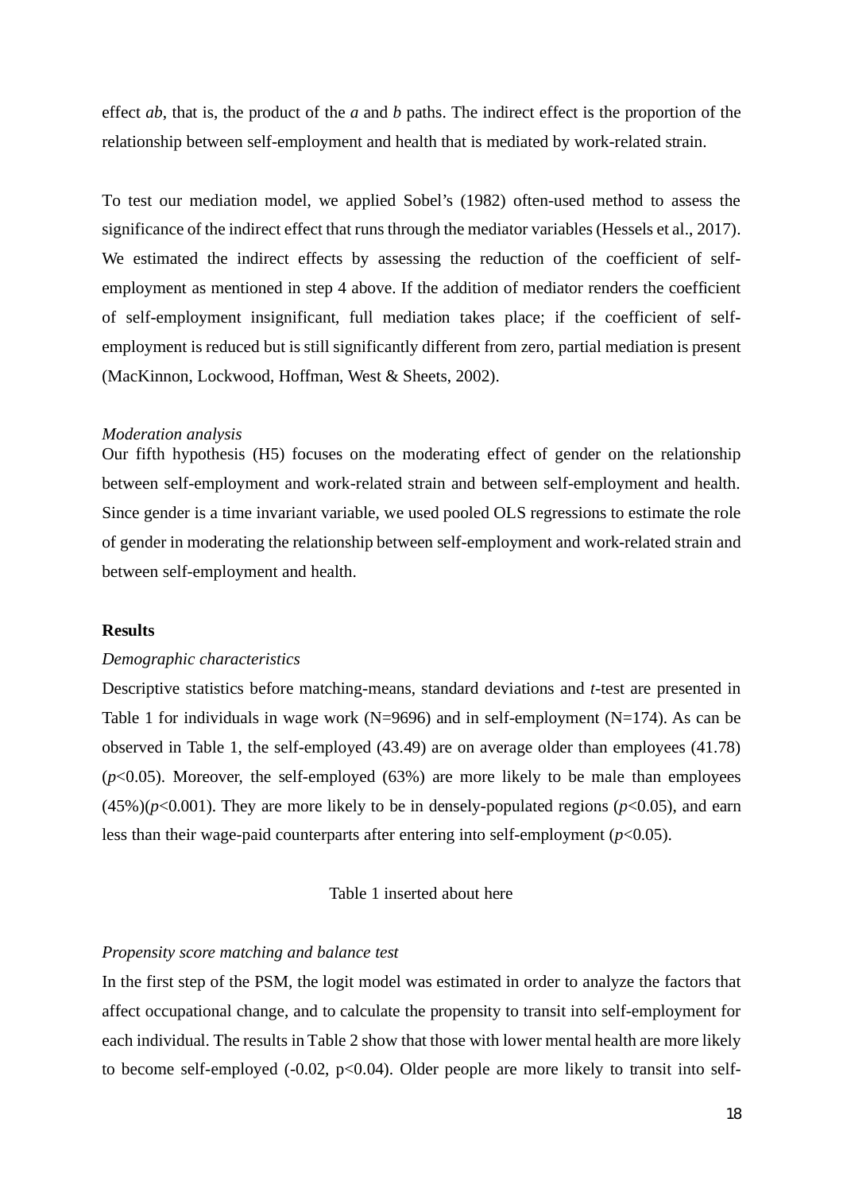effect *ab*, that is, the product of the *a* and *b* paths. The indirect effect is the proportion of the relationship between self-employment and health that is mediated by work-related strain.

To test our mediation model, we applied Sobel's (1982) often-used method to assess the significance of the indirect effect that runs through the mediator variables (Hessels et al., 2017). We estimated the indirect effects by assessing the reduction of the coefficient of selfemployment as mentioned in step 4 above. If the addition of mediator renders the coefficient of self-employment insignificant, full mediation takes place; if the coefficient of selfemployment is reduced but is still significantly different from zero, partial mediation is present (MacKinnon, Lockwood, Hoffman, West & Sheets, 2002).

#### *Moderation analysis*

Our fifth hypothesis (H5) focuses on the moderating effect of gender on the relationship between self-employment and work-related strain and between self-employment and health. Since gender is a time invariant variable, we used pooled OLS regressions to estimate the role of gender in moderating the relationship between self-employment and work-related strain and between self-employment and health.

### **Results**

#### *Demographic characteristics*

Descriptive statistics before matching-means, standard deviations and *t*-test are presented in Table 1 for individuals in wage work (N=9696) and in self-employment (N=174). As can be observed in Table 1, the self-employed (43.49) are on average older than employees (41.78)  $(p<0.05)$ . Moreover, the self-employed  $(63%)$  are more likely to be male than employees  $(45\%)(p<0.001)$ . They are more likely to be in densely-populated regions ( $p<0.05$ ), and earn less than their wage-paid counterparts after entering into self-employment  $(p<0.05)$ .

#### Table 1 inserted about here

#### *Propensity score matching and balance test*

In the first step of the PSM, the logit model was estimated in order to analyze the factors that affect occupational change, and to calculate the propensity to transit into self-employment for each individual. The results in Table 2 show that those with lower mental health are more likely to become self-employed  $(-0.02, p<0.04)$ . Older people are more likely to transit into self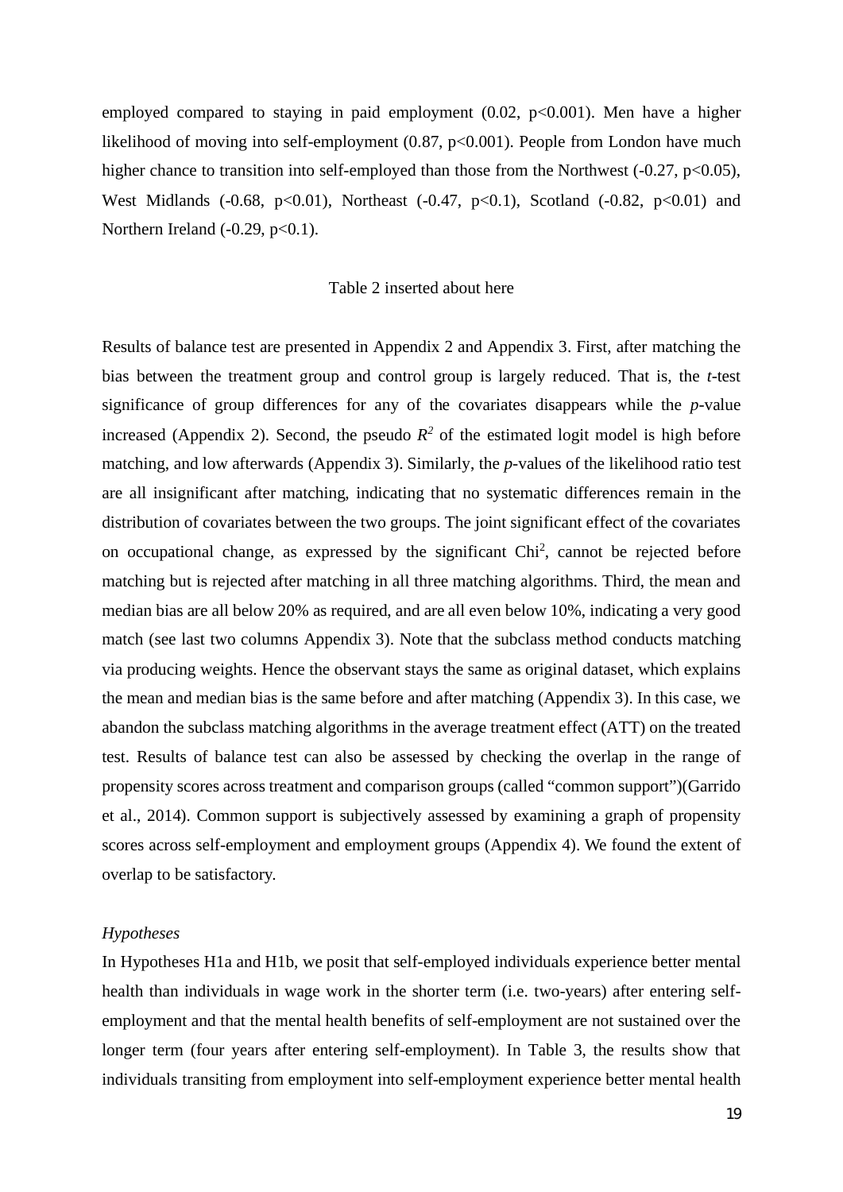employed compared to staying in paid employment  $(0.02, p<0.001)$ . Men have a higher likelihood of moving into self-employment  $(0.87, p<0.001)$ . People from London have much higher chance to transition into self-employed than those from the Northwest  $(-0.27, p<0.05)$ , West Midlands (-0.68, p<0.01), Northeast (-0.47, p<0.1), Scotland (-0.82, p<0.01) and Northern Ireland  $(-0.29, p<0.1)$ .

# Table 2 inserted about here

Results of balance test are presented in Appendix 2 and Appendix 3. First, after matching the bias between the treatment group and control group is largely reduced. That is, the *t*-test significance of group differences for any of the covariates disappears while the *p*-value increased (Appendix 2). Second, the pseudo  $R^2$  of the estimated logit model is high before matching, and low afterwards (Appendix 3). Similarly, the *p*-values of the likelihood ratio test are all insignificant after matching, indicating that no systematic differences remain in the distribution of covariates between the two groups. The joint significant effect of the covariates on occupational change, as expressed by the significant Chi<sup>2</sup>, cannot be rejected before matching but is rejected after matching in all three matching algorithms. Third, the mean and median bias are all below 20% as required, and are all even below 10%, indicating a very good match (see last two columns Appendix 3). Note that the subclass method conducts matching via producing weights. Hence the observant stays the same as original dataset, which explains the mean and median bias is the same before and after matching (Appendix 3). In this case, we abandon the subclass matching algorithms in the average treatment effect (ATT) on the treated test. Results of balance test can also be assessed by checking the overlap in the range of propensity scores across treatment and comparison groups (called "common support")(Garrido et al., 2014). Common support is subjectively assessed by examining a graph of propensity scores across self-employment and employment groups (Appendix 4). We found the extent of overlap to be satisfactory.

#### *Hypotheses*

In Hypotheses H1a and H1b, we posit that self-employed individuals experience better mental health than individuals in wage work in the shorter term (i.e. two-years) after entering selfemployment and that the mental health benefits of self-employment are not sustained over the longer term (four years after entering self-employment). In Table 3, the results show that individuals transiting from employment into self-employment experience better mental health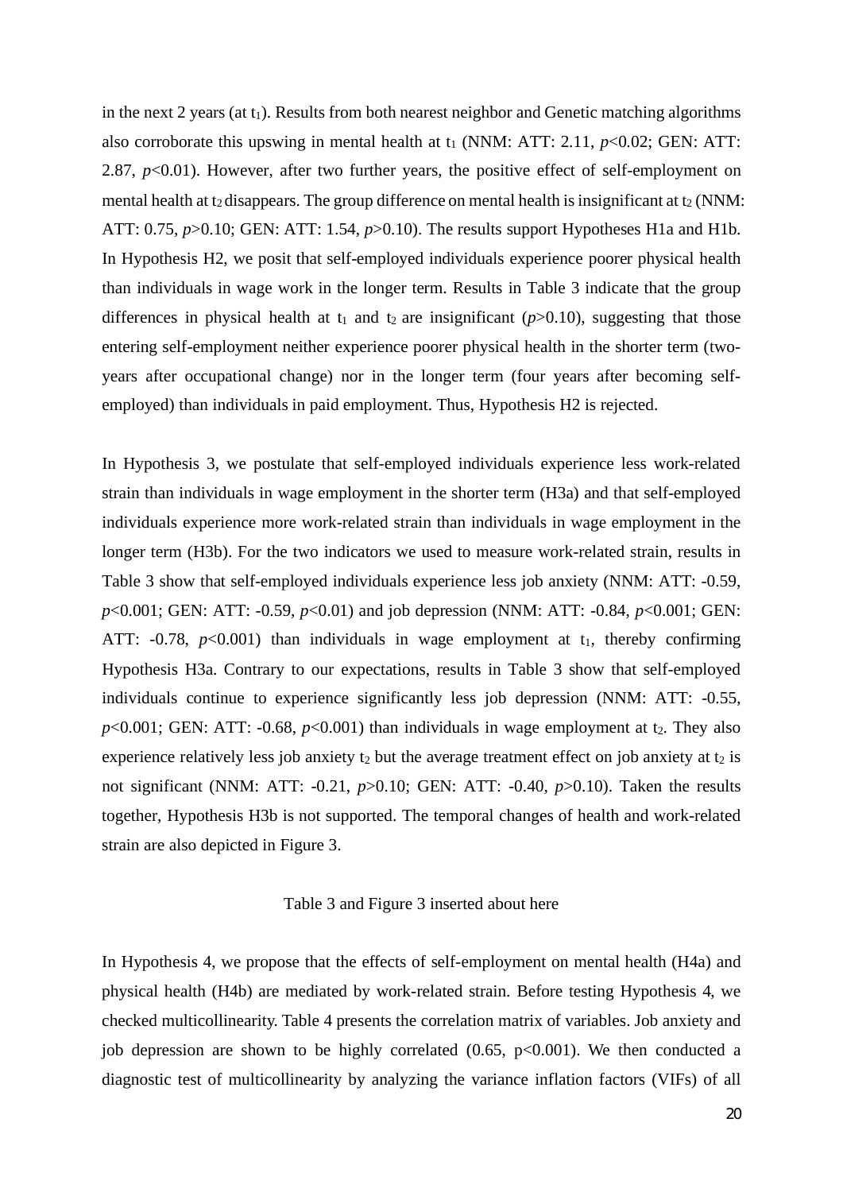in the next 2 years (at  $t_1$ ). Results from both nearest neighbor and Genetic matching algorithms also corroborate this upswing in mental health at  $t_1$  (NNM: ATT: 2.11,  $p<0.02$ ; GEN: ATT: 2.87, *p*<0.01). However, after two further years, the positive effect of self-employment on mental health at  $t_2$  disappears. The group difference on mental health is insignificant at  $t_2$  (NNM: ATT: 0.75, *p*>0.10; GEN: ATT: 1.54, *p*>0.10). The results support Hypotheses H1a and H1b. In Hypothesis H2, we posit that self-employed individuals experience poorer physical health than individuals in wage work in the longer term. Results in Table 3 indicate that the group differences in physical health at  $t_1$  and  $t_2$  are insignificant ( $p > 0.10$ ), suggesting that those entering self-employment neither experience poorer physical health in the shorter term (twoyears after occupational change) nor in the longer term (four years after becoming selfemployed) than individuals in paid employment. Thus, Hypothesis H2 is rejected.

In Hypothesis 3, we postulate that self-employed individuals experience less work-related strain than individuals in wage employment in the shorter term (H3a) and that self-employed individuals experience more work-related strain than individuals in wage employment in the longer term (H3b). For the two indicators we used to measure work-related strain, results in Table 3 show that self-employed individuals experience less job anxiety (NNM: ATT: -0.59, *p*<0.001; GEN: ATT: -0.59, *p*<0.01) and job depression (NNM: ATT: -0.84, *p*<0.001; GEN: ATT:  $-0.78$ ,  $p<0.001$ ) than individuals in wage employment at t<sub>1</sub>, thereby confirming Hypothesis H3a. Contrary to our expectations, results in Table 3 show that self-employed individuals continue to experience significantly less job depression (NNM: ATT: -0.55,  $p<0.001$ ; GEN: ATT: -0.68,  $p<0.001$ ) than individuals in wage employment at t<sub>2</sub>. They also experience relatively less job anxiety  $t_2$  but the average treatment effect on job anxiety at  $t_2$  is not significant (NNM: ATT: -0.21, *p*>0.10; GEN: ATT: -0.40, *p*>0.10). Taken the results together, Hypothesis H3b is not supported. The temporal changes of health and work-related strain are also depicted in Figure 3.

## Table 3 and Figure 3 inserted about here

In Hypothesis 4, we propose that the effects of self-employment on mental health (H4a) and physical health (H4b) are mediated by work-related strain. Before testing Hypothesis 4, we checked multicollinearity. Table 4 presents the correlation matrix of variables. Job anxiety and job depression are shown to be highly correlated  $(0.65, p<0.001)$ . We then conducted a diagnostic test of multicollinearity by analyzing the variance inflation factors (VIFs) of all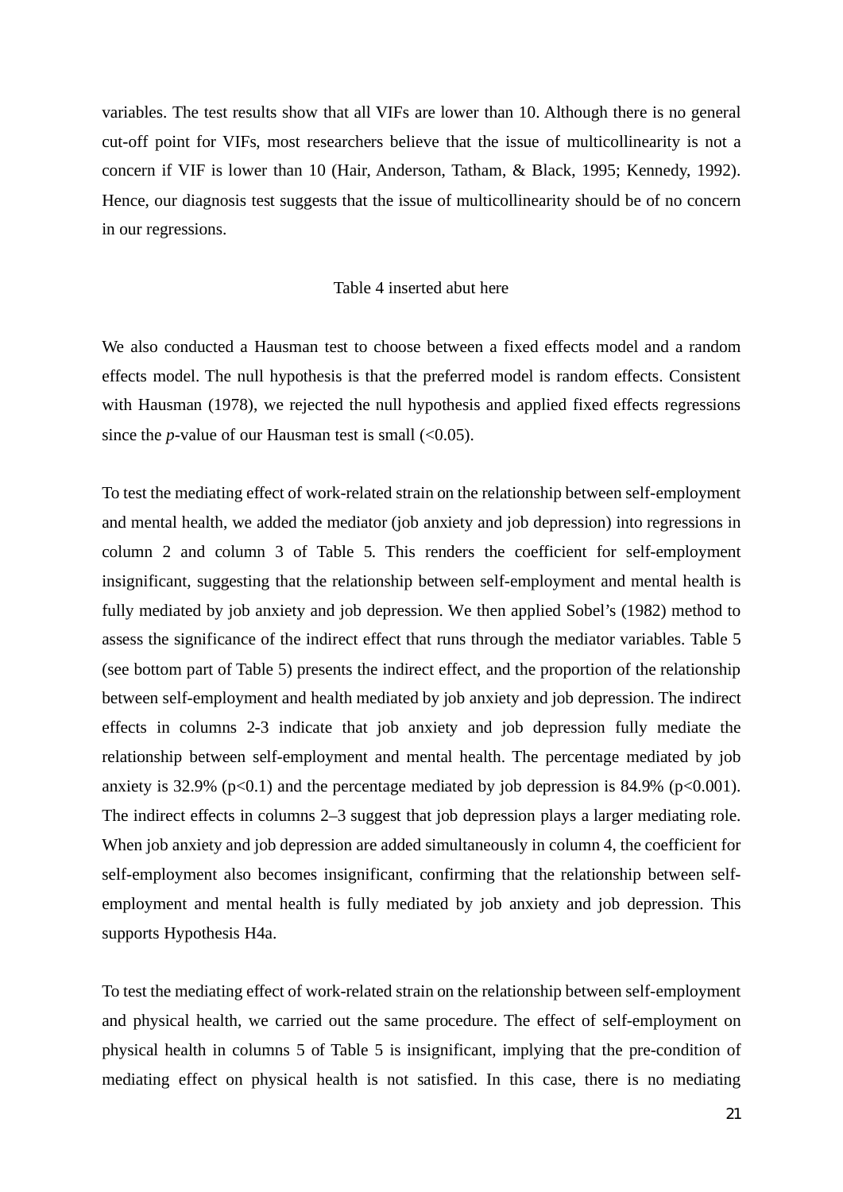variables. The test results show that all VIFs are lower than 10. Although there is no general cut-off point for VIFs, most researchers believe that the issue of multicollinearity is not a concern if VIF is lower than 10 (Hair, Anderson, Tatham, & Black, 1995; Kennedy, 1992). Hence, our diagnosis test suggests that the issue of multicollinearity should be of no concern in our regressions.

# Table 4 inserted abut here

We also conducted a Hausman test to choose between a fixed effects model and a random effects model. The null hypothesis is that the preferred model is random effects. Consistent with Hausman (1978), we rejected the null hypothesis and applied fixed effects regressions since the *p*-value of our Hausman test is small  $(<0.05)$ .

To test the mediating effect of work-related strain on the relationship between self-employment and mental health, we added the mediator (job anxiety and job depression) into regressions in column 2 and column 3 of Table 5. This renders the coefficient for self-employment insignificant, suggesting that the relationship between self-employment and mental health is fully mediated by job anxiety and job depression. We then applied Sobel's (1982) method to assess the significance of the indirect effect that runs through the mediator variables. Table 5 (see bottom part of Table 5) presents the indirect effect, and the proportion of the relationship between self-employment and health mediated by job anxiety and job depression. The indirect effects in columns 2-3 indicate that job anxiety and job depression fully mediate the relationship between self-employment and mental health. The percentage mediated by job anxiety is 32.9% ( $p<0.1$ ) and the percentage mediated by job depression is 84.9% ( $p<0.001$ ). The indirect effects in columns 2–3 suggest that job depression plays a larger mediating role. When job anxiety and job depression are added simultaneously in column 4, the coefficient for self-employment also becomes insignificant, confirming that the relationship between selfemployment and mental health is fully mediated by job anxiety and job depression. This supports Hypothesis H4a.

To test the mediating effect of work-related strain on the relationship between self-employment and physical health, we carried out the same procedure. The effect of self-employment on physical health in columns 5 of Table 5 is insignificant, implying that the pre-condition of mediating effect on physical health is not satisfied. In this case, there is no mediating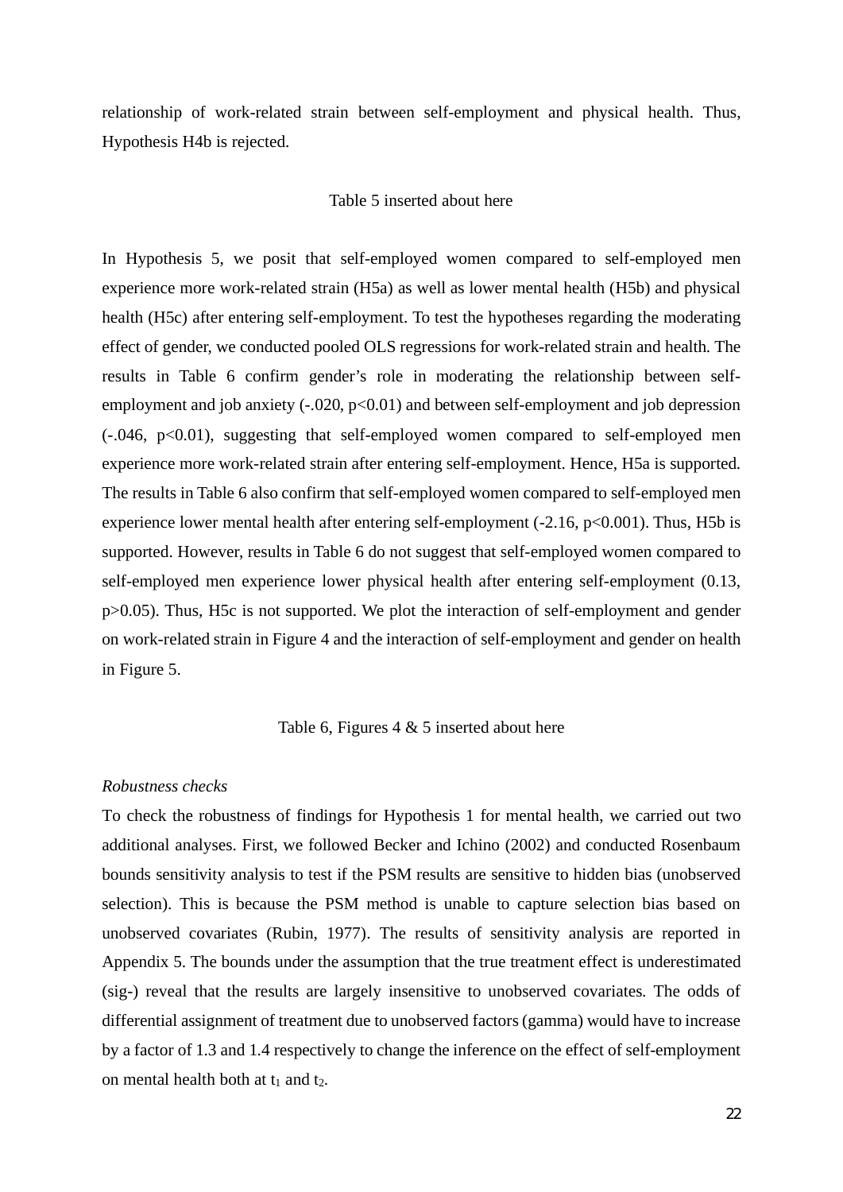relationship of work-related strain between self-employment and physical health. Thus, Hypothesis H4b is rejected.

# Table 5 inserted about here

In Hypothesis 5, we posit that self-employed women compared to self-employed men experience more work-related strain (H5a) as well as lower mental health (H5b) and physical health (H5c) after entering self-employment. To test the hypotheses regarding the moderating effect of gender, we conducted pooled OLS regressions for work-related strain and health. The results in Table 6 confirm gender's role in moderating the relationship between selfemployment and job anxiety  $(-.020, p<0.01)$  and between self-employment and job depression (-.046, p<0.01), suggesting that self-employed women compared to self-employed men experience more work-related strain after entering self-employment. Hence, H5a is supported. The results in Table 6 also confirm that self-employed women compared to self-employed men experience lower mental health after entering self-employment  $(-2.16, p<0.001)$ . Thus, H5b is supported. However, results in Table 6 do not suggest that self-employed women compared to self-employed men experience lower physical health after entering self-employment (0.13, p>0.05). Thus, H5c is not supported. We plot the interaction of self-employment and gender on work-related strain in Figure 4 and the interaction of self-employment and gender on health in Figure 5.

#### Table 6, Figures  $4 \& 5$  inserted about here

#### *Robustness checks*

To check the robustness of findings for Hypothesis 1 for mental health, we carried out two additional analyses. First, we followed Becker and Ichino (2002) and conducted Rosenbaum bounds sensitivity analysis to test if the PSM results are sensitive to hidden bias (unobserved selection). This is because the PSM method is unable to capture selection bias based on unobserved covariates (Rubin, 1977). The results of sensitivity analysis are reported in Appendix 5. The bounds under the assumption that the true treatment effect is underestimated (sig-) reveal that the results are largely insensitive to unobserved covariates. The odds of differential assignment of treatment due to unobserved factors (gamma) would have to increase by a factor of 1.3 and 1.4 respectively to change the inference on the effect of self-employment on mental health both at  $t_1$  and  $t_2$ .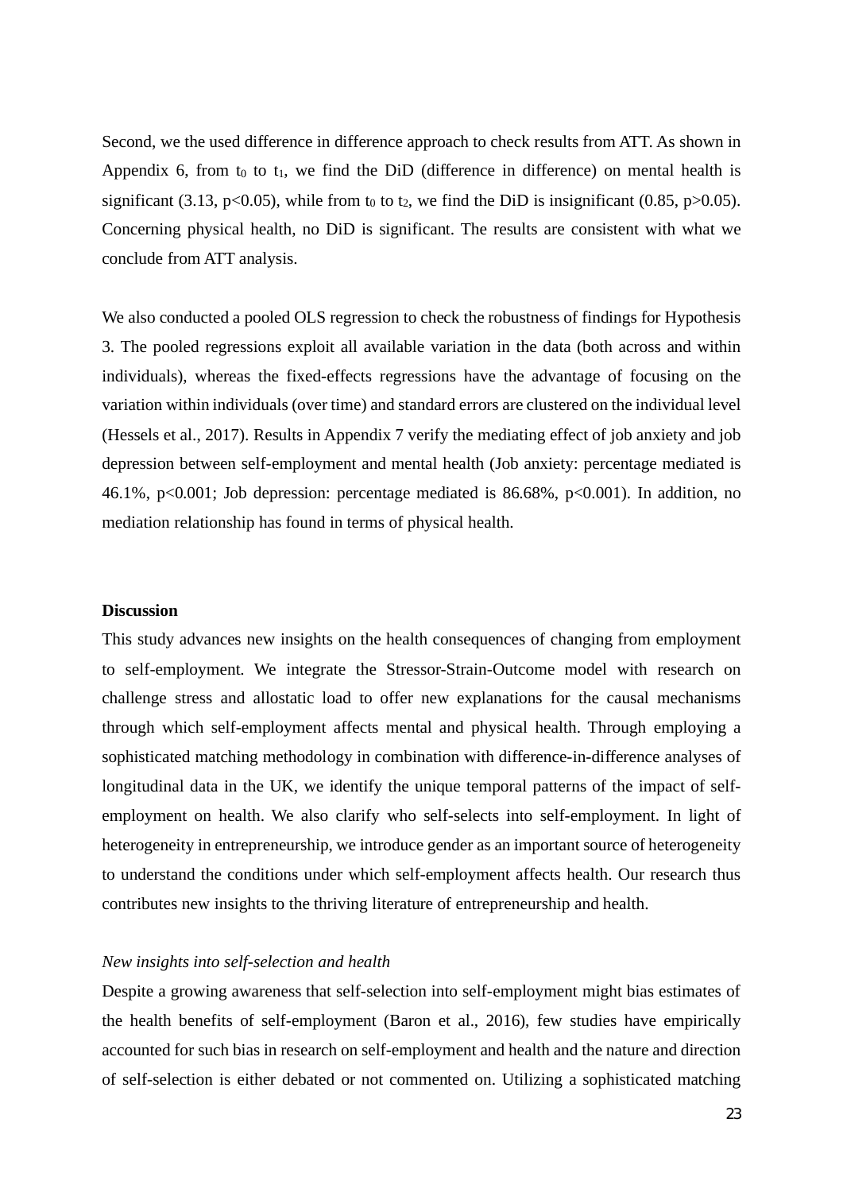Second, we the used difference in difference approach to check results from ATT. As shown in Appendix 6, from  $t_0$  to  $t_1$ , we find the DiD (difference in difference) on mental health is significant (3.13, p<0.05), while from  $t_0$  to  $t_2$ , we find the DiD is insignificant (0.85, p>0.05). Concerning physical health, no DiD is significant. The results are consistent with what we conclude from ATT analysis.

We also conducted a pooled OLS regression to check the robustness of findings for Hypothesis 3. The pooled regressions exploit all available variation in the data (both across and within individuals), whereas the fixed-effects regressions have the advantage of focusing on the variation within individuals (over time) and standard errors are clustered on the individual level (Hessels et al., 2017). Results in Appendix 7 verify the mediating effect of job anxiety and job depression between self-employment and mental health (Job anxiety: percentage mediated is 46.1%, p<0.001; Job depression: percentage mediated is 86.68%, p<0.001). In addition, no mediation relationship has found in terms of physical health.

#### **Discussion**

This study advances new insights on the health consequences of changing from employment to self-employment. We integrate the Stressor-Strain-Outcome model with research on challenge stress and allostatic load to offer new explanations for the causal mechanisms through which self-employment affects mental and physical health. Through employing a sophisticated matching methodology in combination with difference-in-difference analyses of longitudinal data in the UK, we identify the unique temporal patterns of the impact of selfemployment on health. We also clarify who self-selects into self-employment. In light of heterogeneity in entrepreneurship, we introduce gender as an important source of heterogeneity to understand the conditions under which self-employment affects health. Our research thus contributes new insights to the thriving literature of entrepreneurship and health.

### *New insights into self-selection and health*

Despite a growing awareness that self-selection into self-employment might bias estimates of the health benefits of self-employment (Baron et al., 2016), few studies have empirically accounted for such bias in research on self-employment and health and the nature and direction of self-selection is either debated or not commented on. Utilizing a sophisticated matching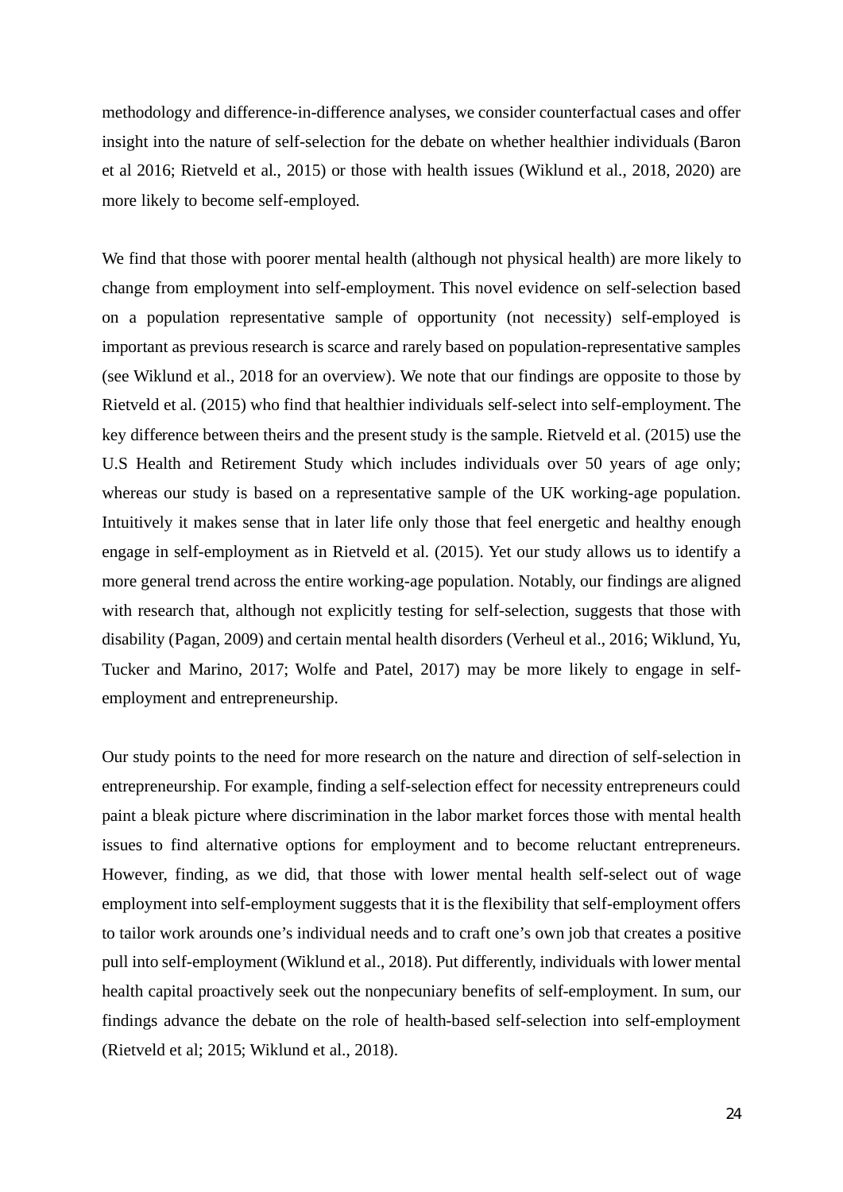methodology and difference-in-difference analyses, we consider counterfactual cases and offer insight into the nature of self-selection for the debate on whether healthier individuals (Baron et al 2016; Rietveld et al., 2015) or those with health issues (Wiklund et al., 2018, 2020) are more likely to become self-employed.

We find that those with poorer mental health (although not physical health) are more likely to change from employment into self-employment. This novel evidence on self-selection based on a population representative sample of opportunity (not necessity) self-employed is important as previous research is scarce and rarely based on population-representative samples (see Wiklund et al., 2018 for an overview). We note that our findings are opposite to those by Rietveld et al. (2015) who find that healthier individuals self-select into self-employment. The key difference between theirs and the present study is the sample. Rietveld et al. (2015) use the U.S Health and Retirement Study which includes individuals over 50 years of age only; whereas our study is based on a representative sample of the UK working-age population. Intuitively it makes sense that in later life only those that feel energetic and healthy enough engage in self-employment as in Rietveld et al. (2015). Yet our study allows us to identify a more general trend across the entire working-age population. Notably, our findings are aligned with research that, although not explicitly testing for self-selection, suggests that those with disability (Pagan, 2009) and certain mental health disorders (Verheul et al., 2016; Wiklund, Yu, Tucker and Marino, 2017; Wolfe and Patel, 2017) may be more likely to engage in selfemployment and entrepreneurship.

Our study points to the need for more research on the nature and direction of self-selection in entrepreneurship. For example, finding a self-selection effect for necessity entrepreneurs could paint a bleak picture where discrimination in the labor market forces those with mental health issues to find alternative options for employment and to become reluctant entrepreneurs. However, finding, as we did, that those with lower mental health self-select out of wage employment into self-employment suggests that it is the flexibility that self-employment offers to tailor work arounds one's individual needs and to craft one's own job that creates a positive pull into self-employment (Wiklund et al., 2018). Put differently, individuals with lower mental health capital proactively seek out the nonpecuniary benefits of self-employment. In sum, our findings advance the debate on the role of health-based self-selection into self-employment (Rietveld et al; 2015; Wiklund et al., 2018).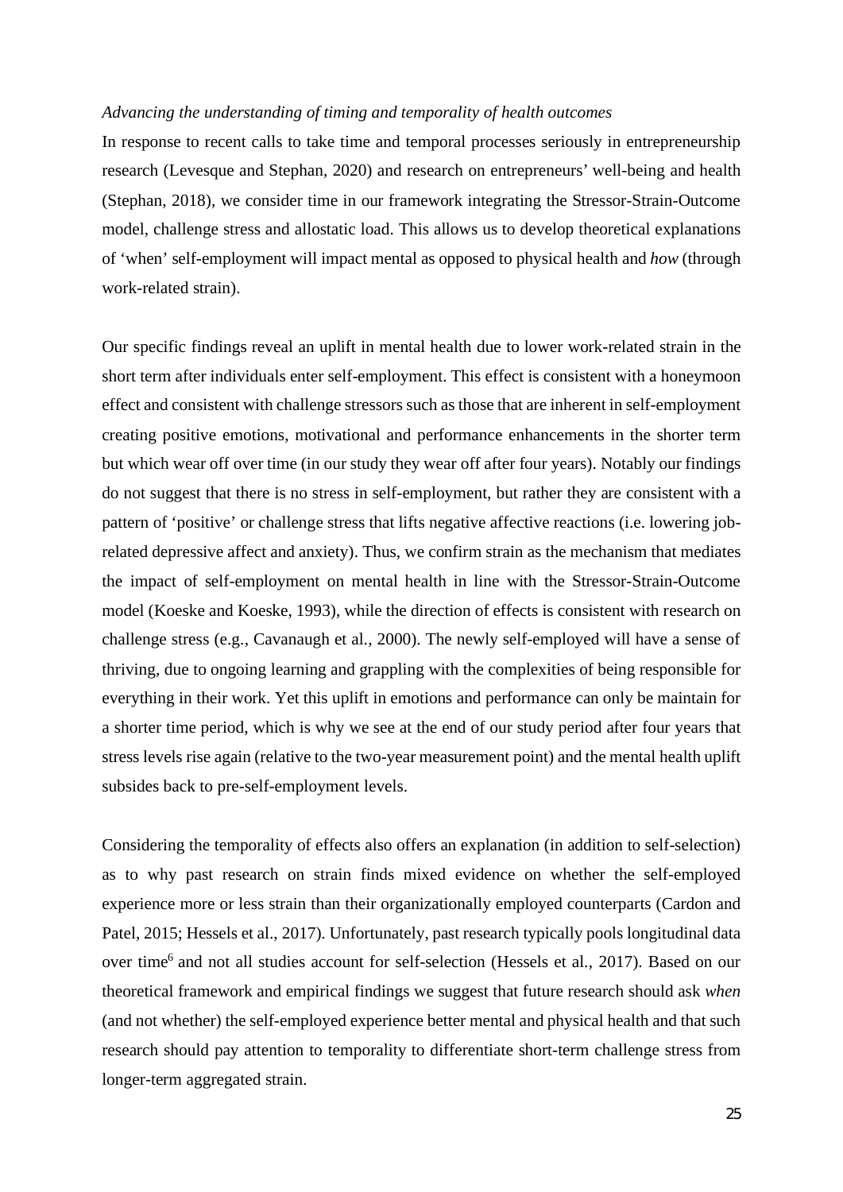#### *Advancing the understanding of timing and temporality of health outcomes*

In response to recent calls to take time and temporal processes seriously in entrepreneurship research (Levesque and Stephan, 2020) and research on entrepreneurs' well-being and health (Stephan, 2018), we consider time in our framework integrating the Stressor-Strain-Outcome model, challenge stress and allostatic load. This allows us to develop theoretical explanations of 'when' self-employment will impact mental as opposed to physical health and *how* (through work-related strain).

Our specific findings reveal an uplift in mental health due to lower work-related strain in the short term after individuals enter self-employment. This effect is consistent with a honeymoon effect and consistent with challenge stressors such as those that are inherent in self-employment creating positive emotions, motivational and performance enhancements in the shorter term but which wear off over time (in our study they wear off after four years). Notably our findings do not suggest that there is no stress in self-employment, but rather they are consistent with a pattern of 'positive' or challenge stress that lifts negative affective reactions (i.e. lowering jobrelated depressive affect and anxiety). Thus, we confirm strain as the mechanism that mediates the impact of self-employment on mental health in line with the Stressor-Strain-Outcome model (Koeske and Koeske, 1993), while the direction of effects is consistent with research on challenge stress (e.g., Cavanaugh et al., 2000). The newly self-employed will have a sense of thriving, due to ongoing learning and grappling with the complexities of being responsible for everything in their work. Yet this uplift in emotions and performance can only be maintain for a shorter time period, which is why we see at the end of our study period after four years that stress levels rise again (relative to the two-year measurement point) and the mental health uplift subsides back to pre-self-employment levels.

Considering the temporality of effects also offers an explanation (in addition to self-selection) as to why past research on strain finds mixed evidence on whether the self-employed experience more or less strain than their organizationally employed counterparts (Cardon and Patel, 2015; Hessels et al., 2017). Unfortunately, past research typically pools longitudinal data over time<sup>6</sup> and not all studies account for self-selection (Hessels et al., 2017). Based on our theoretical framework and empirical findings we suggest that future research should ask *when* (and not whether) the self-employed experience better mental and physical health and that such research should pay attention to temporality to differentiate short-term challenge stress from longer-term aggregated strain.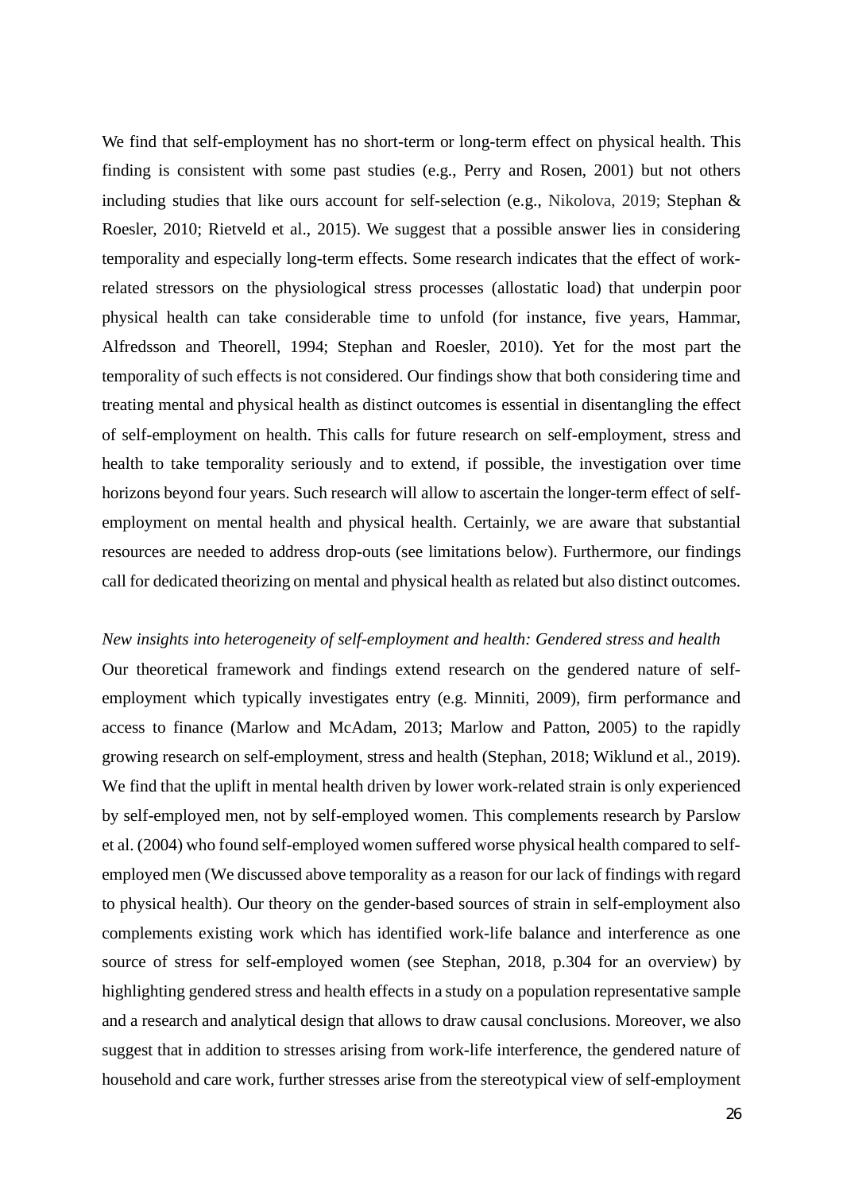We find that self-employment has no short-term or long-term effect on physical health. This finding is consistent with some past studies (e.g., Perry and Rosen, 2001) but not others including studies that like ours account for self-selection (e.g., Nikolova, 2019; Stephan & Roesler, 2010; Rietveld et al., 2015). We suggest that a possible answer lies in considering temporality and especially long-term effects. Some research indicates that the effect of workrelated stressors on the physiological stress processes (allostatic load) that underpin poor physical health can take considerable time to unfold (for instance, five years, Hammar, Alfredsson and Theorell, 1994; Stephan and Roesler, 2010). Yet for the most part the temporality of such effects is not considered. Our findings show that both considering time and treating mental and physical health as distinct outcomes is essential in disentangling the effect of self-employment on health. This calls for future research on self-employment, stress and health to take temporality seriously and to extend, if possible, the investigation over time horizons beyond four years. Such research will allow to ascertain the longer-term effect of selfemployment on mental health and physical health. Certainly, we are aware that substantial resources are needed to address drop-outs (see limitations below). Furthermore, our findings call for dedicated theorizing on mental and physical health as related but also distinct outcomes.

#### *New insights into heterogeneity of self-employment and health: Gendered stress and health*

Our theoretical framework and findings extend research on the gendered nature of selfemployment which typically investigates entry (e.g. Minniti, 2009), firm performance and access to finance (Marlow and McAdam, 2013; Marlow and Patton, 2005) to the rapidly growing research on self-employment, stress and health (Stephan, 2018; Wiklund et al., 2019). We find that the uplift in mental health driven by lower work-related strain is only experienced by self-employed men, not by self-employed women. This complements research by Parslow et al. (2004) who found self-employed women suffered worse physical health compared to selfemployed men (We discussed above temporality as a reason for our lack of findings with regard to physical health). Our theory on the gender-based sources of strain in self-employment also complements existing work which has identified work-life balance and interference as one source of stress for self-employed women (see Stephan, 2018, p.304 for an overview) by highlighting gendered stress and health effects in a study on a population representative sample and a research and analytical design that allows to draw causal conclusions. Moreover, we also suggest that in addition to stresses arising from work-life interference, the gendered nature of household and care work, further stresses arise from the stereotypical view of self-employment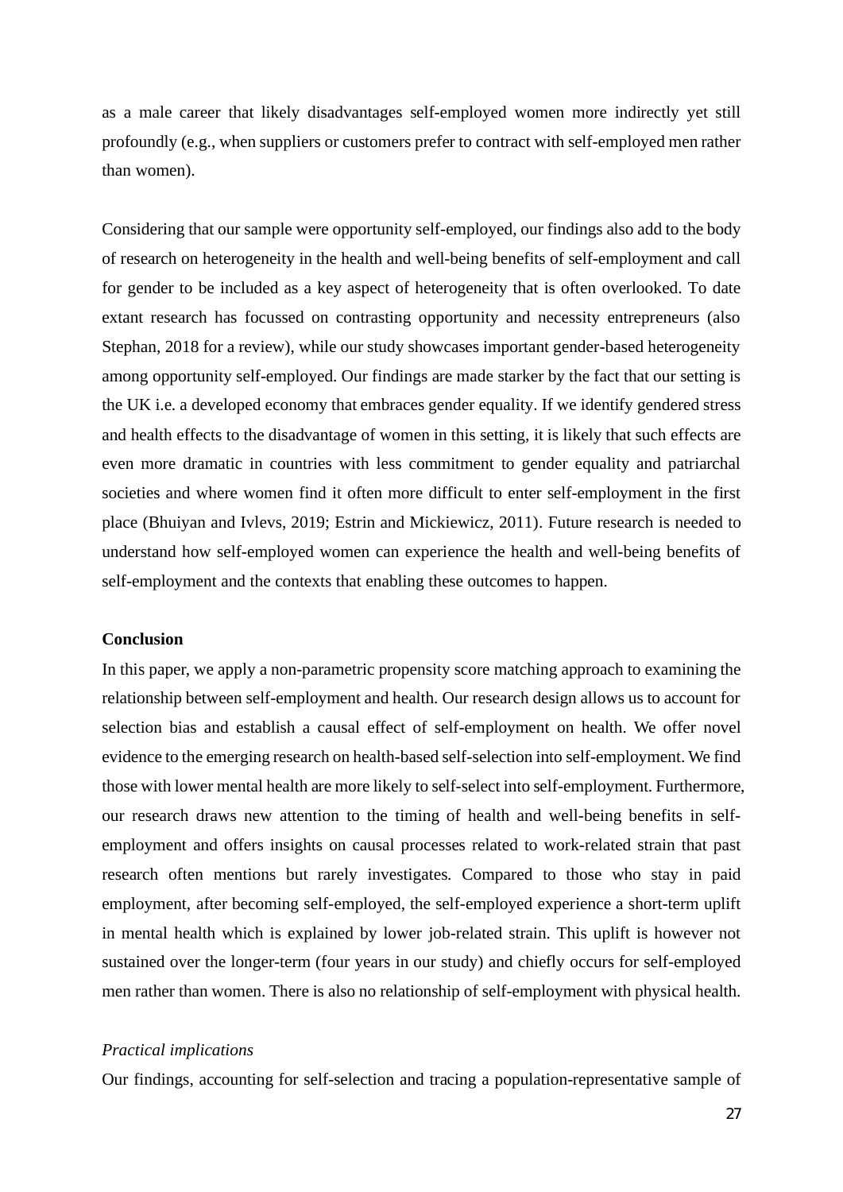as a male career that likely disadvantages self-employed women more indirectly yet still profoundly (e.g., when suppliers or customers prefer to contract with self-employed men rather than women).

Considering that our sample were opportunity self-employed, our findings also add to the body of research on heterogeneity in the health and well-being benefits of self-employment and call for gender to be included as a key aspect of heterogeneity that is often overlooked. To date extant research has focussed on contrasting opportunity and necessity entrepreneurs (also Stephan, 2018 for a review), while our study showcases important gender-based heterogeneity among opportunity self-employed. Our findings are made starker by the fact that our setting is the UK i.e. a developed economy that embraces gender equality. If we identify gendered stress and health effects to the disadvantage of women in this setting, it is likely that such effects are even more dramatic in countries with less commitment to gender equality and patriarchal societies and where women find it often more difficult to enter self-employment in the first place (Bhuiyan and Ivlevs, 2019; Estrin and Mickiewicz, 2011). Future research is needed to understand how self-employed women can experience the health and well-being benefits of self-employment and the contexts that enabling these outcomes to happen.

#### **Conclusion**

In this paper, we apply a non-parametric propensity score matching approach to examining the relationship between self-employment and health. Our research design allows us to account for selection bias and establish a causal effect of self-employment on health. We offer novel evidence to the emerging research on health-based self-selection into self-employment. We find those with lower mental health are more likely to self-select into self-employment. Furthermore, our research draws new attention to the timing of health and well-being benefits in selfemployment and offers insights on causal processes related to work-related strain that past research often mentions but rarely investigates. Compared to those who stay in paid employment, after becoming self-employed, the self-employed experience a short-term uplift in mental health which is explained by lower job-related strain. This uplift is however not sustained over the longer-term (four years in our study) and chiefly occurs for self-employed men rather than women. There is also no relationship of self-employment with physical health.

#### *Practical implications*

Our findings, accounting for self-selection and tracing a population-representative sample of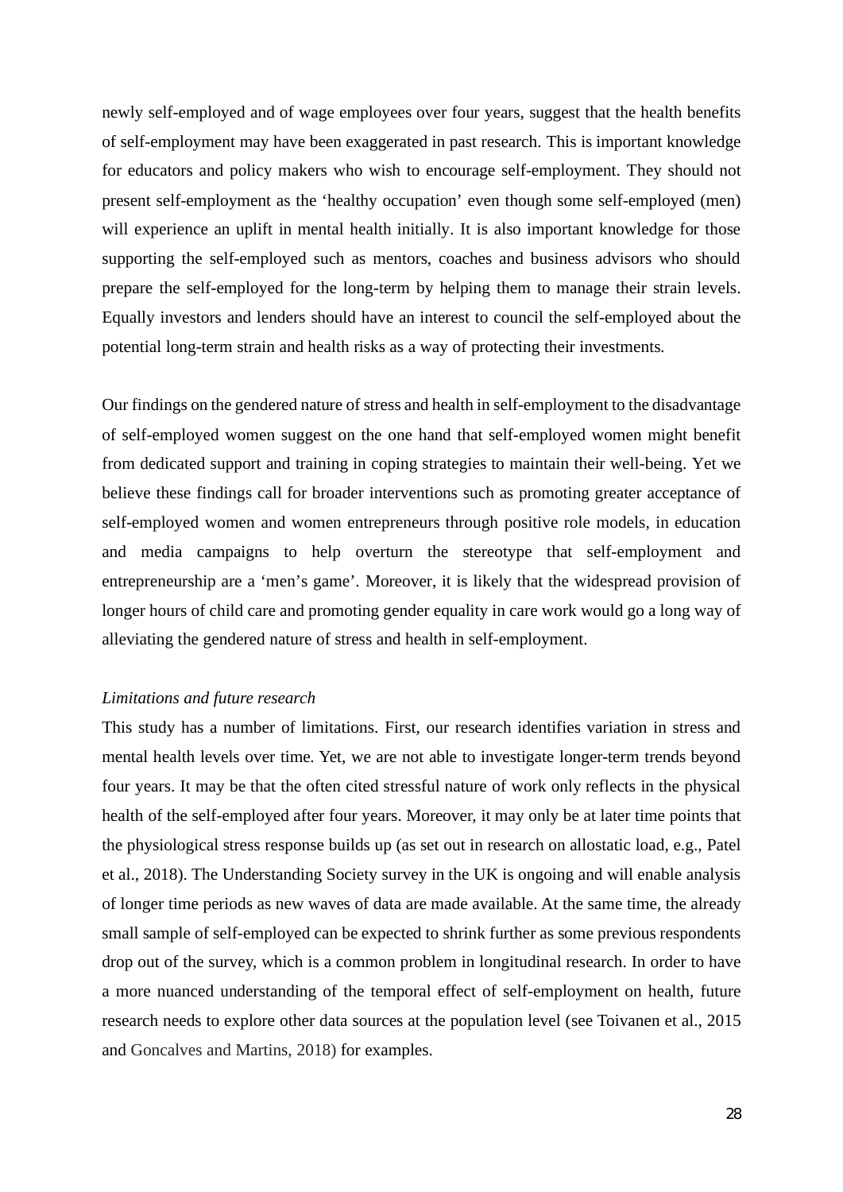newly self-employed and of wage employees over four years, suggest that the health benefits of self-employment may have been exaggerated in past research. This is important knowledge for educators and policy makers who wish to encourage self-employment. They should not present self-employment as the 'healthy occupation' even though some self-employed (men) will experience an uplift in mental health initially. It is also important knowledge for those supporting the self-employed such as mentors, coaches and business advisors who should prepare the self-employed for the long-term by helping them to manage their strain levels. Equally investors and lenders should have an interest to council the self-employed about the potential long-term strain and health risks as a way of protecting their investments.

Our findings on the gendered nature of stress and health in self-employment to the disadvantage of self-employed women suggest on the one hand that self-employed women might benefit from dedicated support and training in coping strategies to maintain their well-being. Yet we believe these findings call for broader interventions such as promoting greater acceptance of self-employed women and women entrepreneurs through positive role models, in education and media campaigns to help overturn the stereotype that self-employment and entrepreneurship are a 'men's game'. Moreover, it is likely that the widespread provision of longer hours of child care and promoting gender equality in care work would go a long way of alleviating the gendered nature of stress and health in self-employment.

### *Limitations and future research*

This study has a number of limitations. First, our research identifies variation in stress and mental health levels over time. Yet, we are not able to investigate longer-term trends beyond four years. It may be that the often cited stressful nature of work only reflects in the physical health of the self-employed after four years. Moreover, it may only be at later time points that the physiological stress response builds up (as set out in research on allostatic load, e.g., Patel et al., 2018). The Understanding Society survey in the UK is ongoing and will enable analysis of longer time periods as new waves of data are made available. At the same time, the already small sample of self-employed can be expected to shrink further as some previous respondents drop out of the survey, which is a common problem in longitudinal research. In order to have a more nuanced understanding of the temporal effect of self-employment on health, future research needs to explore other data sources at the population level (see Toivanen et al., 2015 and Goncalves and Martins, 2018) for examples.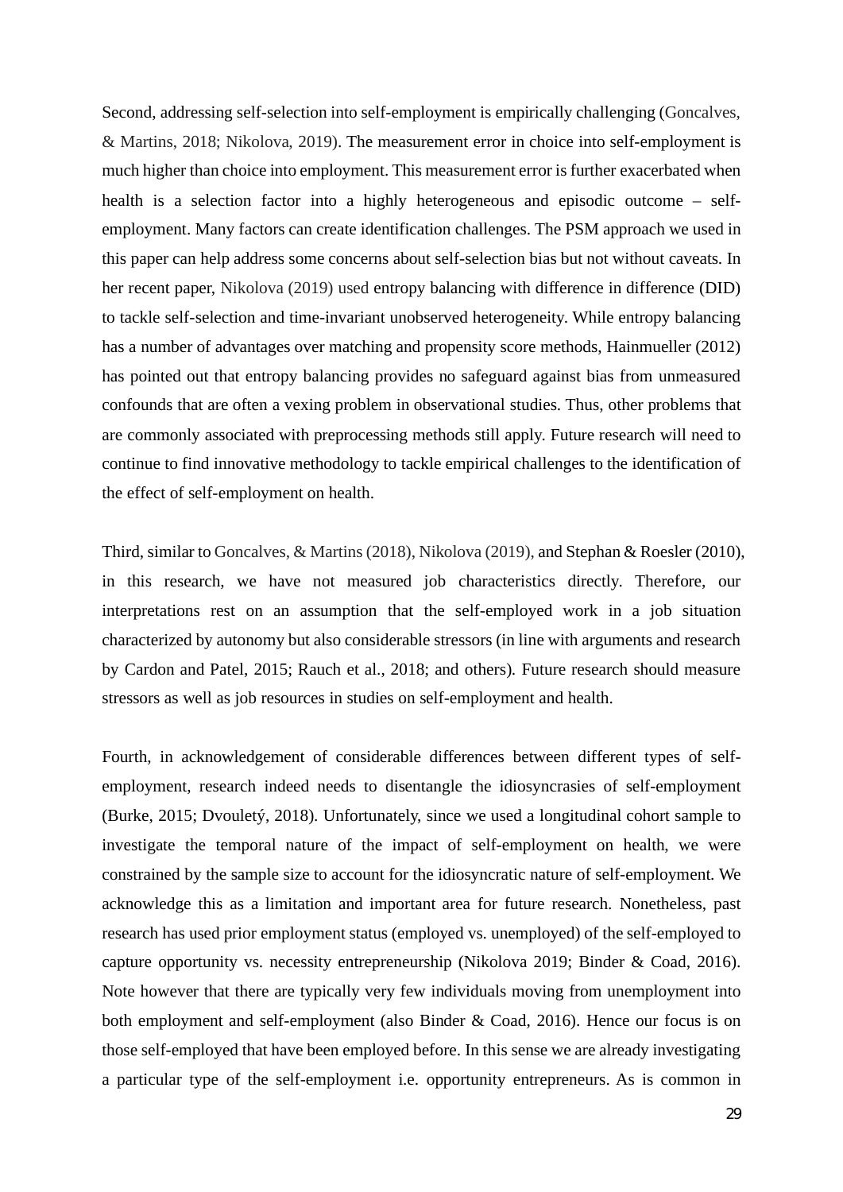Second, addressing self-selection into self-employment is empirically challenging (Goncalves, & Martins, 2018; Nikolova, 2019). The measurement error in choice into self-employment is much higher than choice into employment. This measurement error is further exacerbated when health is a selection factor into a highly heterogeneous and episodic outcome – selfemployment. Many factors can create identification challenges. The PSM approach we used in this paper can help address some concerns about self-selection bias but not without caveats. In her recent paper, Nikolova (2019) used entropy balancing with difference in difference (DID) to tackle self-selection and time-invariant unobserved heterogeneity. While entropy balancing has a number of advantages over matching and propensity score methods, Hainmueller (2012) has pointed out that entropy balancing provides no safeguard against bias from unmeasured confounds that are often a vexing problem in observational studies. Thus, other problems that are commonly associated with preprocessing methods still apply. Future research will need to continue to find innovative methodology to tackle empirical challenges to the identification of the effect of self-employment on health.

Third, similar to Goncalves, & Martins (2018), Nikolova (2019), and Stephan & Roesler (2010), in this research, we have not measured job characteristics directly. Therefore, our interpretations rest on an assumption that the self-employed work in a job situation characterized by autonomy but also considerable stressors (in line with arguments and research by Cardon and Patel, 2015; Rauch et al., 2018; and others). Future research should measure stressors as well as job resources in studies on self-employment and health.

Fourth, in acknowledgement of considerable differences between different types of selfemployment, research indeed needs to disentangle the idiosyncrasies of self-employment (Burke, 2015; Dvouletý, 2018). Unfortunately, since we used a longitudinal cohort sample to investigate the temporal nature of the impact of self-employment on health, we were constrained by the sample size to account for the idiosyncratic nature of self-employment. We acknowledge this as a limitation and important area for future research. Nonetheless, past research has used prior employment status (employed vs. unemployed) of the self-employed to capture opportunity vs. necessity entrepreneurship (Nikolova 2019; Binder & Coad, 2016). Note however that there are typically very few individuals moving from unemployment into both employment and self-employment (also Binder & Coad, 2016). Hence our focus is on those self-employed that have been employed before. In this sense we are already investigating a particular type of the self-employment i.e. opportunity entrepreneurs. As is common in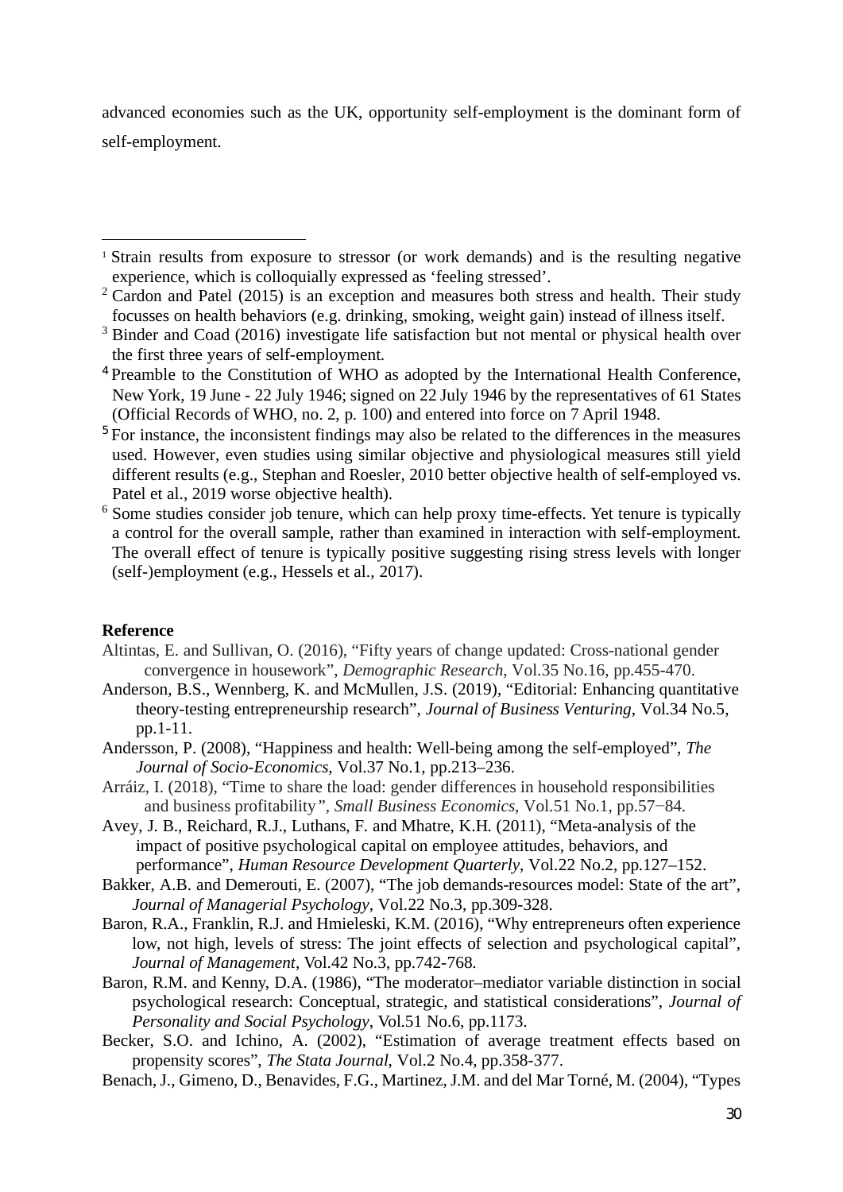advanced economies such as the UK, opportunity self-employment is the dominant form of self-employment.

# **Reference**

- Altintas, E. and Sullivan, O. (2016), "Fifty years of change updated: Cross-national gender convergence in housework", *Demographic Research*, Vol.35 No.16, pp.455-470.
- Anderson, B.S., Wennberg, K. and McMullen, J.S. (2019), "Editorial: Enhancing quantitative theory-testing entrepreneurship research", *Journal of Business Venturing*, Vol.34 No.5, pp.1-11.
- Andersson, P. (2008), "Happiness and health: Well-being among the self-employed", *The Journal of Socio-Economics*, Vol.37 No.1, pp.213–236.
- Arráiz, I. (2018), "Time to share the load: gender differences in household responsibilities and business profitability*", Small Business Economics*, Vol.51 No.1, pp.57−84.
- Avey, J. B., Reichard, R.J., Luthans, F. and Mhatre, K.H. (2011), "Meta-analysis of the impact of positive psychological capital on employee attitudes, behaviors, and performance", *Human Resource Development Quarterly*, Vol.22 No.2, pp.127–152.
- Bakker, A.B. and Demerouti, E. (2007), "The job demands-resources model: State of the art", *Journal of Managerial Psychology*, Vol.22 No.3, pp.309-328.
- Baron, R.A., Franklin, R.J. and Hmieleski, K.M. (2016), "Why entrepreneurs often experience low, not high, levels of stress: The joint effects of selection and psychological capital", *Journal of Management*, Vol.42 No.3, pp.742-768.
- Baron, R.M. and Kenny, D.A. (1986), "The moderator–mediator variable distinction in social psychological research: Conceptual, strategic, and statistical considerations", *Journal of Personality and Social Psychology*, Vol.51 No.6, pp.1173.
- Becker, S.O. and Ichino, A. (2002), "Estimation of average treatment effects based on propensity scores", *The Stata Journal*, Vol.2 No.4, pp.358-377.
- Benach, J., Gimeno, D., Benavides, F.G., Martinez, J.M. and del Mar Torné, M. (2004), "Types

<sup>1</sup> Strain results from exposure to stressor (or work demands) and is the resulting negative experience, which is colloquially expressed as 'feeling stressed'.

 $2$  Cardon and Patel (2015) is an exception and measures both stress and health. Their study focusses on health behaviors (e.g. drinking, smoking, weight gain) instead of illness itself.

<sup>&</sup>lt;sup>3</sup> Binder and Coad (2016) investigate life satisfaction but not mental or physical health over the first three years of self-employment.

<sup>4</sup> Preamble to the Constitution of WHO as adopted by the International Health Conference, New York, 19 June - 22 July 1946; signed on 22 July 1946 by the representatives of 61 States (Official Records of WHO, no. 2, p. 100) and entered into force on 7 April 1948.

<sup>&</sup>lt;sup>5</sup> For instance, the inconsistent findings may also be related to the differences in the measures used. However, even studies using similar objective and physiological measures still yield different results (e.g., Stephan and Roesler, 2010 better objective health of self-employed vs. Patel et al., 2019 worse objective health).

<sup>&</sup>lt;sup>6</sup> Some studies consider job tenure, which can help proxy time-effects. Yet tenure is typically a control for the overall sample, rather than examined in interaction with self-employment. The overall effect of tenure is typically positive suggesting rising stress levels with longer (self-)employment (e.g., Hessels et al., 2017).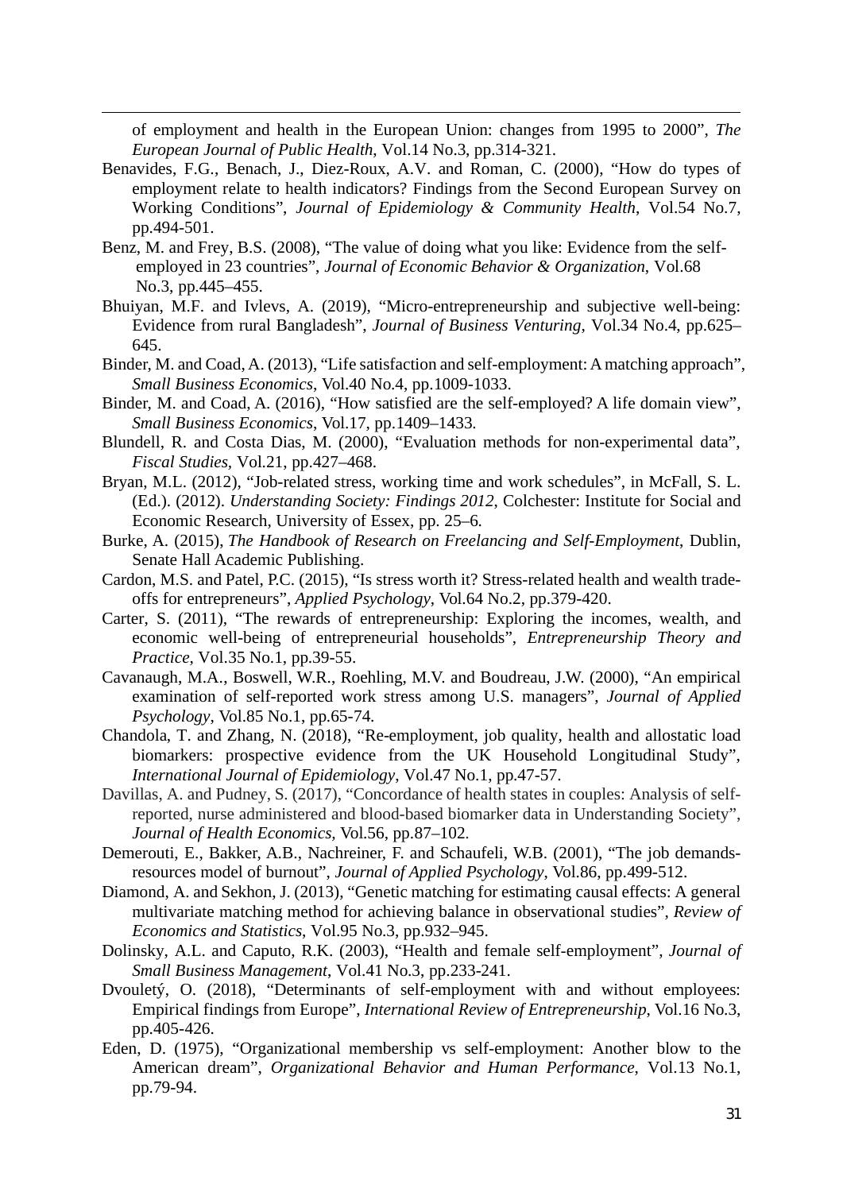of employment and health in the European Union: changes from 1995 to 2000", *The European Journal of Public Health*, Vol.14 No.3, pp.314-321.

- Benavides, F.G., Benach, J., Diez-Roux, A.V. and Roman, C. (2000), "How do types of employment relate to health indicators? Findings from the Second European Survey on Working Conditions", *Journal of Epidemiology & Community Health*, Vol.54 No.7, pp.494-501.
- Benz, M. and Frey, B.S. (2008), "The value of doing what you like: Evidence from the selfemployed in 23 countries", *Journal of Economic Behavior & Organization*, Vol.68 No.3, pp.445–455.
- Bhuiyan, M.F. and Ivlevs, A. (2019), "Micro-entrepreneurship and subjective well-being: Evidence from rural Bangladesh", *Journal of Business Venturing,* Vol.34 No.4, pp.625– 645.
- Binder, M. and Coad, A. (2013), "Life satisfaction and self-employment: A matching approach", *Small Business Economics*, Vol.40 No.4, pp.1009-1033.
- Binder, M. and Coad, A. (2016), "How satisfied are the self-employed? A life domain view", *Small Business Economics*, Vol.17, pp.1409–1433.
- Blundell, R. and Costa Dias, M. (2000), "Evaluation methods for non-experimental data", *Fiscal Studies,* Vol.21, pp.427–468.
- Bryan, M.L. (2012), "Job-related stress, working time and work schedules", in McFall, S. L. (Ed.). (2012). *Understanding Society: Findings 2012*, Colchester: Institute for Social and Economic Research, University of Essex, pp. 25–6.
- Burke, A. (2015), *The Handbook of Research on Freelancing and Self-Employment*, Dublin, Senate Hall Academic Publishing.
- Cardon, M.S. and Patel, P.C. (2015), "Is stress worth it? Stress-related health and wealth tradeoffs for entrepreneurs", *Applied Psychology*, Vol.64 No.2, pp.379-420.
- Carter, S. (2011), "The rewards of entrepreneurship: Exploring the incomes, wealth, and economic well-being of entrepreneurial households", *Entrepreneurship Theory and Practice*, Vol.35 No.1, pp.39-55.
- Cavanaugh, M.A., Boswell, W.R., Roehling, M.V. and Boudreau, J.W. (2000), "An empirical examination of self-reported work stress among U.S. managers", *Journal of Applied Psychology*, Vol.85 No.1, pp.65-74.
- Chandola, T. and Zhang, N. (2018), "Re-employment, job quality, health and allostatic load biomarkers: prospective evidence from the UK Household Longitudinal Study", *International Journal of Epidemiology*, Vol.47 No.1, pp.47-57.
- Davillas, A. and Pudney, S. (2017), "Concordance of health states in couples: Analysis of selfreported, nurse administered and blood-based biomarker data in Understanding Society", *Journal of Health Economics,* Vol.56, pp.87–102.
- Demerouti, E., Bakker, A.B., Nachreiner, F. and Schaufeli, W.B. (2001), "The job demandsresources model of burnout", *Journal of Applied Psychology*, Vol.86, pp.499-512.
- Diamond, A. and Sekhon, J. (2013), "Genetic matching for estimating causal effects: A general multivariate matching method for achieving balance in observational studies", *Review of Economics and Statistics*, Vol.95 No.3, pp.932–945.
- Dolinsky, A.L. and Caputo, R.K. (2003), "Health and female self‐employment", *Journal of Small Business Management*, Vol.41 No.3, pp.233-241.
- Dvouletý, O. (2018), "Determinants of self-employment with and without employees: Empirical findings from Europe", *International Review of Entrepreneurship*, Vol.16 No.3, pp.405-426.
- Eden, D. (1975), "Organizational membership vs self-employment: Another blow to the American dream", *Organizational Behavior and Human Performance*, Vol.13 No.1, pp.79-94.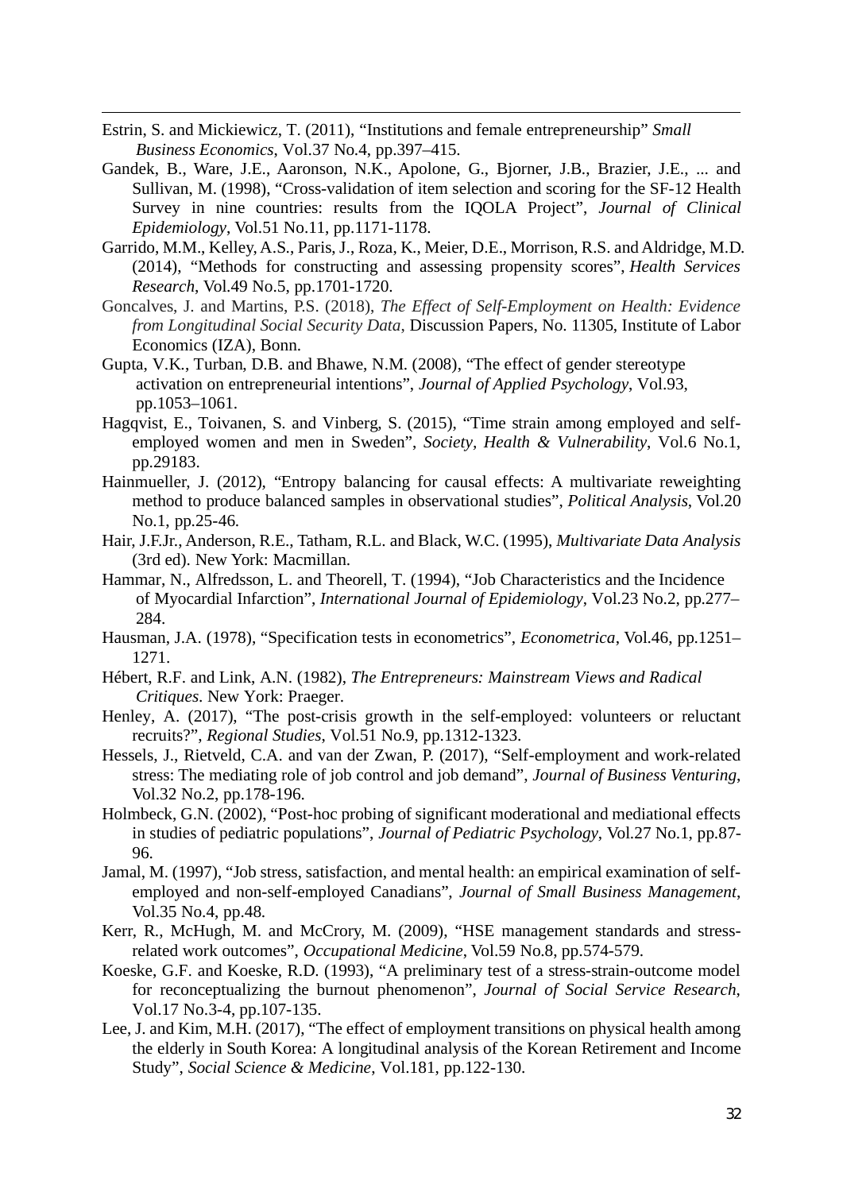- Estrin, S. and Mickiewicz, T. (2011), "Institutions and female entrepreneurship" *Small Business Economics*, Vol.37 No.4, pp.397–415.
- Gandek, B., Ware, J.E., Aaronson, N.K., Apolone, G., Bjorner, J.B., Brazier, J.E., ... and Sullivan, M. (1998), "Cross-validation of item selection and scoring for the SF-12 Health Survey in nine countries: results from the IQOLA Project", *Journal of Clinical Epidemiology*, Vol.51 No.11, pp.1171-1178.
- Garrido, M.M., Kelley, A.S., Paris, J., Roza, K., Meier, D.E., Morrison, R.S. and Aldridge, M.D. (2014), "Methods for constructing and assessing propensity scores", *Health Services Research*, Vol.49 No.5, pp.1701-1720.
- Goncalves, J. and Martins, P.S. (2018), *The Effect of Self-Employment on Health: Evidence from Longitudinal Social Security Data*, Discussion Papers, No. 11305, Institute of Labor Economics (IZA), Bonn.
- Gupta, V.K., Turban, D.B. and Bhawe, N.M. (2008), "The effect of gender stereotype activation on entrepreneurial intentions", *Journal of Applied Psychology*, Vol.93, pp.1053–1061.
- Hagqvist, E., Toivanen, S. and Vinberg, S. (2015), "Time strain among employed and selfemployed women and men in Sweden", *Society, Health & Vulnerability*, Vol.6 No.1, pp.29183.
- Hainmueller, J. (2012), "Entropy balancing for causal effects: A multivariate reweighting method to produce balanced samples in observational studies", *Political Analysis*, Vol.20 No.1, pp.25-46.
- Hair, J.F.Jr., Anderson, R.E., Tatham, R.L. and Black, W.C. (1995), *Multivariate Data Analysis* (3rd ed). New York: Macmillan.
- Hammar, N., Alfredsson, L. and Theorell, T. (1994), "Job Characteristics and the Incidence of Myocardial Infarction", *International Journal of Epidemiology*, Vol.23 No.2, pp.277– 284.
- Hausman, J.A. (1978), "Specification tests in econometrics", *Econometrica*, Vol.46, pp.1251– 1271.
- Hébert, R.F. and Link, A.N. (1982), *The Entrepreneurs: Mainstream Views and Radical Critiques*. New York: Praeger.
- Henley, A. (2017), "The post-crisis growth in the self-employed: volunteers or reluctant recruits?", *Regional Studies*, Vol.51 No.9, pp.1312-1323.
- Hessels, J., Rietveld, C.A. and van der Zwan, P. (2017), "Self-employment and work-related stress: The mediating role of job control and job demand", *Journal of Business Venturing*, Vol.32 No.2, pp.178-196.
- Holmbeck, G.N. (2002), "Post-hoc probing of significant moderational and mediational effects in studies of pediatric populations", *Journal of Pediatric Psychology*, Vol.27 No.1, pp.87- 96.
- Jamal, M. (1997), "Job stress, satisfaction, and mental health: an empirical examination of selfemployed and non-self-employed Canadians", *Journal of Small Business Management*, Vol.35 No.4, pp.48.
- Kerr, R., McHugh, M. and McCrory, M. (2009), "HSE management standards and stressrelated work outcomes", *Occupational Medicine*, Vol.59 No.8, pp.574-579.
- Koeske, G.F. and Koeske, R.D. (1993), "A preliminary test of a stress-strain-outcome model for reconceptualizing the burnout phenomenon", *Journal of Social Service Research*, Vol.17 No.3-4, pp.107-135.
- Lee, J. and Kim, M.H. (2017), "The effect of employment transitions on physical health among the elderly in South Korea: A longitudinal analysis of the Korean Retirement and Income Study", *Social Science & Medicine*, Vol.181, pp.122-130.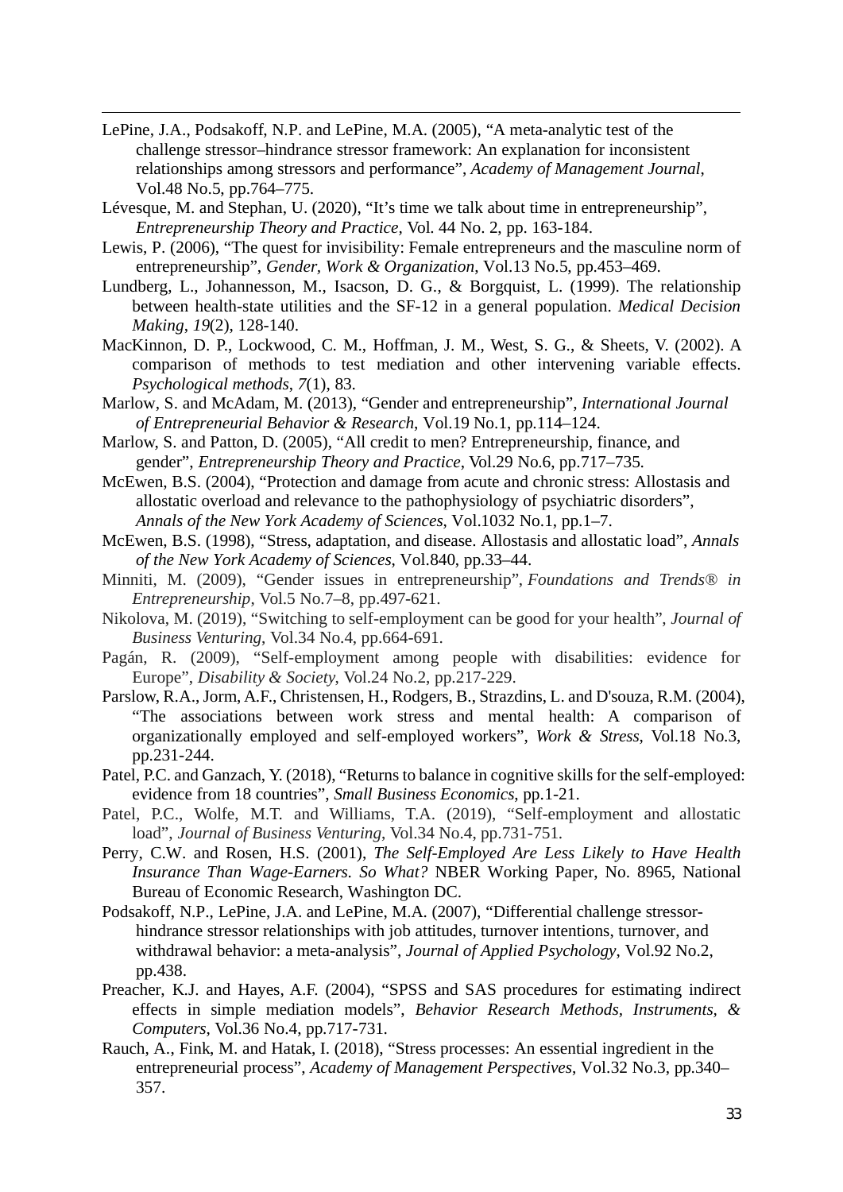- LePine, J.A., Podsakoff, N.P. and LePine, M.A. (2005), "A meta-analytic test of the challenge stressor–hindrance stressor framework: An explanation for inconsistent relationships among stressors and performance", *Academy of Management Journal*, Vol.48 No.5, pp.764–775.
- Lévesque, M. and Stephan, U. (2020), "It's time we talk about time in entrepreneurship", *Entrepreneurship Theory and Practice,* Vol. 44 No. 2, pp. 163-184.
- Lewis, P. (2006), "The quest for invisibility: Female entrepreneurs and the masculine norm of entrepreneurship", *Gender, Work & Organization*, Vol.13 No.5, pp.453–469.
- Lundberg, L., Johannesson, M., Isacson, D. G., & Borgquist, L. (1999). The relationship between health-state utilities and the SF-12 in a general population. *Medical Decision Making*, *19*(2), 128-140.
- MacKinnon, D. P., Lockwood, C. M., Hoffman, J. M., West, S. G., & Sheets, V. (2002). A comparison of methods to test mediation and other intervening variable effects. *Psychological methods*, *7*(1), 83.
- Marlow, S. and McAdam, M. (2013), "Gender and entrepreneurship", *International Journal of Entrepreneurial Behavior & Research*, Vol.19 No.1, pp.114–124.
- Marlow, S. and Patton, D. (2005), "All credit to men? Entrepreneurship, finance, and gender", *Entrepreneurship Theory and Practice*, Vol.29 No.6, pp.717–735.
- McEwen, B.S. (2004), "Protection and damage from acute and chronic stress: Allostasis and allostatic overload and relevance to the pathophysiology of psychiatric disorders", *Annals of the New York Academy of Sciences*, Vol.1032 No.1, pp.1–7.
- McEwen, B.S. (1998), "Stress, adaptation, and disease. Allostasis and allostatic load", *Annals of the New York Academy of Sciences*, Vol.840, pp.33–44.
- Minniti, M. (2009), "Gender issues in entrepreneurship", *Foundations and Trends® in Entrepreneurship*, Vol.5 No.7–8, pp.497-621.
- Nikolova, M. (2019), "Switching to self-employment can be good for your health", *Journal of Business Venturing*, Vol.34 No.4, pp.664-691.
- Pagán, R. (2009), "Self-employment among people with disabilities: evidence for Europe", *Disability & Society*, Vol.24 No.2, pp.217-229.
- Parslow, R.A., Jorm, A.F., Christensen, H., Rodgers, B., Strazdins, L. and D'souza, R.M. (2004), "The associations between work stress and mental health: A comparison of organizationally employed and self-employed workers", *Work & Stress*, Vol.18 No.3, pp.231-244.
- Patel, P.C. and Ganzach, Y. (2018), "Returns to balance in cognitive skills for the self-employed: evidence from 18 countries", *Small Business Economics*, pp.1-21.
- Patel, P.C., Wolfe, M.T. and Williams, T.A. (2019), "Self-employment and allostatic load", *Journal of Business Venturing*, Vol.34 No.4, pp.731-751.
- Perry, C.W. and Rosen, H.S. (2001), *The Self-Employed Are Less Likely to Have Health Insurance Than Wage-Earners. So What?* NBER Working Paper, No. 8965, National Bureau of Economic Research, Washington DC.
- Podsakoff, N.P., LePine, J.A. and LePine, M.A. (2007), "Differential challenge stressorhindrance stressor relationships with job attitudes, turnover intentions, turnover, and withdrawal behavior: a meta-analysis", *Journal of Applied Psychology*, Vol.92 No.2, pp.438.
- Preacher, K.J. and Hayes, A.F. (2004), "SPSS and SAS procedures for estimating indirect effects in simple mediation models", *Behavior Research Methods, Instruments, & Computers*, Vol.36 No.4, pp.717-731.
- Rauch, A., Fink, M. and Hatak, I. (2018), "Stress processes: An essential ingredient in the entrepreneurial process", *Academy of Management Perspectives*, Vol.32 No.3, pp.340– 357.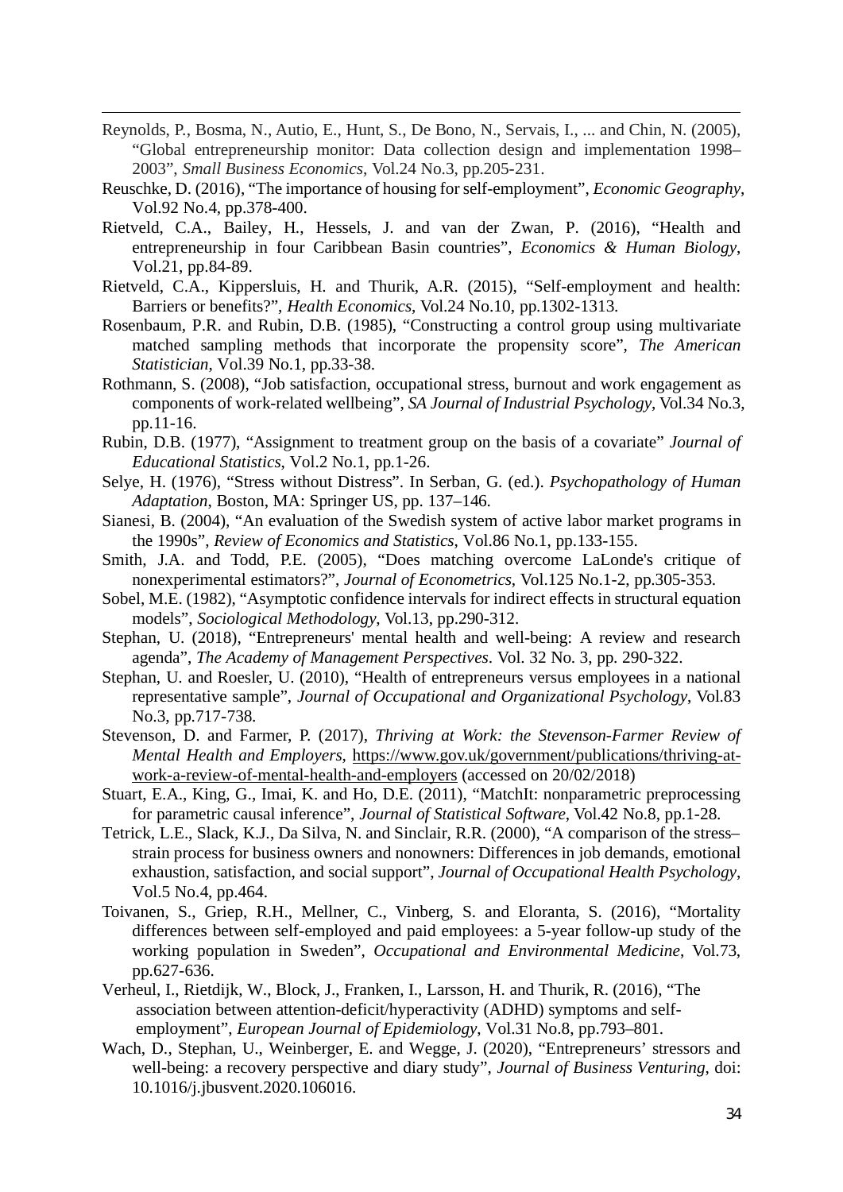- Reynolds, P., Bosma, N., Autio, E., Hunt, S., De Bono, N., Servais, I., ... and Chin, N. (2005), "Global entrepreneurship monitor: Data collection design and implementation 1998– 2003", *Small Business Economics*, Vol.24 No.3, pp.205-231.
- Reuschke, D. (2016), "The importance of housing for self-employment", *Economic Geography*, Vol.92 No.4, pp.378-400.
- Rietveld, C.A., Bailey, H., Hessels, J. and van der Zwan, P. (2016), "Health and entrepreneurship in four Caribbean Basin countries", *Economics & Human Biology*, Vol.21, pp.84-89.
- Rietveld, C.A., Kippersluis, H. and Thurik, A.R. (2015), "Self-employment and health: Barriers or benefits?", *Health Economics*, Vol.24 No.10, pp.1302-1313.
- Rosenbaum, P.R. and Rubin, D.B. (1985), "Constructing a control group using multivariate matched sampling methods that incorporate the propensity score", *The American Statistician*, Vol.39 No.1, pp.33-38.
- Rothmann, S. (2008), "Job satisfaction, occupational stress, burnout and work engagement as components of work-related wellbeing", *SA Journal of Industrial Psychology*, Vol.34 No.3, pp.11-16.
- Rubin, D.B. (1977), "Assignment to treatment group on the basis of a covariate" *Journal of Educational Statistics*, Vol.2 No.1, pp.1-26.
- Selye, H. (1976), "Stress without Distress". In Serban, G. (ed.). *Psychopathology of Human Adaptation*, Boston, MA: Springer US, pp. 137–146.
- Sianesi, B. (2004), "An evaluation of the Swedish system of active labor market programs in the 1990s", *Review of Economics and Statistics*, Vol.86 No.1, pp.133-155.
- Smith, J.A. and Todd, P.E. (2005), "Does matching overcome LaLonde's critique of nonexperimental estimators?", *Journal of Econometrics*, Vol.125 No.1-2, pp.305-353.
- Sobel, M.E. (1982), "Asymptotic confidence intervals for indirect effects in structural equation models", *Sociological Methodology*, Vol.13, pp.290-312.
- Stephan, U. (2018), "Entrepreneurs' mental health and well-being: A review and research agenda", *The Academy of Management Perspectives*. Vol. 32 No. 3, pp. 290-322.
- Stephan, U. and Roesler, U. (2010), "Health of entrepreneurs versus employees in a national representative sample", *Journal of Occupational and Organizational Psychology*, Vol.83 No.3, pp.717-738.
- Stevenson, D. and Farmer, P. (2017), *Thriving at Work: the Stevenson-Farmer Review of Mental Health and Employers*, https://www.gov.uk/government/publications/thriving-atwork-a-review-of-mental-health-and-employers (accessed on 20/02/2018)
- Stuart, E.A., King, G., Imai, K. and Ho, D.E. (2011), "MatchIt: nonparametric preprocessing for parametric causal inference", *Journal of Statistical Software*, Vol.42 No.8, pp.1-28.
- Tetrick, L.E., Slack, K.J., Da Silva, N. and Sinclair, R.R. (2000), "A comparison of the stress– strain process for business owners and nonowners: Differences in job demands, emotional exhaustion, satisfaction, and social support", *Journal of Occupational Health Psychology*, Vol.5 No.4, pp.464.
- Toivanen, S., Griep, R.H., Mellner, C., Vinberg, S. and Eloranta, S. (2016), "Mortality differences between self-employed and paid employees: a 5-year follow-up study of the working population in Sweden", *Occupational and Environmental Medicine*, Vol.73, pp.627-636.
- Verheul, I., Rietdijk, W., Block, J., Franken, I., Larsson, H. and Thurik, R. (2016), "The association between attention-deficit/hyperactivity (ADHD) symptoms and selfemployment", *European Journal of Epidemiology*, Vol.31 No.8, pp.793–801.
- Wach, D., Stephan, U., Weinberger, E. and Wegge, J. (2020), "Entrepreneurs' stressors and well-being: a recovery perspective and diary study", *Journal of Business Venturing*, doi: 10.1016/j.jbusvent.2020.106016.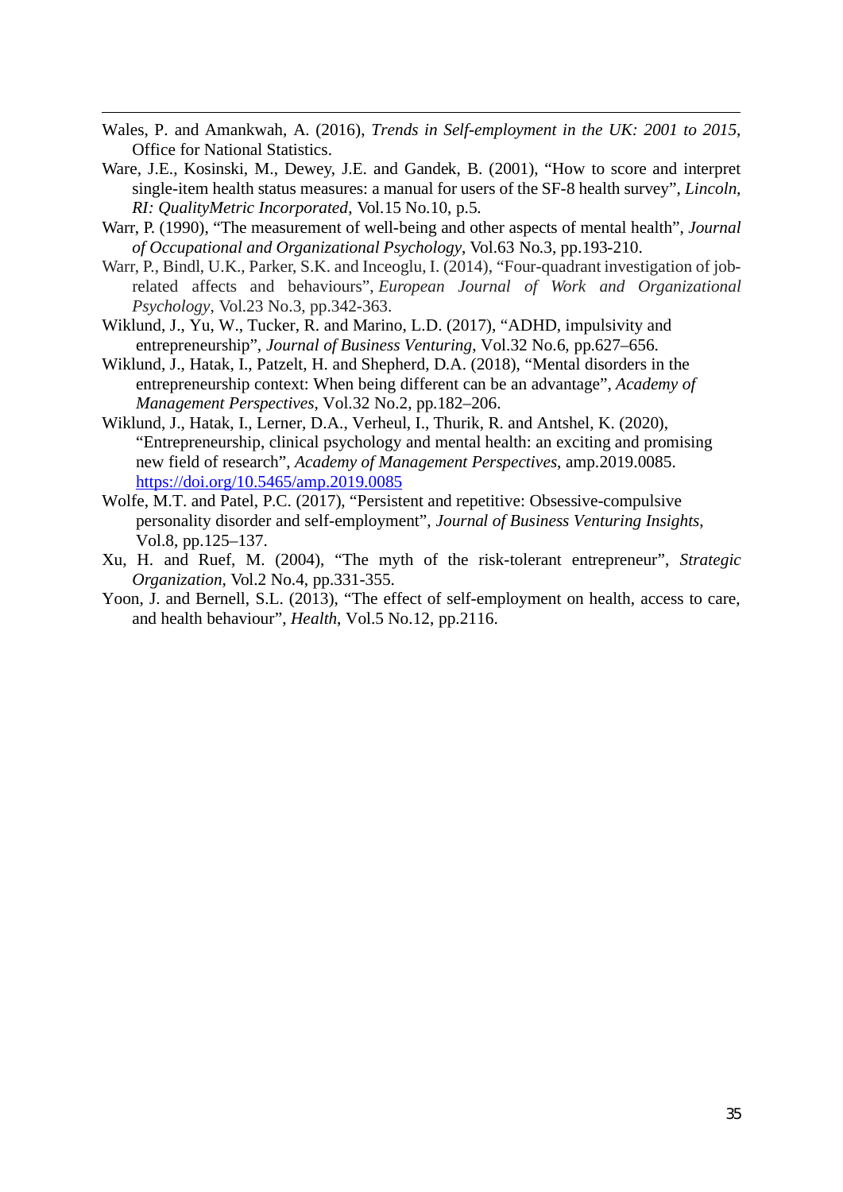- Wales, P. and Amankwah, A. (2016), *Trends in Self-employment in the UK: 2001 to 2015*, Office for National Statistics.
- Ware, J.E., Kosinski, M., Dewey, J.E. and Gandek, B. (2001), "How to score and interpret single-item health status measures: a manual for users of the SF-8 health survey", *Lincoln, RI: QualityMetric Incorporated*, Vol.15 No.10, p.5.
- Warr, P. (1990), "The measurement of well-being and other aspects of mental health", *Journal of Occupational and Organizational Psychology*, Vol.63 No.3, pp.193-210.
- Warr, P., Bindl, U.K., Parker, S.K. and Inceoglu, I. (2014), "Four-quadrant investigation of jobrelated affects and behaviours", *European Journal of Work and Organizational Psychology*, Vol.23 No.3, pp.342-363.
- Wiklund, J., Yu, W., Tucker, R. and Marino, L.D. (2017), "ADHD, impulsivity and entrepreneurship", *Journal of Business Venturing*, Vol.32 No.6, pp.627–656.
- Wiklund, J., Hatak, I., Patzelt, H. and Shepherd, D.A. (2018), "Mental disorders in the entrepreneurship context: When being different can be an advantage", *Academy of Management Perspectives*, Vol.32 No.2, pp.182–206.
- Wiklund, J., Hatak, I., Lerner, D.A., Verheul, I., Thurik, R. and Antshel, K. (2020), "Entrepreneurship, clinical psychology and mental health: an exciting and promising new field of research", *Academy of Management Perspectives*, amp.2019.0085. https://doi.org/10.5465/amp.2019.0085
- Wolfe, M.T. and Patel, P.C. (2017), "Persistent and repetitive: Obsessive-compulsive personality disorder and self-employment", *Journal of Business Venturing Insights*, Vol.8, pp.125–137.
- Xu, H. and Ruef, M. (2004), "The myth of the risk-tolerant entrepreneur", *Strategic Organization*, Vol.2 No.4, pp.331-355.
- Yoon, J. and Bernell, S.L. (2013), "The effect of self-employment on health, access to care, and health behaviour", *Health*, Vol.5 No.12, pp.2116.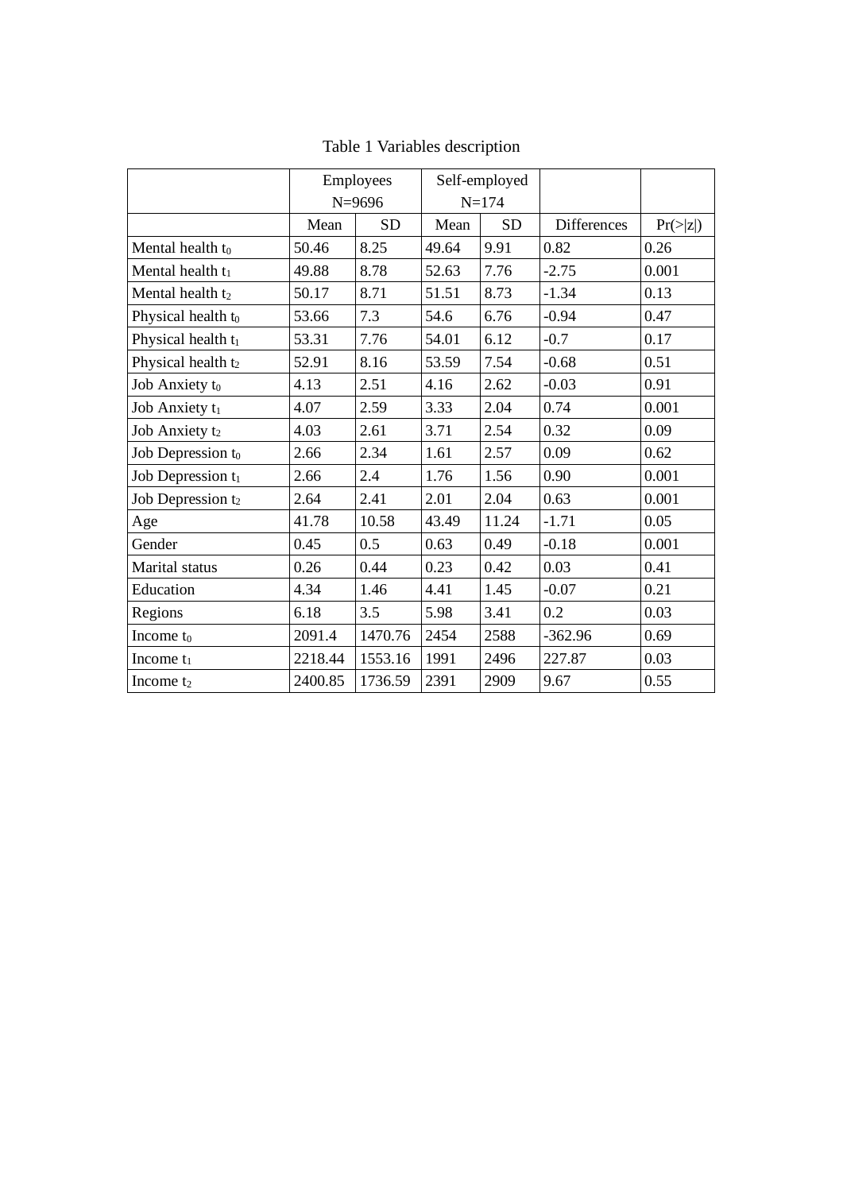|                                | Employees |            |       | Self-employed |                    |          |
|--------------------------------|-----------|------------|-------|---------------|--------------------|----------|
|                                |           | $N = 9696$ |       | $N = 174$     |                    |          |
|                                | Mean      | <b>SD</b>  | Mean  | <b>SD</b>     | <b>Differences</b> | Pr(> z ) |
| Mental health t <sub>0</sub>   | 50.46     | 8.25       | 49.64 | 9.91          | 0.82               | 0.26     |
| Mental health t <sub>1</sub>   | 49.88     | 8.78       | 52.63 | 7.76          | $-2.75$            | 0.001    |
| Mental health t2               | 50.17     | 8.71       | 51.51 | 8.73          | $-1.34$            | 0.13     |
| Physical health to             | 53.66     | 7.3        | 54.6  | 6.76          | $-0.94$            | 0.47     |
| Physical health t <sub>1</sub> | 53.31     | 7.76       | 54.01 | 6.12          | $-0.7$             | 0.17     |
| Physical health t2             | 52.91     | 8.16       | 53.59 | 7.54          | $-0.68$            | 0.51     |
| Job Anxiety to                 | 4.13      | 2.51       | 4.16  | 2.62          | $-0.03$            | 0.91     |
| Job Anxiety t <sub>1</sub>     | 4.07      | 2.59       | 3.33  | 2.04          | 0.74               | 0.001    |
| Job Anxiety t2                 | 4.03      | 2.61       | 3.71  | 2.54          | 0.32               | 0.09     |
| Job Depression to              | 2.66      | 2.34       | 1.61  | 2.57          | 0.09               | 0.62     |
| Job Depression t1              | 2.66      | 2.4        | 1.76  | 1.56          | 0.90               | 0.001    |
| Job Depression t <sub>2</sub>  | 2.64      | 2.41       | 2.01  | 2.04          | 0.63               | 0.001    |
| Age                            | 41.78     | 10.58      | 43.49 | 11.24         | $-1.71$            | 0.05     |
| Gender                         | 0.45      | 0.5        | 0.63  | 0.49          | $-0.18$            | 0.001    |
| Marital status                 | 0.26      | 0.44       | 0.23  | 0.42          | 0.03               | 0.41     |
| Education                      | 4.34      | 1.46       | 4.41  | 1.45          | $-0.07$            | 0.21     |
| Regions                        | 6.18      | 3.5        | 5.98  | 3.41          | 0.2                | 0.03     |
| Income t <sub>0</sub>          | 2091.4    | 1470.76    | 2454  | 2588          | $-362.96$          | 0.69     |
| Income $t_1$                   | 2218.44   | 1553.16    | 1991  | 2496          | 227.87             | 0.03     |
| Income t <sub>2</sub>          | 2400.85   | 1736.59    | 2391  | 2909          | 9.67               | 0.55     |

Table 1 Variables description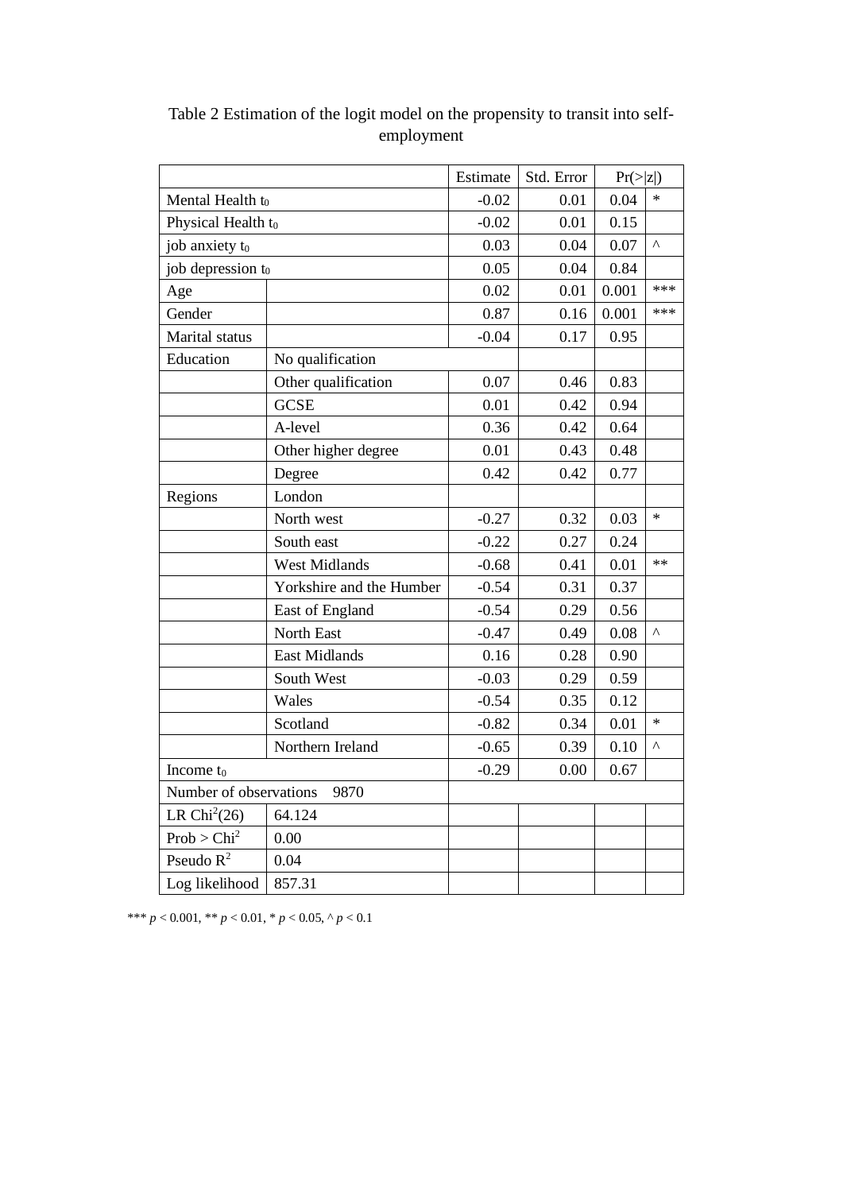|                         |                          | Estimate | Std. Error | Pr(> z ) |           |
|-------------------------|--------------------------|----------|------------|----------|-----------|
| Mental Health to        |                          | $-0.02$  | 0.01       | 0.04     | $\ast$    |
| Physical Health to      |                          | $-0.02$  | 0.01       | 0.15     |           |
| job anxiety to          |                          | 0.03     | 0.04       | 0.07     | $\lambda$ |
| job depression to       |                          | 0.05     | 0.04       | 0.84     |           |
| Age                     |                          | 0.02     | 0.01       | 0.001    | ***       |
| Gender                  |                          | 0.87     | 0.16       | 0.001    | ***       |
| Marital status          |                          | $-0.04$  | 0.17       | 0.95     |           |
| Education               | No qualification         |          |            |          |           |
|                         | Other qualification      | 0.07     | 0.46       | 0.83     |           |
|                         | <b>GCSE</b>              | 0.01     | 0.42       | 0.94     |           |
|                         | A-level                  | 0.36     | 0.42       | 0.64     |           |
|                         | Other higher degree      | 0.01     | 0.43       | 0.48     |           |
|                         | Degree                   | 0.42     | 0.42       | 0.77     |           |
| Regions                 | London                   |          |            |          |           |
|                         | North west               | $-0.27$  | 0.32       | 0.03     | $\ast$    |
|                         | South east               | $-0.22$  | 0.27       | 0.24     |           |
|                         | <b>West Midlands</b>     | $-0.68$  | 0.41       | 0.01     | $**$      |
|                         | Yorkshire and the Humber | $-0.54$  | 0.31       | 0.37     |           |
|                         | East of England          | $-0.54$  | 0.29       | 0.56     |           |
|                         | North East               | $-0.47$  | 0.49       | 0.08     | Λ         |
|                         | <b>East Midlands</b>     | 0.16     | 0.28       | 0.90     |           |
|                         | South West               | $-0.03$  | 0.29       | 0.59     |           |
|                         | Wales                    | $-0.54$  | 0.35       | 0.12     |           |
|                         | Scotland                 | $-0.82$  | 0.34       | 0.01     | $\ast$    |
|                         | Northern Ireland         | $-0.65$  | 0.39       | 0.10     | Λ         |
| Income $t_0$            |                          | $-0.29$  | 0.00       | 0.67     |           |
| Number of observations  | 9870                     |          |            |          |           |
| LR $Chi2(26)$           | 64.124                   |          |            |          |           |
| Prob > Chi <sup>2</sup> | 0.00                     |          |            |          |           |
| Pseudo $R^2$            | 0.04                     |          |            |          |           |
| Log likelihood          | 857.31                   |          |            |          |           |

Table 2 Estimation of the logit model on the propensity to transit into selfemployment

\*\*\* *p* < 0.001, \*\* *p* < 0.01, \* *p* < 0.05, ^ *p* < 0.1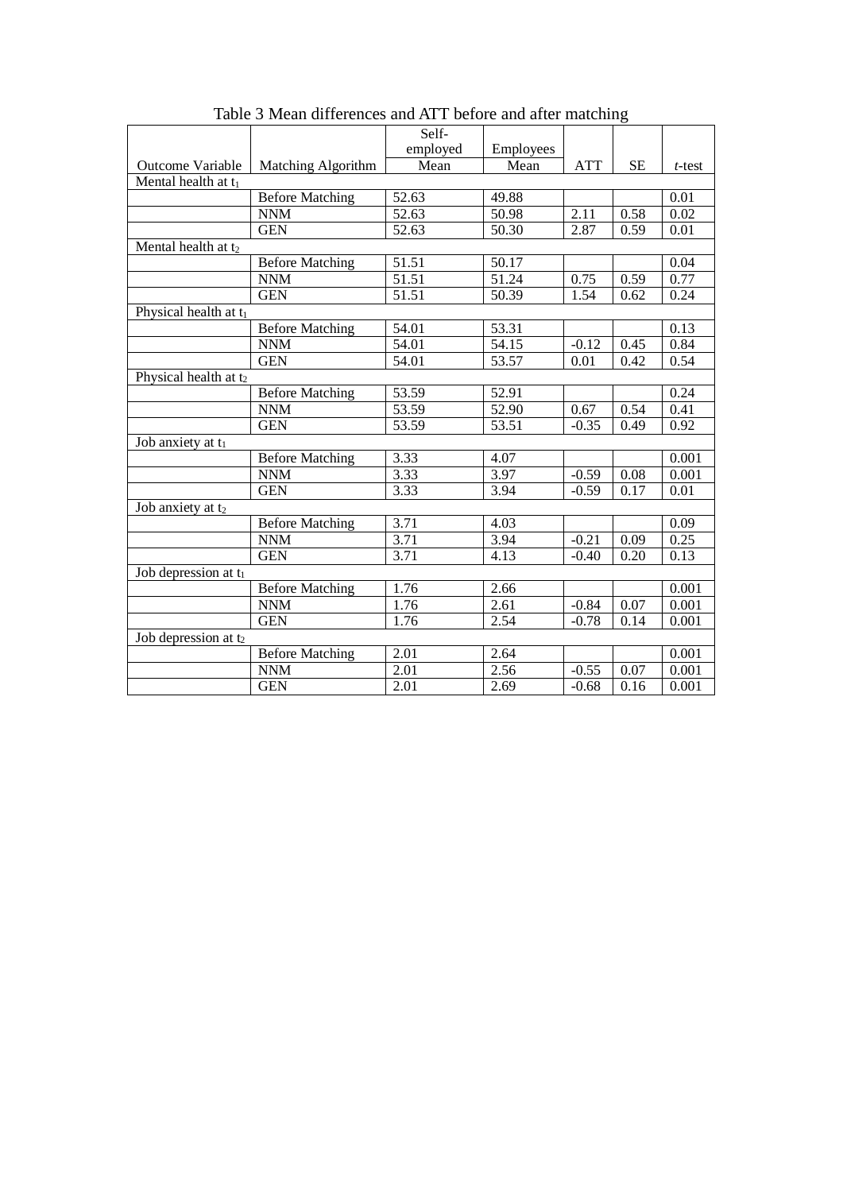|                         |                           | Self-             |                    |            |           |           |
|-------------------------|---------------------------|-------------------|--------------------|------------|-----------|-----------|
|                         |                           | employed          | Employees          |            |           |           |
| <b>Outcome Variable</b> | <b>Matching Algorithm</b> | Mean              | Mean               | <b>ATT</b> | <b>SE</b> | $t$ -test |
| Mental health at t1     |                           |                   |                    |            |           |           |
|                         | <b>Before Matching</b>    | 52.63             | 49.88              |            |           | 0.01      |
|                         | <b>NNM</b>                | 52.63             | 50.98              | 2.11       | 0.58      | 0.02      |
|                         | <b>GEN</b>                | 52.63             | 50.30              | 2.87       | 0.59      | 0.01      |
| Mental health at t2     |                           |                   |                    |            |           |           |
|                         | <b>Before Matching</b>    | 51.51             | 50.17              |            |           | 0.04      |
|                         | <b>NNM</b>                | 51.51             | 51.24              | 0.75       | 0.59      | 0.77      |
|                         | <b>GEN</b>                | 51.51             | 50.39              | 1.54       | 0.62      | 0.24      |
| Physical health at t1   |                           |                   |                    |            |           |           |
|                         | <b>Before Matching</b>    | 54.01             | 53.31              |            |           | 0.13      |
|                         | <b>NNM</b>                | 54.01             | $\overline{5}4.15$ | $-0.12$    | 0.45      | 0.84      |
|                         | <b>GEN</b>                | 54.01             | 53.57              | 0.01       | 0.42      | 0.54      |
| Physical health at t2   |                           |                   |                    |            |           |           |
|                         | <b>Before Matching</b>    | 53.59             | 52.91              |            |           | 0.24      |
|                         | <b>NNM</b>                | 53.59             | 52.90              | 0.67       | 0.54      | 0.41      |
|                         | <b>GEN</b>                | 53.59             | 53.51              | $-0.35$    | 0.49      | 0.92      |
| Job anxiety at t1       |                           |                   |                    |            |           |           |
|                         | <b>Before Matching</b>    | 3.33              | 4.07               |            |           | 0.001     |
|                         | <b>NNM</b>                | 3.33              | 3.97               | $-0.59$    | 0.08      | 0.001     |
|                         | <b>GEN</b>                | 3.33              | 3.94               | $-0.59$    | 0.17      | 0.01      |
| Job anxiety at t2       |                           |                   |                    |            |           |           |
|                         | <b>Before Matching</b>    | 3.71              | 4.03               |            |           | 0.09      |
|                         | <b>NNM</b>                | 3.71              | 3.94               | $-0.21$    | 0.09      | 0.25      |
|                         | <b>GEN</b>                | $\overline{3.71}$ | 4.13               | $-0.40$    | 0.20      | 0.13      |
| Job depression at $t_1$ |                           |                   |                    |            |           |           |
|                         | <b>Before Matching</b>    | 1.76              | 2.66               |            |           | 0.001     |
|                         | <b>NNM</b>                | 1.76              | 2.61               | $-0.84$    | 0.07      | 0.001     |
|                         | <b>GEN</b>                | 1.76              | 2.54               | $-0.78$    | 0.14      | 0.001     |
| Job depression at $t_2$ |                           |                   |                    |            |           |           |
|                         | <b>Before Matching</b>    | 2.01              | 2.64               |            |           | 0.001     |
|                         | <b>NNM</b>                | 2.01              | 2.56               | $-0.55$    | 0.07      | 0.001     |
|                         | <b>GEN</b>                | 2.01              | 2.69               | $-0.68$    | 0.16      | 0.001     |

Table 3 Mean differences and ATT before and after matching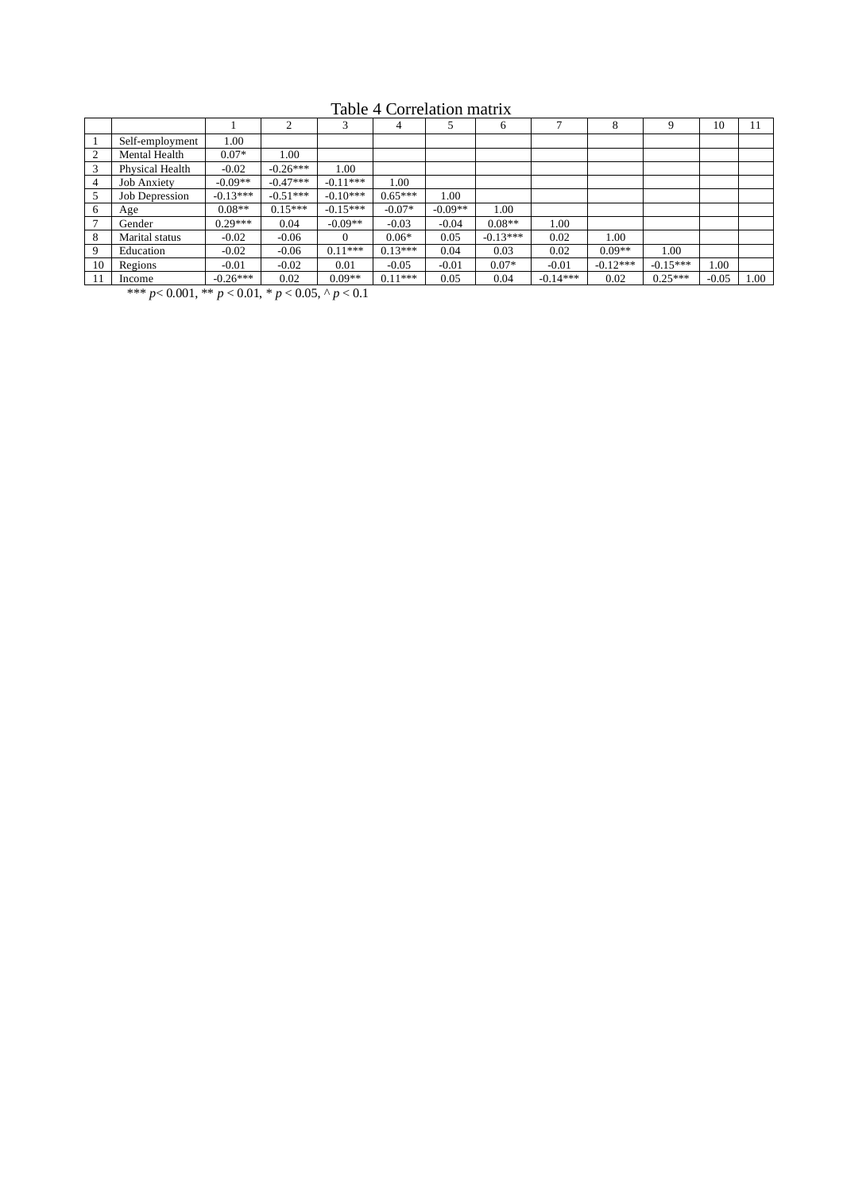|    |                    |            | ↑          |            | 4         |           | 6          | o          | 8          | 9          | 10      | 11   |
|----|--------------------|------------|------------|------------|-----------|-----------|------------|------------|------------|------------|---------|------|
|    | Self-employment    | 00.1       |            |            |           |           |            |            |            |            |         |      |
| ◠  | Mental Health      | $0.07*$    | 1.00       |            |           |           |            |            |            |            |         |      |
| 3  | Physical Health    | $-0.02$    | $-0.26***$ | 00.1       |           |           |            |            |            |            |         |      |
| 4  | <b>Job Anxiety</b> | $-0.09**$  | $-0.47***$ | $-0.11***$ | 00.1      |           |            |            |            |            |         |      |
|    | Job Depression     | $-0.13***$ | $-0.51***$ | $-0.10***$ | $0.65***$ | 1.00      |            |            |            |            |         |      |
| 6  | Age                | $0.08**$   | $0.15***$  | $-0.15***$ | $-0.07*$  | $-0.09**$ | 1.00       |            |            |            |         |      |
|    | Gender             | $0.29***$  | 0.04       | $-0.09**$  | $-0.03$   | $-0.04$   | $0.08**$   | 1.00       |            |            |         |      |
| 8  | Marital status     | $-0.02$    | $-0.06$    | $\Omega$   | $0.06*$   | 0.05      | $-0.13***$ | 0.02       | 1.00       |            |         |      |
| 9  | Education          | $-0.02$    | $-0.06$    | $0.11***$  | $0.13***$ | 0.04      | 0.03       | 0.02       | $0.09**$   | 1.00       |         |      |
| 10 | Regions            | $-0.01$    | $-0.02$    | 0.01       | $-0.05$   | $-0.01$   | $0.07*$    | $-0.01$    | $-0.12***$ | $-0.15***$ | $00$ .  |      |
|    | Income             | $-0.26***$ | 0.02       | $0.09**$   | $0.11***$ | 0.05      | 0.04       | $-0.14***$ | 0.02       | $0.25***$  | $-0.05$ | 00.1 |

Table 4 Correlation matrix

\*\*\* *p*< 0.001, \*\* *p* < 0.01, \* *p* < 0.05, ^ *p* < 0.1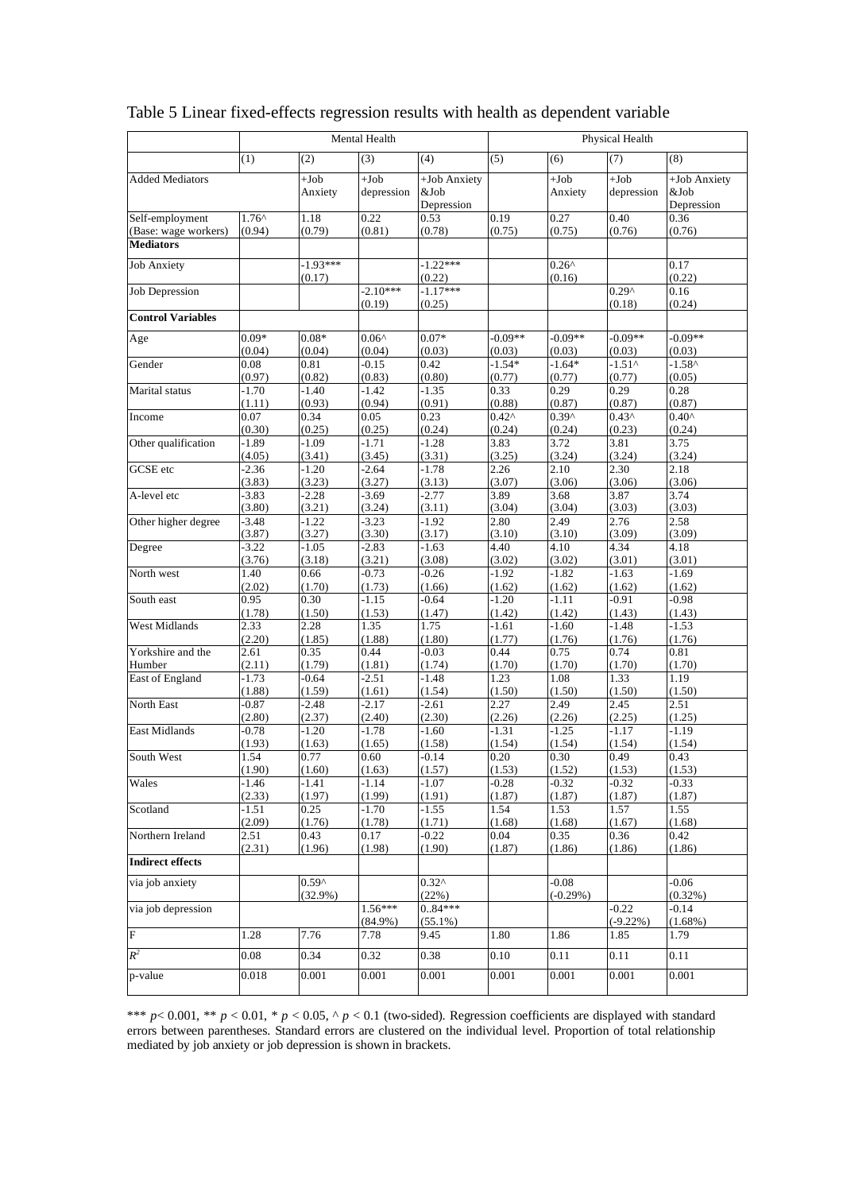|                                         | Mental Health            |                              |                         |                                    | Physical Health           |                           |                           |                                    |
|-----------------------------------------|--------------------------|------------------------------|-------------------------|------------------------------------|---------------------------|---------------------------|---------------------------|------------------------------------|
|                                         | (1)                      | (2)                          | (3)                     | (4)                                | (5)                       | (6)                       | (7)                       | (8)                                |
| <b>Added Mediators</b>                  |                          | $+Job$<br>Anxiety            | $+Job$<br>depression    | +Job Anxiety<br>&Job<br>Depression |                           | $+Job$<br>Anxiety         | $+Job$<br>depression      | +Job Anxiety<br>&Job<br>Depression |
| Self-employment<br>(Base: wage workers) | $1.76^{\circ}$<br>(0.94) | 1.18<br>(0.79)               | 0.22<br>(0.81)          | 0.53<br>(0.78)                     | 0.19<br>(0.75)            | 0.27<br>(0.75)            | 0.40<br>(0.76)            | 0.36<br>(0.76)                     |
| <b>Mediators</b>                        |                          |                              |                         |                                    |                           |                           |                           |                                    |
| <b>Job Anxiety</b>                      |                          | $-1.93***$<br>(0.17)         |                         | $-1.22***$<br>(0.22)               |                           | $0.26^{\wedge}$<br>(0.16) |                           | 0.17<br>(0.22)                     |
| <b>Job Depression</b>                   |                          |                              | $-2.10***$<br>(0.19)    | $-1.17***$<br>(0.25)               |                           |                           | $0.29^$<br>(0.18)         | 0.16<br>(0.24)                     |
| <b>Control Variables</b>                |                          |                              |                         |                                    |                           |                           |                           |                                    |
| Age                                     | $0.09*$                  | $0.08*$                      | $0.06^{\wedge}$         | $0.07*$                            | $-0.09**$                 | $-0.09**$                 | $-0.09**$                 | $-0.09**$                          |
|                                         | (0.04)                   | (0.04)                       | (0.04)                  | (0.03)                             | (0.03)                    | (0.03)                    | (0.03)                    | (0.03)                             |
| Gender                                  | 0.08<br>(0.97)           | 0.81<br>(0.82)               | $-0.15$<br>(0.83)       | 0.42<br>(0.80)                     | $-1.54*$<br>(0.77)        | $-1.64*$<br>(0.77)        | $-1.51^$<br>(0.77)        | $-1.58^{\circ}$<br>(0.05)          |
| Marital status                          | $-1.70$                  | $-1.40$                      | $-1.42$                 | $-1.35$                            | 0.33                      | 0.29                      | 0.29                      | 0.28                               |
|                                         | (1.11)<br>0.07           | (0.93)<br>0.34               | (0.94)<br>0.05          | (0.91)<br>0.23                     | (0.88)<br>$0.42^{\wedge}$ | (0.87)<br>$0.39^$         | (0.87)<br>$0.43^{\wedge}$ | (0.87)<br>$0.40^{\circ}$           |
| Income                                  | (0.30)                   | (0.25)                       | (0.25)                  | (0.24)                             | (0.24)                    | (0.24)                    | (0.23)                    | (0.24)                             |
| Other qualification                     | $-1.89$                  | $-1.09$                      | $-1.71$                 | $-1.28$                            | 3.83                      | 3.72                      | 3.81                      | 3.75                               |
|                                         | (4.05)                   | (3.41)                       | (3.45)                  | (3.31)                             | (3.25)                    | (3.24)                    | (3.24)                    | (3.24)                             |
| GCSE etc                                | $-2.36$<br>(3.83)        | $-1.20$<br>(3.23)            | $-2.64$<br>(3.27)       | $-1.78$<br>(3.13)                  | 2.26<br>(3.07)            | 2.10<br>(3.06)            | 2.30<br>(3.06)            | 2.18<br>(3.06)                     |
| A-level etc                             | $-3.83$                  | $-2.28$                      | $-3.69$                 | $-2.77$                            | 3.89                      | 3.68                      | 3.87                      | 3.74                               |
|                                         | (3.80)                   | (3.21)                       | (3.24)                  | (3.11)                             | (3.04)                    | (3.04)                    | (3.03)                    | (3.03)                             |
| Other higher degree                     | $-3.48$<br>(3.87)        | $-1.22$<br>(3.27)            | $-3.23$<br>(3.30)       | $-1.92$<br>(3.17)                  | 2.80<br>(3.10)            | 2.49<br>(3.10)            | 2.76<br>(3.09)            | 2.58<br>(3.09)                     |
| Degree                                  | $-3.22$                  | $-1.05$                      | $-2.83$                 | $-1.63$                            | 4.40                      | 4.10                      | 4.34                      | 4.18                               |
|                                         | (3.76)                   | (3.18)                       | (3.21)                  | (3.08)                             | (3.02)                    | (3.02)                    | (3.01)                    | (3.01)                             |
| North west                              | 1.40                     | 0.66                         | $-0.73$                 | $-0.26$                            | $-1.92$                   | $-1.82$                   | $-1.63$                   | $-1.69$                            |
| South east                              | (2.02)<br>0.95           | (1.70)<br>0.30               | (1.73)<br>$-1.15$       | (1.66)<br>$-0.64$                  | (1.62)<br>$-1.20$         | (1.62)<br>$-1.11$         | (1.62)<br>$-0.91$         | (1.62)<br>$-0.98$                  |
|                                         | (1.78)                   | (1.50)                       | (1.53)                  | (1.47)                             | (1.42)                    | (1.42)                    | (1.43)                    | (1.43)                             |
| West Midlands                           | 2.33                     | 2.28                         | 1.35                    | 1.75                               | $-1.61$                   | $-1.60$                   | $-1.48$                   | $-1.53$                            |
|                                         | (2.20)                   | (1.85)                       | (1.88)                  | (1.80)                             | (1.77)                    | (1.76)                    | (1.76)                    | (1.76)                             |
| Yorkshire and the<br>Humber             | 2.61<br>(2.11)           | 0.35<br>(1.79)               | 0.44<br>(1.81)          | $-0.03$<br>(1.74)                  | 0.44<br>(1.70)            | 0.75<br>(1.70)            | 0.74<br>(1.70)            | 0.81<br>(1.70)                     |
| East of England                         | $-1.73$                  | $-0.64$                      | $-2.51$                 | $-1.48$                            | 1.23                      | 1.08                      | 1.33                      | 1.19                               |
|                                         | (1.88)                   | (1.59)                       | (1.61)                  | (1.54)                             | (1.50)                    | (1.50)                    | (1.50)                    | (1.50)                             |
| North East                              | $-0.87$                  | $-2.48$                      | $-2.17$                 | $-2.61$                            | 2.27                      | 2.49                      | 2.45                      | 2.51                               |
| East Midlands                           | (2.80)<br>$-0.78$        | (2.37)<br>$-1.20$            | (2.40)<br>$-1.78$       | (2.30)<br>$-1.60$                  | (2.26)<br>$-1.31$         | (2.26)<br>$-1.25$         | (2.25)<br>$-1.17$         | (1.25)<br>$-1.19$                  |
|                                         | (1.93)                   | (1.63)                       | (1.65)                  | (1.58)                             | (1.54)                    | (1.54)                    | (1.54)                    | (1.54)                             |
| South West                              | 1.54                     | 0.77                         | 0.60                    | $-0.14$                            | 0.20                      | 0.30                      | 0.49                      | 0.43                               |
| Wales                                   | (1.90)<br>$-1.46$        | (1.60)<br>$-1.41$            | (1.63)<br>$-1.14$       | (1.57)<br>$-1.07$                  | (1.53)<br>$-0.28$         | (1.52)<br>$-0.32$         | (1.53)<br>$-0.32$         | (1.53)<br>$-0.33$                  |
|                                         | (2.33)                   | (1.97)                       | (1.99)                  | (1.91)                             | (1.87)                    | (1.87)                    | (1.87)                    | (1.87)                             |
| Scotland                                | $-1.51$                  | 0.25                         | $-1.70$                 | $-1.55$                            | 1.54                      | 1.53                      | 1.57                      | 1.55                               |
|                                         | (2.09)                   | (1.76)                       | (1.78)                  | (1.71)                             | (1.68)                    | (1.68)                    | (1.67)                    | (1.68)                             |
| Northern Ireland                        | 2.51<br>(2.31)           | 0.43<br>(1.96)               | 0.17<br>(1.98)          | $-0.22$<br>(1.90)                  | 0.04<br>(1.87)            | 0.35<br>(1.86)            | 0.36<br>(1.86)            | 0.42<br>(1.86)                     |
| <b>Indirect effects</b>                 |                          |                              |                         |                                    |                           |                           |                           |                                    |
| via job anxiety                         |                          | $0.59^{\circ}$<br>$(32.9\%)$ |                         | $0.32^{\wedge}$<br>(22%)           |                           | $-0.08$<br>$(-0.29\%)$    |                           | $-0.06$<br>$(0.32\%)$              |
| via job depression                      |                          |                              | $1.56***$<br>$(84.9\%)$ | $0.84***$<br>$(55.1\%)$            |                           |                           | $-0.22$<br>$(-9.22\%)$    | $-0.14$<br>$(1.68\%)$              |
| $\overline{F}$                          | 1.28                     | 7.76                         | 7.78                    | 9.45                               | 1.80                      | 1.86                      | 1.85                      | 1.79                               |
| $R^2$                                   | 0.08                     | 0.34                         | 0.32                    | 0.38                               | 0.10                      | 0.11                      | 0.11                      | 0.11                               |
| p-value                                 | 0.018                    | 0.001                        | 0.001                   | 0.001                              | 0.001                     | 0.001                     | 0.001                     | 0.001                              |
|                                         |                          |                              |                         |                                    |                           |                           |                           |                                    |

# Table 5 Linear fixed-effects regression results with health as dependent variable

\*\*\*  $p < 0.001$ , \*\*  $p < 0.01$ , \*  $p < 0.05$ , ^  $p < 0.1$  (two-sided). Regression coefficients are displayed with standard errors between parentheses. Standard errors are clustered on the individual level. Proportion of total relationship mediated by job anxiety or job depression is shown in brackets.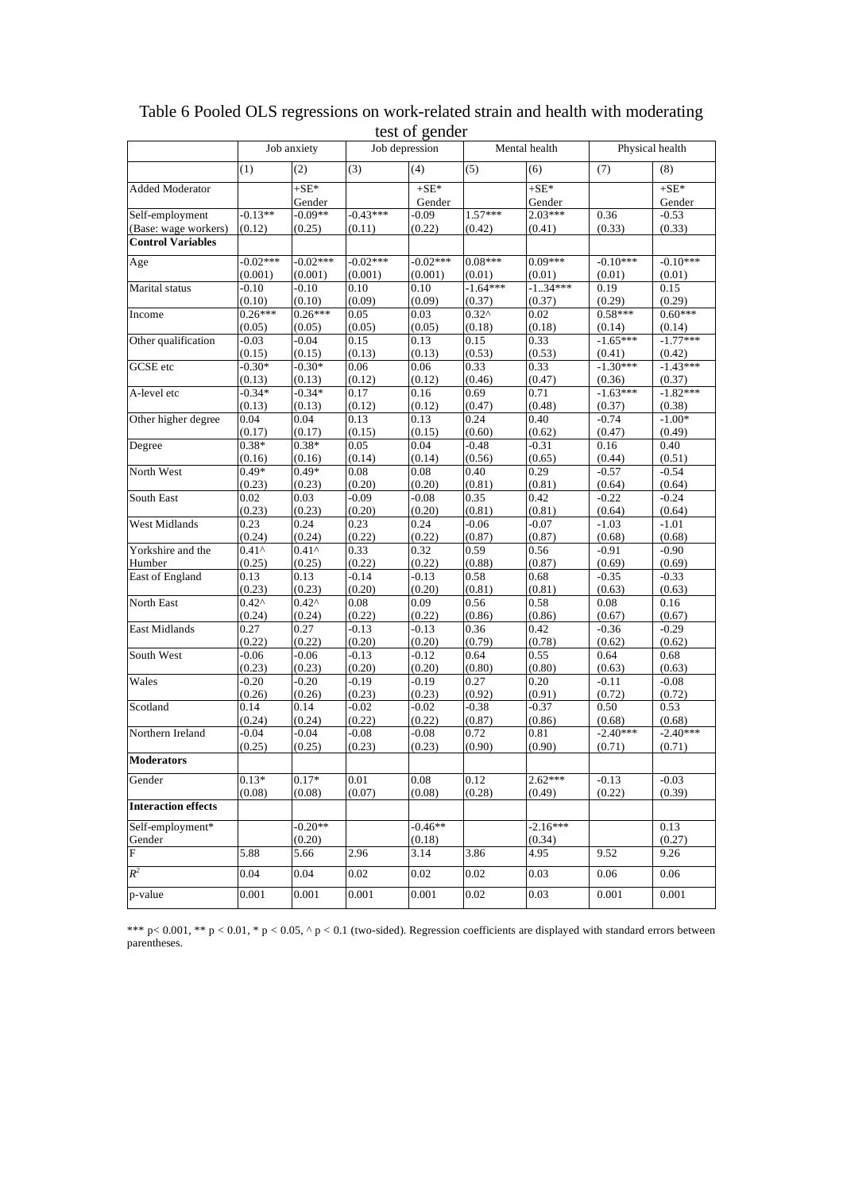|                            |                   | Job anxiety       |                   | Job depression    |                | Mental health       |                      | Physical health      |
|----------------------------|-------------------|-------------------|-------------------|-------------------|----------------|---------------------|----------------------|----------------------|
|                            | (1)               | (2)               | (3)               | (4)               | (5)            | (6)                 | (7)                  | (8)                  |
| <b>Added Moderator</b>     |                   | $+SE^*$<br>Gender |                   | $+SE*$<br>Gender  |                | $+SE^*$<br>Gender   |                      | $+SE*$<br>Gender     |
| Self-employment            | $-0.13**$         | $-0.09**$         | $0.43***$         | 0.09              | $1.57***$      | $2.03***$           | 0.36                 | $-0.53$              |
| (Base: wage workers)       | (0.12)            | (0.25)            | (0.11)            | (0.22)            | (0.42)         | (0.41)              | (0.33)               | (0.33)               |
| <b>Control Variables</b>   |                   |                   |                   |                   |                |                     |                      |                      |
| Age                        | $-0.02***$        | $-0.02***$        | $-0.02***$        | $-0.02***$        | $0.08***$      | $0.09***$           | $-0.10***$           | $-0.10***$           |
|                            | (0.001)           | (0.001)           | (0.001)           | (0.001)           | (0.01)         | (0.01)              | (0.01)               | (0.01)               |
| Marital status             | $-0.10$           | $-0.10$           | 0.10              | 0.10              | $-1.64***$     | $-1.34***$          | 0.19                 | 0.15                 |
|                            | (0.10)            | (0.10)            | (0.09)            | (0.09)            | (0.37)         | (0.37)              | (0.29)               | (0.29)               |
| Income                     | $0.26***$         | $0.26***$         | 0.05              | 0.03              | $0.32^$        | 0.02                | $0.58***$            | $0.60***$            |
|                            | (0.05)            | (0.05)            | (0.05)            | (0.05)            | (0.18)         | (0.18)              | (0.14)               | (0.14)               |
| Other qualification        | $-0.03$           | $-0.04$           | 0.15              | 0.13              | 0.15           | 0.33                | $-1.65***$           | $-1.77***$           |
|                            | (0.15)            | (0.15)            | (0.13)            | (0.13)            | (0.53)         | (0.53)              | (0.41)               | (0.42)               |
| <b>GCSE</b> etc            | $-0.30*$          | $-0.30*$          | 0.06              | 0.06              | 0.33           | 0.33                | $-1.30***$           | $-1.43***$           |
|                            | (0.13)            | (0.13)            | (0.12)            | (0.12)            | (0.46)         | (0.47)              | (0.36)               | (0.37)               |
| A-level etc                | $-0.34*$          | $-0.34*$          | 0.17              | 0.16              | 0.69           | 0.71                | $-1.63***$           | $-1.82***$           |
|                            | (0.13)            | (0.13)            | (0.12)            | (0.12)            | (0.47)         | (0.48)              | (0.37)               | (0.38)               |
| Other higher degree        | 0.04              | 0.04              | 0.13              | 0.13              | 0.24           | 0.40                | $-0.74$              | $-1.00*$             |
|                            | (0.17)            | (0.17)            | (0.15)            | (0.15)            | (0.60)         | (0.62)              | (0.47)               | (0.49)               |
| Degree                     | $0.38*$           | $0.38*$           | 0.05              | 0.04              | $-0.48$        | $-0.31$             | 0.16                 | 0.40                 |
|                            | (0.16)<br>$0.49*$ | (0.16)<br>$0.49*$ | (0.14)<br>0.08    | (0.14)<br>0.08    | (0.56)<br>0.40 | (0.65)<br>0.29      | (0.44)<br>$-0.57$    | (0.51)<br>$-0.54$    |
| North West                 | (0.23)            | (0.23)            | (0.20)            | (0.20)            | (0.81)         | (0.81)              |                      |                      |
| South East                 | 0.02              | 0.03              | $-0.09$           | $-0.08$           | 0.35           | 0.42                | (0.64)<br>$-0.22$    | (0.64)<br>$-0.24$    |
|                            | (0.23)            | (0.23)            | (0.20)            | (0.20)            | (0.81)         | (0.81)              | (0.64)               | (0.64)               |
| West Midlands              | 0.23              | 0.24              | 0.23              | 0.24              | $-0.06$        | $-0.07$             | $-1.03$              | $-1.01$              |
|                            | (0.24)            | (0.24)            | (0.22)            | (0.22)            | (0.87)         | (0.87)              | (0.68)               | (0.68)               |
| Yorkshire and the          | $0.41^{\circ}$    | $0.41^{\circ}$    | 0.33              | 0.32              | 0.59           | 0.56                | $-0.91$              | $-0.90$              |
| Humber                     | (0.25)            | (0.25)            | (0.22)            | (0.22)            | (0.88)         | (0.87)              | (0.69)               | (0.69)               |
| East of England            | 0.13              | 0.13              | $-0.14$           | $-0.13$           | 0.58           | 0.68                | $-0.35$              | $-0.33$              |
|                            | (0.23)            | (0.23)            | (0.20)            | (0.20)            | (0.81)         | (0.81)              | (0.63)               | (0.63)               |
| North East                 | $0.42^{\wedge}$   | $0.42^{\wedge}$   | 0.08              | 0.09              | 0.56           | 0.58                | 0.08                 | 0.16                 |
|                            | (0.24)            | (0.24)            | (0.22)            | (0.22)            | (0.86)         | (0.86)              | (0.67)               | (0.67)               |
| <b>East Midlands</b>       | 0.27              | 0.27              | $-0.13$           | $-0.13$           | 0.36           | 0.42                | $-0.36$              | $-0.29$              |
|                            | (0.22)            | (0.22)            | (0.20)            | (0.20)            | (0.79)         | (0.78)              | (0.62)               | (0.62)               |
| South West                 | $-0.06$           | $-0.06$           | $-0.13$           | $-0.12$           | 0.64           | 0.55                | 0.64                 | 0.68                 |
|                            | (0.23)            | (0.23)            | (0.20)            | (0.20)            | (0.80)         | (0.80)              | (0.63)               | (0.63)               |
| Wales                      | $-0.20$           | $-0.20$           | $-0.19$           | $-0.19$           | 0.27           | 0.20                | $-0.11$              | $-0.08$              |
|                            | (0.26)            | (0.26)            | (0.23)            | (0.23)            | (0.92)         | (0.91)              | (0.72)               | (0.72)               |
| Scotland                   | 0.14              | 0.14              | $-0.02$           | $-0.02$           | $-0.38$        | $-0.37$             | 0.50                 | 0.53                 |
|                            | (0.24)            | (0.24)            | (0.22)            | (0.22)            | (0.87)         | (0.86)              | (0.68)               | (0.68)               |
| Northern Ireland           | $-0.04$<br>(0.25) | -0.04<br>(0.25)   | $-0.08$<br>(0.23) | $-0.08$<br>(0.23) | 0.72<br>(0.90) | 0.81<br>(0.90)      | $-2.40***$<br>(0.71) | $-2.40***$<br>(0.71) |
| <b>Moderators</b>          |                   |                   |                   |                   |                |                     |                      |                      |
|                            |                   |                   |                   |                   |                |                     |                      |                      |
| Gender                     | $0.13*$<br>(0.08) | $0.17*$<br>(0.08) | 0.01              | 0.08<br>(0.08)    | 0.12           | $2.62***$<br>(0.49) | $-0.13$<br>(0.22)    | $-0.03$              |
| <b>Interaction effects</b> |                   |                   | (0.07)            |                   | (0.28)         |                     |                      | (0.39)               |
|                            |                   |                   |                   |                   |                |                     |                      |                      |
| Self-employment*           |                   | $-0.20**$         |                   | $-0.46**$         |                | $-2.16***$          |                      | 0.13                 |
| Gender                     |                   | (0.20)            |                   | (0.18)            |                | (0.34)              |                      | (0.27)               |
| F                          | 5.88              | 5.66              | 2.96              | 3.14              | 3.86           | 4.95                | 9.52                 | 9.26                 |
| $R^2$                      | 0.04              | 0.04              | 0.02              | $0.02\,$          | $0.02\,$       | 0.03                | 0.06                 | 0.06                 |
| p-value                    | 0.001             | 0.001             | 0.001             | 0.001             | $0.02\,$       | 0.03                | 0.001                | 0.001                |
|                            |                   |                   |                   |                   |                |                     |                      |                      |

# Table 6 Pooled OLS regressions on work-related strain and health with moderating test of gender

\*\*\*  $p < 0.001$ , \*\*  $p < 0.01$ , \*  $p < 0.05$ , ^  $p < 0.1$  (two-sided). Regression coefficients are displayed with standard errors between parentheses.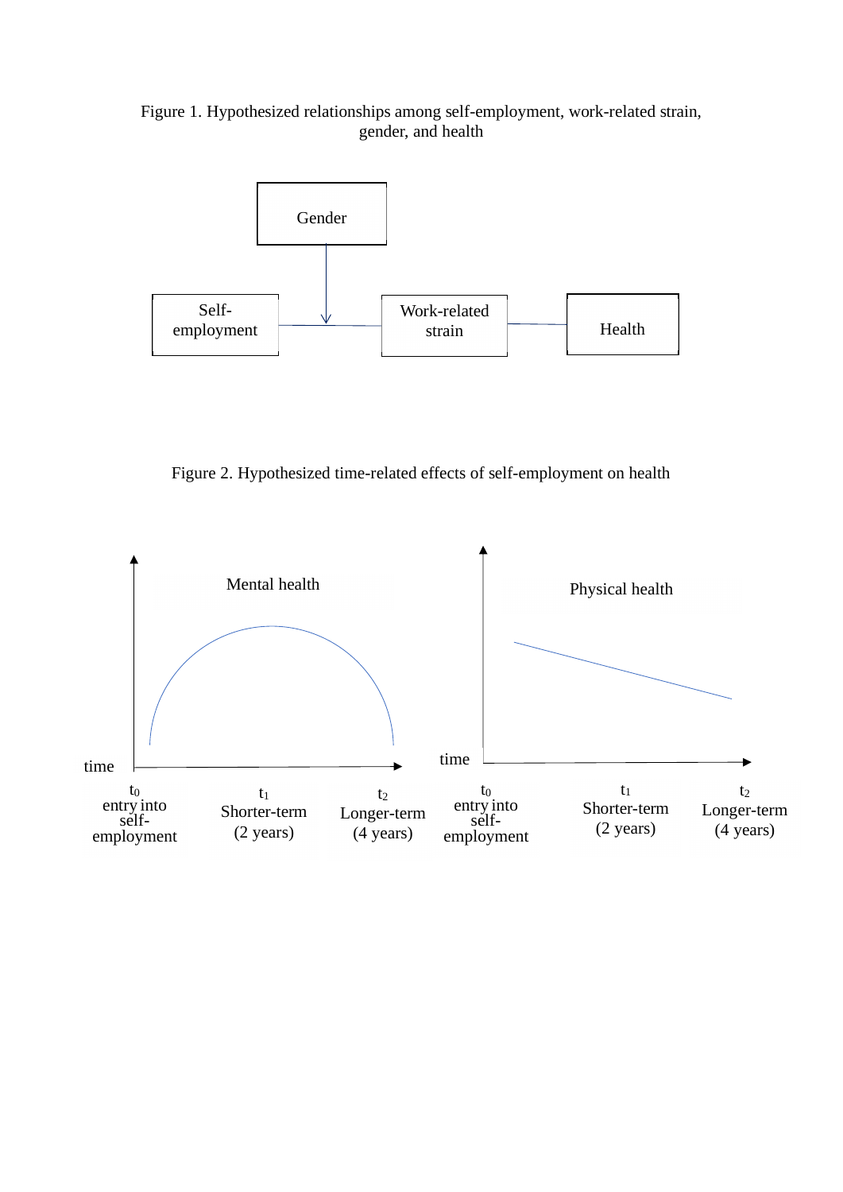Figure 1. Hypothesized relationships among self-employment, work-related strain, gender, and health



Figure 2. Hypothesized time-related effects of self-employment on health

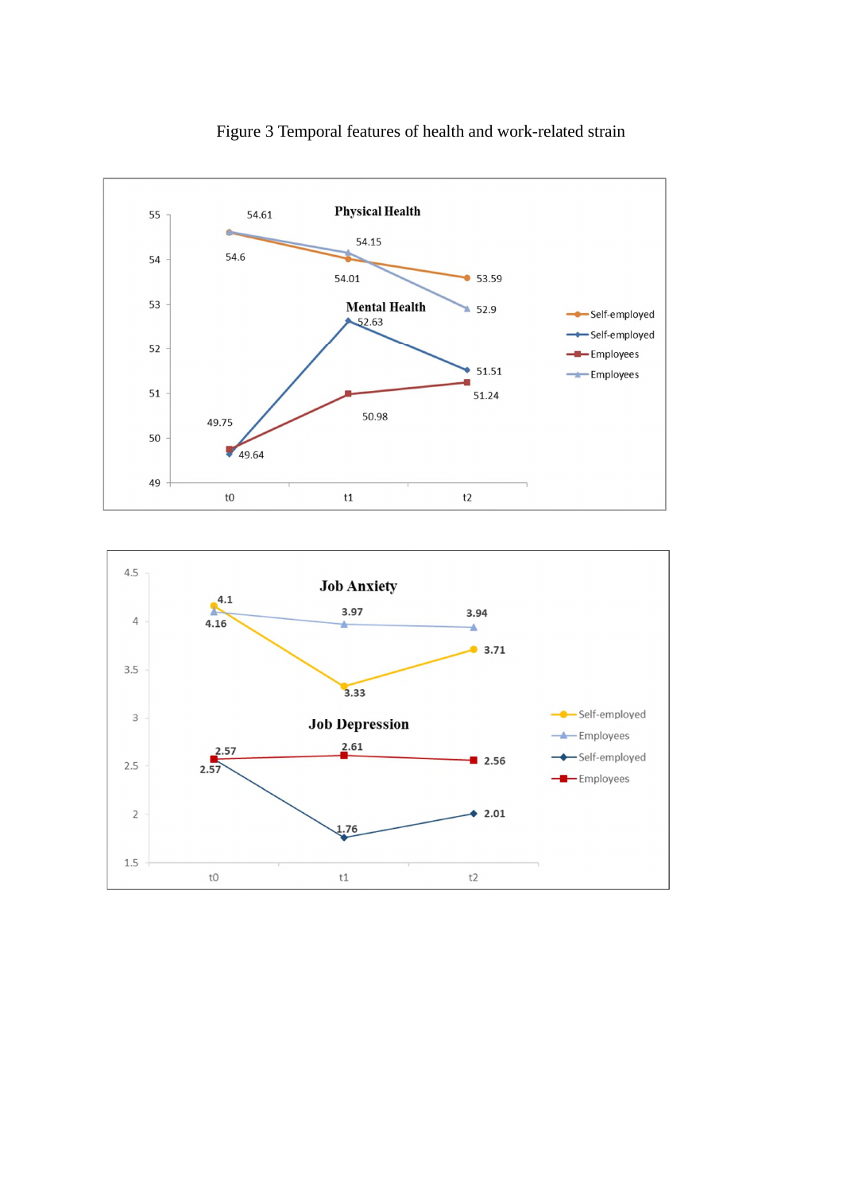

Figure 3 Temporal features of health and work-related strain

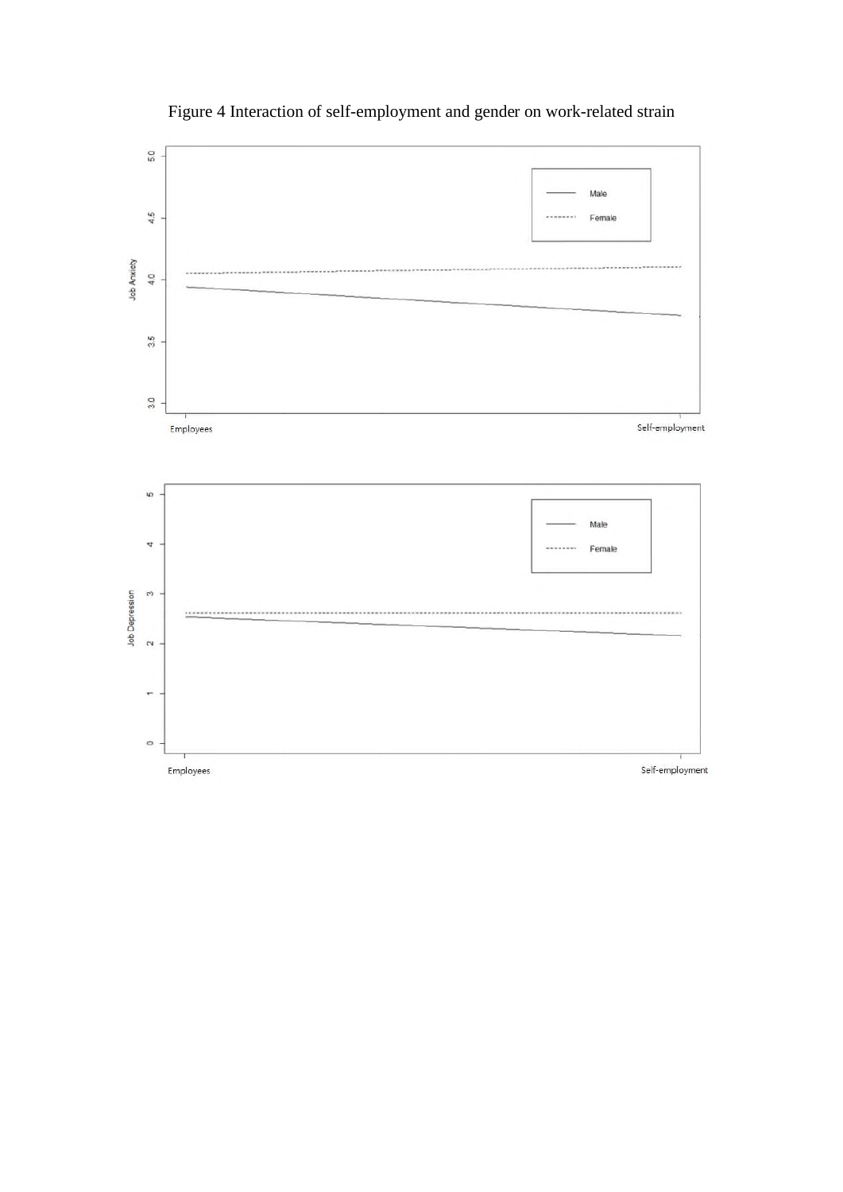

# Figure 4 Interaction of self-employment and gender on work-related strain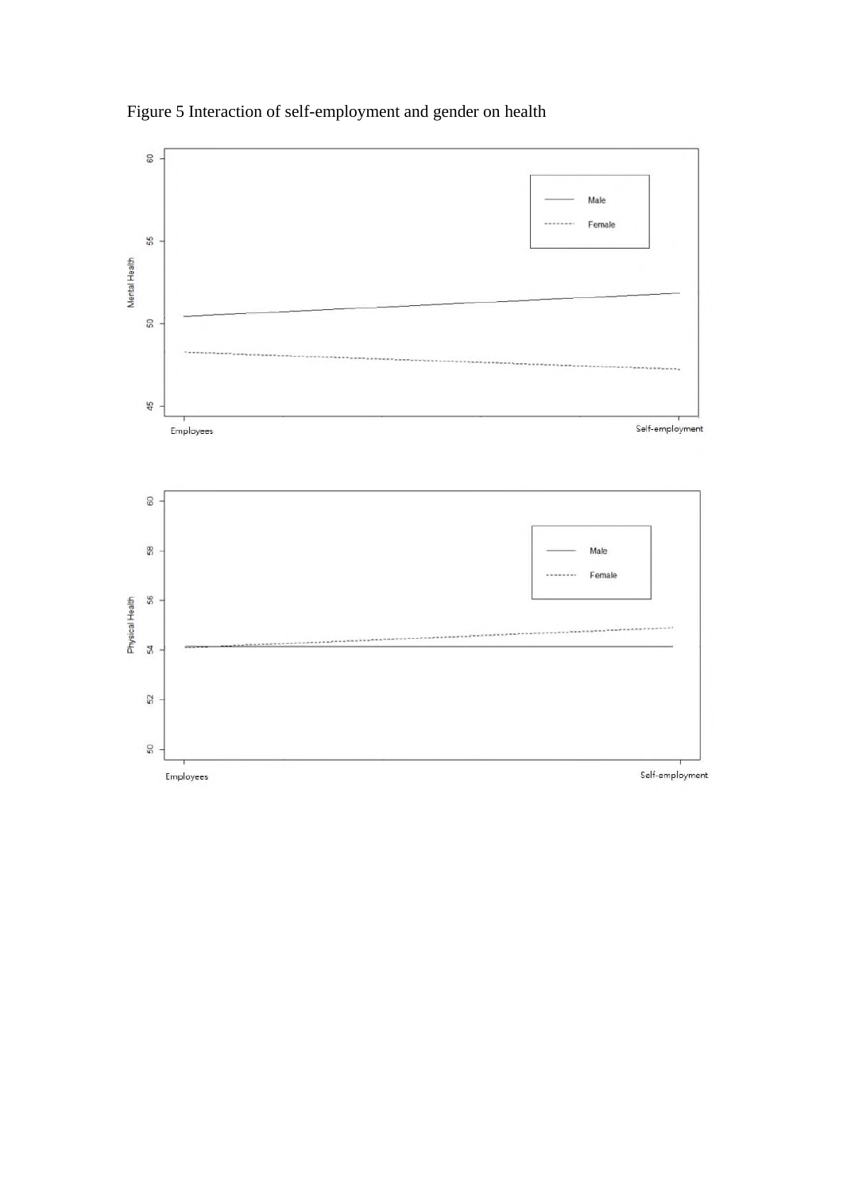

Figure 5 Interaction of self-employment and gender on health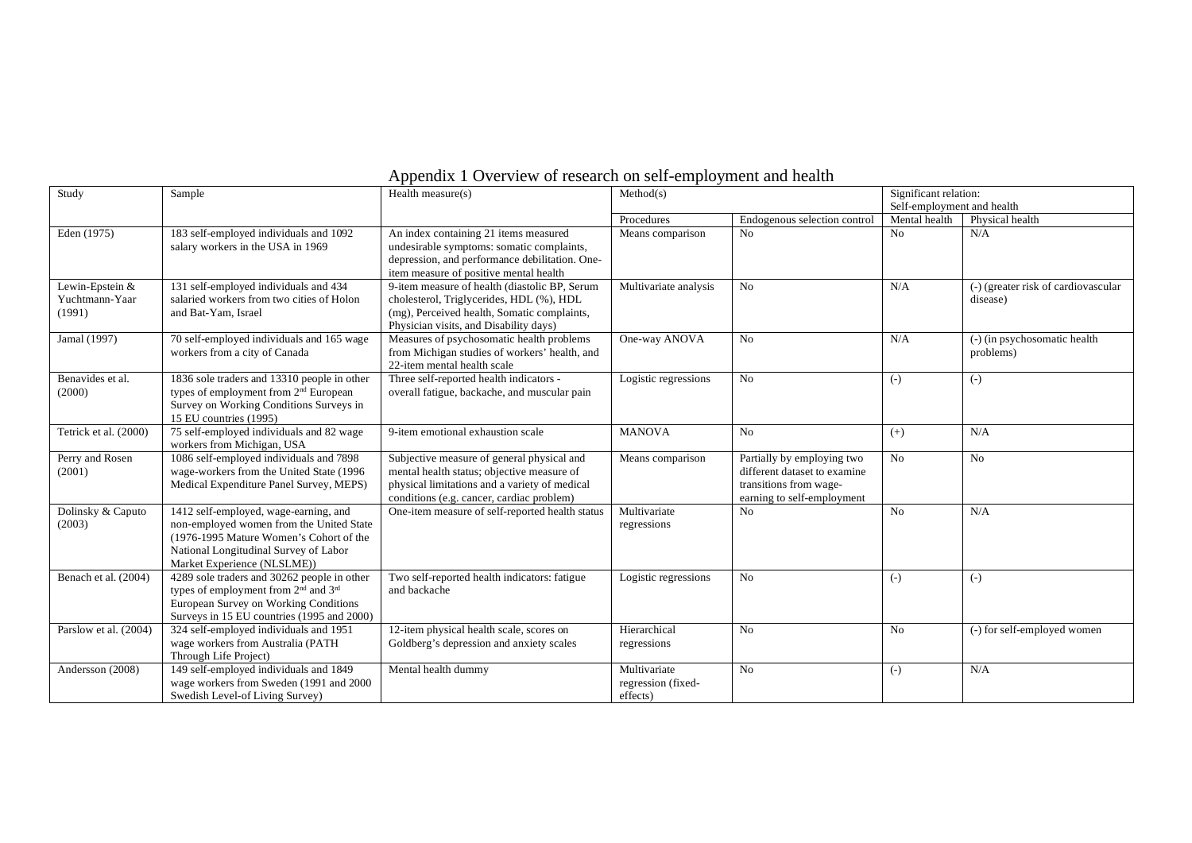|  |  | Appendix 1 Overview of research on self-employment and health |
|--|--|---------------------------------------------------------------|
|  |  |                                                               |

| Study                                       | Sample                                                                                                                                                                                               | Health measure(s)                                                                                                                                                                      | Method(s)                                      | Significant relation:                                                                                              |                            |                                                 |
|---------------------------------------------|------------------------------------------------------------------------------------------------------------------------------------------------------------------------------------------------------|----------------------------------------------------------------------------------------------------------------------------------------------------------------------------------------|------------------------------------------------|--------------------------------------------------------------------------------------------------------------------|----------------------------|-------------------------------------------------|
|                                             |                                                                                                                                                                                                      |                                                                                                                                                                                        |                                                |                                                                                                                    | Self-employment and health |                                                 |
|                                             |                                                                                                                                                                                                      |                                                                                                                                                                                        | Procedures                                     | Endogenous selection control                                                                                       | Mental health              | Physical health                                 |
| Eden (1975)                                 | 183 self-employed individuals and 1092<br>salary workers in the USA in 1969                                                                                                                          | An index containing 21 items measured<br>undesirable symptoms: somatic complaints,<br>depression, and performance debilitation. One-<br>item measure of positive mental health         | Means comparison                               | N <sub>o</sub>                                                                                                     | No                         | N/A                                             |
| Lewin-Epstein &<br>Yuchtmann-Yaar<br>(1991) | 131 self-employed individuals and 434<br>salaried workers from two cities of Holon<br>and Bat-Yam, Israel                                                                                            | 9-item measure of health (diastolic BP, Serum<br>cholesterol, Triglycerides, HDL (%), HDL<br>(mg), Perceived health, Somatic complaints,<br>Physician visits, and Disability days)     | Multivariate analysis                          | N <sub>0</sub>                                                                                                     | N/A                        | (-) (greater risk of cardiovascular<br>disease) |
| Jamal (1997)                                | 70 self-employed individuals and 165 wage<br>workers from a city of Canada                                                                                                                           | Measures of psychosomatic health problems<br>from Michigan studies of workers' health, and<br>22-item mental health scale                                                              | One-way ANOVA                                  | No                                                                                                                 | N/A                        | (-) (in psychosomatic health<br>problems)       |
| Benavides et al.<br>(2000)                  | 1836 sole traders and 13310 people in other<br>types of employment from 2 <sup>nd</sup> European<br>Survey on Working Conditions Surveys in<br>15 EU countries (1995)                                | Three self-reported health indicators -<br>overall fatigue, backache, and muscular pain                                                                                                | Logistic regressions                           | N <sub>o</sub>                                                                                                     | $(-)$                      | $(-)$                                           |
| Tetrick et al. (2000)                       | 75 self-employed individuals and 82 wage<br>workers from Michigan, USA                                                                                                                               | 9-item emotional exhaustion scale                                                                                                                                                      | <b>MANOVA</b>                                  | No                                                                                                                 | $(+)$                      | N/A                                             |
| Perry and Rosen<br>(2001)                   | 1086 self-employed individuals and 7898<br>wage-workers from the United State (1996)<br>Medical Expenditure Panel Survey, MEPS)                                                                      | Subjective measure of general physical and<br>mental health status; objective measure of<br>physical limitations and a variety of medical<br>conditions (e.g. cancer, cardiac problem) | Means comparison                               | Partially by employing two<br>different dataset to examine<br>transitions from wage-<br>earning to self-employment | N <sub>0</sub>             | No                                              |
| Dolinsky & Caputo<br>(2003)                 | 1412 self-employed, wage-earning, and<br>non-employed women from the United State<br>(1976-1995 Mature Women's Cohort of the<br>National Longitudinal Survey of Labor<br>Market Experience (NLSLME)) | One-item measure of self-reported health status                                                                                                                                        | Multivariate<br>regressions                    | N <sub>o</sub>                                                                                                     | N <sub>0</sub>             | N/A                                             |
| Benach et al. (2004)                        | 4289 sole traders and 30262 people in other<br>types of employment from 2 <sup>nd</sup> and 3 <sup>rd</sup><br>European Survey on Working Conditions<br>Surveys in 15 EU countries (1995 and 2000)   | Two self-reported health indicators: fatigue<br>and backache                                                                                                                           | Logistic regressions                           | No                                                                                                                 | $(-)$                      | $(-)$                                           |
| Parslow et al. (2004)                       | 324 self-employed individuals and 1951<br>wage workers from Australia (PATH<br>Through Life Project)                                                                                                 | 12-item physical health scale, scores on<br>Goldberg's depression and anxiety scales                                                                                                   | Hierarchical<br>regressions                    | N <sub>0</sub>                                                                                                     | N <sub>0</sub>             | (-) for self-employed women                     |
| Andersson (2008)                            | 149 self-employed individuals and 1849<br>wage workers from Sweden (1991 and 2000<br>Swedish Level-of Living Survey)                                                                                 | Mental health dummy                                                                                                                                                                    | Multivariate<br>regression (fixed-<br>effects) | N <sub>0</sub>                                                                                                     | $(-)$                      | N/A                                             |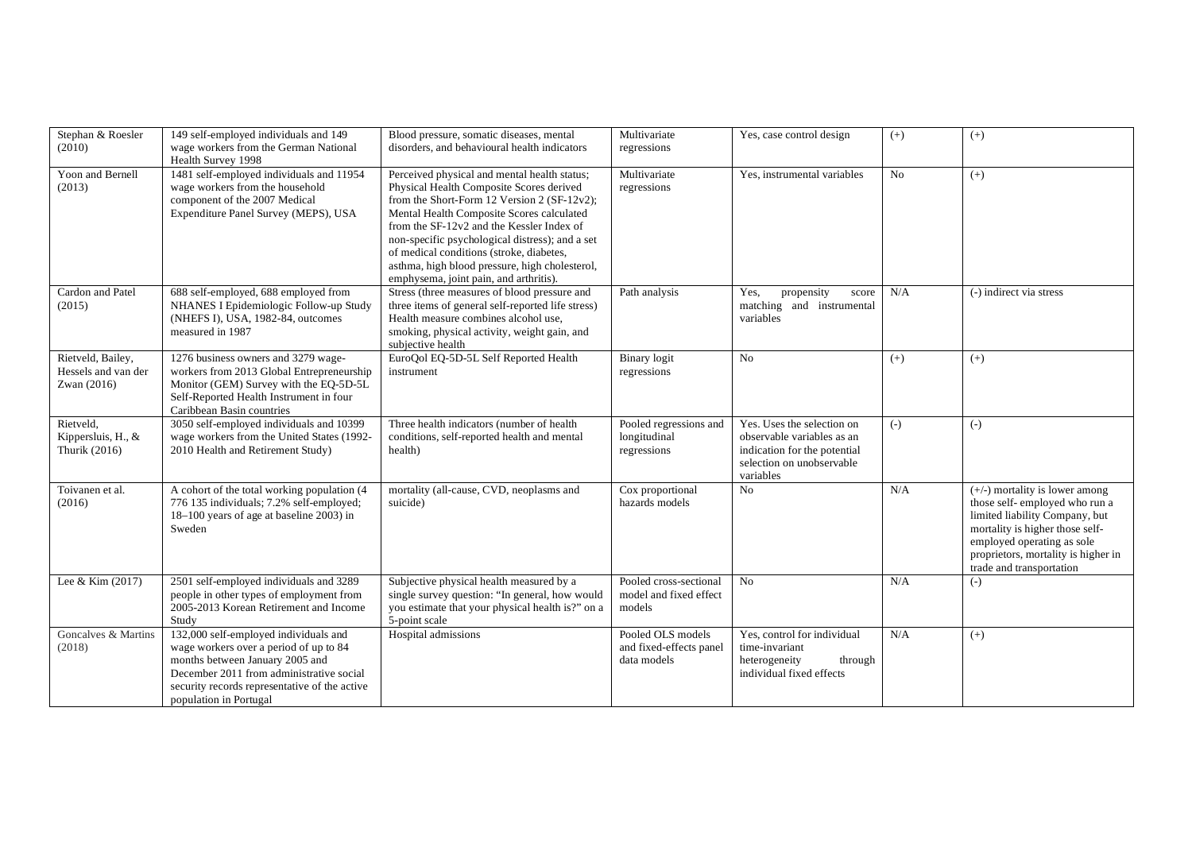| Stephan & Roesler<br>(2010)                             | 149 self-employed individuals and 149<br>wage workers from the German National<br>Health Survey 1998                                                                                                                                      | Blood pressure, somatic diseases, mental<br>disorders, and behavioural health indicators                                                                                                                                                                                                                                                                                                                                     | Multivariate<br>regressions                                                            | Yes, case control design                                                                                                           | $(+)$          | $(+)$                                                                                                                                                                                                                                   |
|---------------------------------------------------------|-------------------------------------------------------------------------------------------------------------------------------------------------------------------------------------------------------------------------------------------|------------------------------------------------------------------------------------------------------------------------------------------------------------------------------------------------------------------------------------------------------------------------------------------------------------------------------------------------------------------------------------------------------------------------------|----------------------------------------------------------------------------------------|------------------------------------------------------------------------------------------------------------------------------------|----------------|-----------------------------------------------------------------------------------------------------------------------------------------------------------------------------------------------------------------------------------------|
| Yoon and Bernell<br>(2013)                              | 1481 self-employed individuals and 11954<br>wage workers from the household<br>component of the 2007 Medical<br>Expenditure Panel Survey (MEPS), USA                                                                                      | Perceived physical and mental health status;<br>Physical Health Composite Scores derived<br>from the Short-Form 12 Version 2 (SF-12v2);<br>Mental Health Composite Scores calculated<br>from the SF-12v2 and the Kessler Index of<br>non-specific psychological distress); and a set<br>of medical conditions (stroke, diabetes,<br>asthma, high blood pressure, high cholesterol,<br>emphysema, joint pain, and arthritis). | Multivariate<br>regressions                                                            | Yes, instrumental variables                                                                                                        | N <sub>o</sub> | $(+)$                                                                                                                                                                                                                                   |
| Cardon and Patel<br>(2015)                              | 688 self-employed, 688 employed from<br>NHANES I Epidemiologic Follow-up Study<br>(NHEFS I), USA, 1982-84, outcomes<br>measured in 1987                                                                                                   | Stress (three measures of blood pressure and<br>three items of general self-reported life stress)<br>Health measure combines alcohol use,<br>smoking, physical activity, weight gain, and<br>subjective health                                                                                                                                                                                                               | Path analysis<br>Yes.<br>propensity<br>score<br>matching and instrumental<br>variables |                                                                                                                                    | N/A            | (-) indirect via stress                                                                                                                                                                                                                 |
| Rietveld, Bailey,<br>Hessels and van der<br>Zwan (2016) | 1276 business owners and 3279 wage-<br>workers from 2013 Global Entrepreneurship<br>Monitor (GEM) Survey with the EQ-5D-5L<br>Self-Reported Health Instrument in four<br>Caribbean Basin countries                                        | EuroQol EQ-5D-5L Self Reported Health<br>instrument                                                                                                                                                                                                                                                                                                                                                                          | Binary logit<br>No<br>regressions                                                      |                                                                                                                                    | $(+)$          | $(+)$                                                                                                                                                                                                                                   |
| Rietveld,<br>Kippersluis, H., &<br>Thurik (2016)        | 3050 self-employed individuals and 10399<br>wage workers from the United States (1992-<br>2010 Health and Retirement Study)                                                                                                               | Three health indicators (number of health<br>conditions, self-reported health and mental<br>health)                                                                                                                                                                                                                                                                                                                          | Pooled regressions and<br>longitudinal<br>regressions                                  | Yes. Uses the selection on<br>observable variables as an<br>indication for the potential<br>selection on unobservable<br>variables | $(-)$          | $(-)$                                                                                                                                                                                                                                   |
| Toivanen et al.<br>(2016)                               | A cohort of the total working population (4<br>776 135 individuals; 7.2% self-employed;<br>18-100 years of age at baseline 2003) in<br>Sweden                                                                                             | mortality (all-cause, CVD, neoplasms and<br>suicide)                                                                                                                                                                                                                                                                                                                                                                         | Cox proportional<br>hazards models                                                     | No                                                                                                                                 | N/A            | $(+/-)$ mortality is lower among<br>those self-employed who run a<br>limited liability Company, but<br>mortality is higher those self-<br>employed operating as sole<br>proprietors, mortality is higher in<br>trade and transportation |
| Lee & Kim (2017)                                        | 2501 self-employed individuals and 3289<br>people in other types of employment from<br>2005-2013 Korean Retirement and Income<br>Study                                                                                                    | Subjective physical health measured by a<br>single survey question: "In general, how would<br>you estimate that your physical health is?" on a<br>5-point scale                                                                                                                                                                                                                                                              | Pooled cross-sectional<br>model and fixed effect<br>models                             | No                                                                                                                                 | N/A            | $(-)$                                                                                                                                                                                                                                   |
| Goncalves & Martins<br>(2018)                           | 132,000 self-employed individuals and<br>wage workers over a period of up to 84<br>months between January 2005 and<br>December 2011 from administrative social<br>security records representative of the active<br>population in Portugal | Hospital admissions                                                                                                                                                                                                                                                                                                                                                                                                          | Pooled OLS models<br>and fixed-effects panel<br>data models                            | Yes, control for individual<br>time-invariant<br>heterogeneity<br>through<br>individual fixed effects                              | N/A            | $(+)$                                                                                                                                                                                                                                   |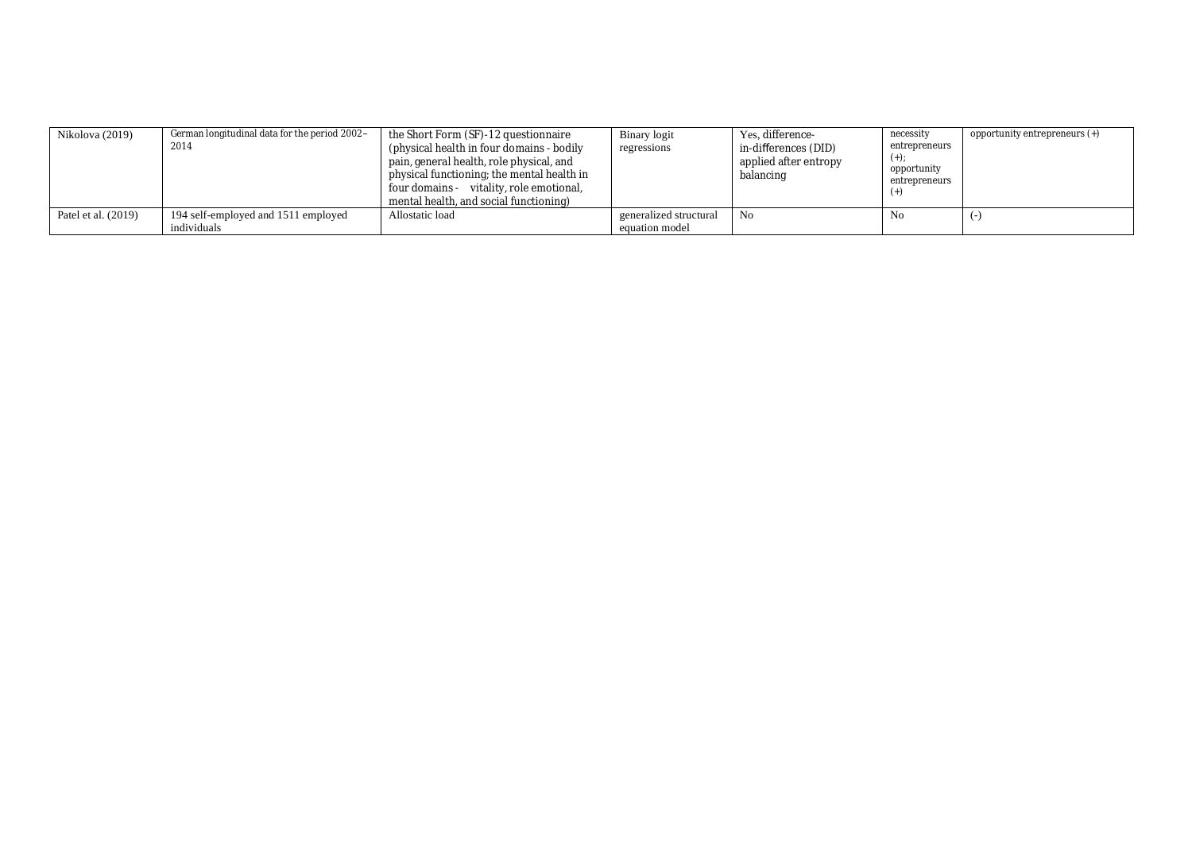| Nikolova (2019)     | German longitudinal data for the period 2002-<br>2014 | the Short Form (SF)-12 questionnaire<br>(physical health in four domains - bodily)<br>pain, general health, role physical, and<br>physical functioning; the mental health in<br>four domains - vitality, role emotional,<br>mental health, and social functioning) | Binary logit<br>regressions | Yes, difference-<br>in-differences (DID)<br>applied after entropy<br>balancing | necessity<br>entrepreneurs<br>$(+)$<br>opportunity<br>entrepreneurs | opportunity entrepreneurs (+) |
|---------------------|-------------------------------------------------------|--------------------------------------------------------------------------------------------------------------------------------------------------------------------------------------------------------------------------------------------------------------------|-----------------------------|--------------------------------------------------------------------------------|---------------------------------------------------------------------|-------------------------------|
| Patel et al. (2019) | 194 self-employed and 1511 employed                   | Allostatic load                                                                                                                                                                                                                                                    | generalized structural      | No                                                                             | No                                                                  |                               |
|                     | individuals                                           |                                                                                                                                                                                                                                                                    | equation model              |                                                                                |                                                                     |                               |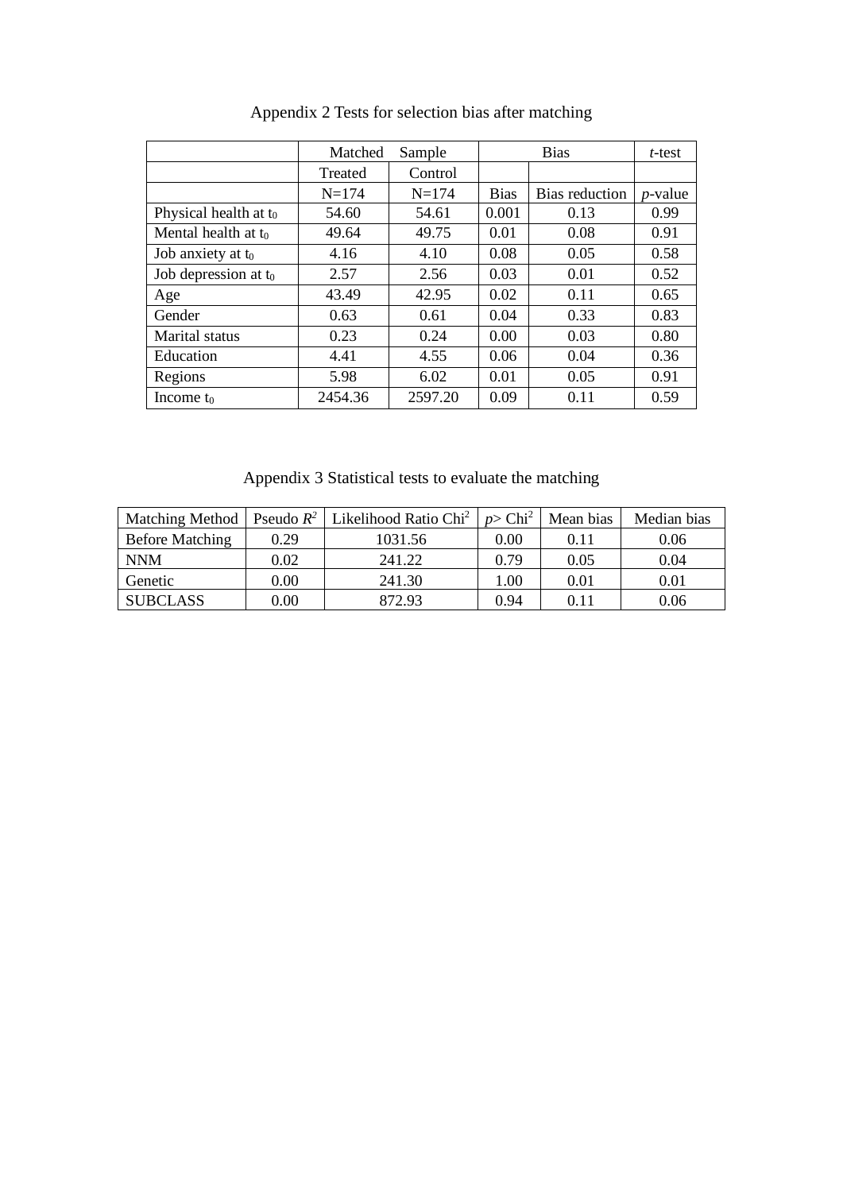|                          | Matched   | Sample    |             | <b>Bias</b>    | $t$ -test  |
|--------------------------|-----------|-----------|-------------|----------------|------------|
|                          | Treated   | Control   |             |                |            |
|                          | $N = 174$ | $N = 174$ | <b>Bias</b> | Bias reduction | $p$ -value |
| Physical health at $t_0$ | 54.60     | 54.61     | 0.001       | 0.13           | 0.99       |
| Mental health at to      | 49.64     | 49.75     | 0.01        | 0.08           | 0.91       |
| Job anxiety at to        | 4.16      | 4.10      | 0.08        | 0.05           | 0.58       |
| Job depression at $t_0$  | 2.57      | 2.56      | 0.03        | 0.01           | 0.52       |
| Age                      | 43.49     | 42.95     | 0.02        | 0.11           | 0.65       |
| Gender                   | 0.63      | 0.61      | 0.04        | 0.33           | 0.83       |
| <b>Marital</b> status    | 0.23      | 0.24      | 0.00        | 0.03           | 0.80       |
| Education                | 4.41      | 4.55      | 0.06        | 0.04           | 0.36       |
| Regions                  | 5.98      | 6.02      | 0.01        | 0.05           | 0.91       |
| Income to                | 2454.36   | 2597.20   | 0.09        | 0.11           | 0.59       |

Appendix 2 Tests for selection bias after matching

Appendix 3 Statistical tests to evaluate the matching

| Matching Method        | Pseudo $R^2$ | Likelihood Ratio Chi <sup>2</sup> | $p$ > Chi <sup>2</sup> | Mean bias | Median bias |
|------------------------|--------------|-----------------------------------|------------------------|-----------|-------------|
| <b>Before Matching</b> | 0.29         | 1031.56                           | $0.00\,$               | 0.11      | 0.06        |
| <b>NNM</b>             | 0.02         | 241.22                            | 0.79                   | 0.05      | 0.04        |
| Genetic                | 0.00         | 241.30                            | .00                    | 0.01      | 0.01        |
| <b>SUBCLASS</b>        | $0.00\,$     | 872.93                            | 0.94                   | 0.11      | 0.06        |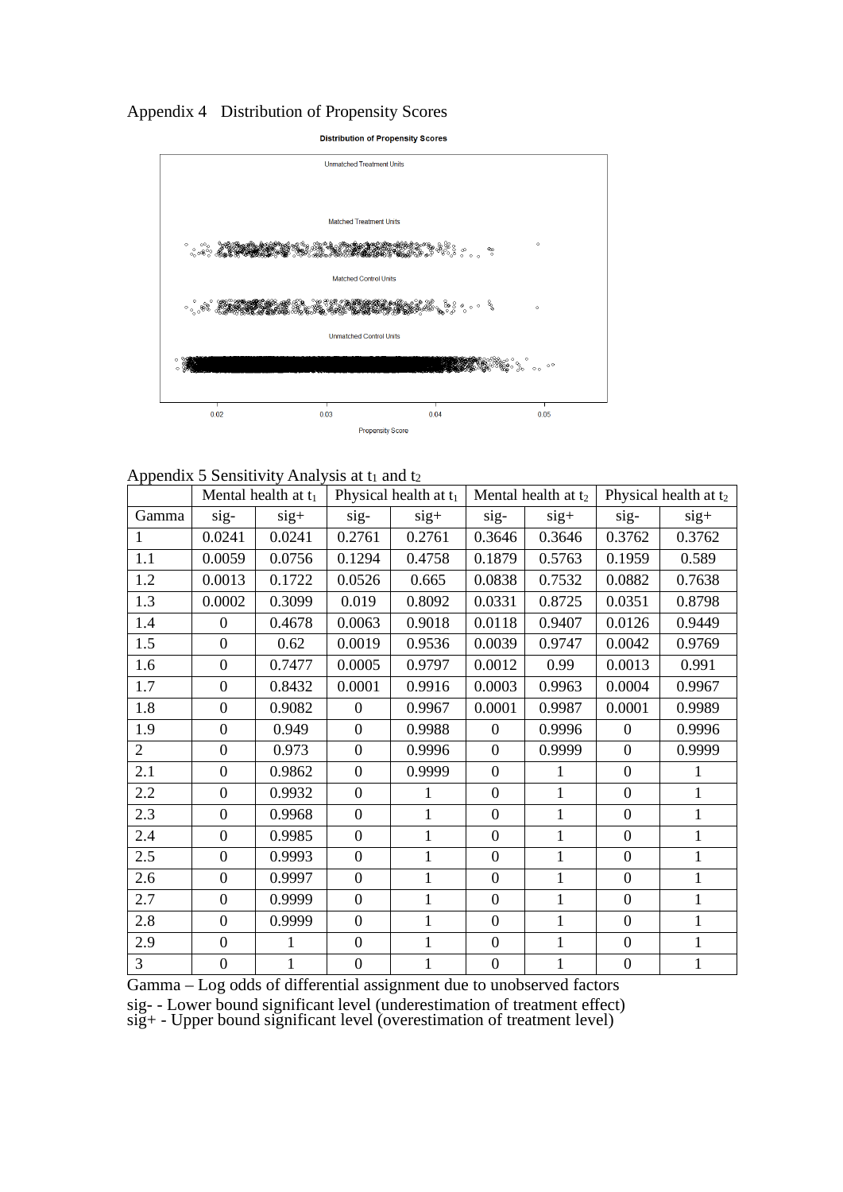# Appendix 4 Distribution of Propensity Scores

**Distribution of Propensity Scores** 



# Appendix 5 Sensitivity Analysis at  $t_1$  and  $t_2$

|                | Mental health at $t_1$ |              | Physical health at $t_1$ |              | Mental health at $t_2$ |              | Physical health at $t_2$ |              |
|----------------|------------------------|--------------|--------------------------|--------------|------------------------|--------------|--------------------------|--------------|
| Gamma          | sig-                   | $sig+$       | sig-                     | $sig+$       | sig-                   | $sig+$       | sig-                     | $sig+$       |
| 1              | 0.0241                 | 0.0241       | 0.2761                   | 0.2761       | 0.3646                 | 0.3646       | 0.3762                   | 0.3762       |
| 1.1            | 0.0059                 | 0.0756       | 0.1294                   | 0.4758       | 0.1879                 | 0.5763       | 0.1959                   | 0.589        |
| 1.2            | 0.0013                 | 0.1722       | 0.0526                   | 0.665        | 0.0838                 | 0.7532       | 0.0882                   | 0.7638       |
| 1.3            | 0.0002                 | 0.3099       | 0.019                    | 0.8092       | 0.0331                 | 0.8725       | 0.0351                   | 0.8798       |
| 1.4            | $\overline{0}$         | 0.4678       | 0.0063                   | 0.9018       | 0.0118                 | 0.9407       | 0.0126                   | 0.9449       |
| 1.5            | $\overline{0}$         | 0.62         | 0.0019                   | 0.9536       | 0.0039                 | 0.9747       | 0.0042                   | 0.9769       |
| 1.6            | $\boldsymbol{0}$       | 0.7477       | 0.0005                   | 0.9797       | 0.0012                 | 0.99         | 0.0013                   | 0.991        |
| 1.7            | $\boldsymbol{0}$       | 0.8432       | 0.0001                   | 0.9916       | 0.0003                 | 0.9963       | 0.0004                   | 0.9967       |
| 1.8            | $\boldsymbol{0}$       | 0.9082       | $\boldsymbol{0}$         | 0.9967       | 0.0001                 | 0.9987       | 0.0001                   | 0.9989       |
| 1.9            | $\boldsymbol{0}$       | 0.949        | $\boldsymbol{0}$         | 0.9988       | $\boldsymbol{0}$       | 0.9996       | $\overline{0}$           | 0.9996       |
| $\overline{2}$ | $\overline{0}$         | 0.973        | $\overline{0}$           | 0.9996       | $\overline{0}$         | 0.9999       | $\overline{0}$           | 0.9999       |
| 2.1            | $\boldsymbol{0}$       | 0.9862       | $\boldsymbol{0}$         | 0.9999       | $\boldsymbol{0}$       | 1            | $\boldsymbol{0}$         | 1            |
| 2.2            | $\overline{0}$         | 0.9932       | $\boldsymbol{0}$         | 1            | $\overline{0}$         | $\mathbf{1}$ | $\overline{0}$           | $\mathbf{1}$ |
| 2.3            | $\overline{0}$         | 0.9968       | $\boldsymbol{0}$         | $\mathbf{1}$ | $\boldsymbol{0}$       | $\mathbf{1}$ | $\overline{0}$           | $\mathbf{1}$ |
| 2.4            | $\boldsymbol{0}$       | 0.9985       | $\boldsymbol{0}$         | $\mathbf{1}$ | $\boldsymbol{0}$       | $\mathbf{1}$ | $\boldsymbol{0}$         | $\mathbf{1}$ |
| 2.5            | $\boldsymbol{0}$       | 0.9993       | $\boldsymbol{0}$         | 1            | $\overline{0}$         | $\mathbf{1}$ | $\boldsymbol{0}$         | 1            |
| 2.6            | $\boldsymbol{0}$       | 0.9997       | $\boldsymbol{0}$         | $\mathbf{1}$ | $\overline{0}$         | $\mathbf{1}$ | $\overline{0}$           | $\mathbf{1}$ |
| 2.7            | $\boldsymbol{0}$       | 0.9999       | $\boldsymbol{0}$         | $\mathbf{1}$ | $\boldsymbol{0}$       | $\mathbf{1}$ | $\boldsymbol{0}$         | $\mathbf{1}$ |
| 2.8            | $\overline{0}$         | 0.9999       | $\boldsymbol{0}$         | $\mathbf{1}$ | $\overline{0}$         | $\mathbf{1}$ | $\boldsymbol{0}$         | $\mathbf{1}$ |
| 2.9            | $\boldsymbol{0}$       | 1            | $\overline{0}$           | $\mathbf{1}$ | $\overline{0}$         | $\mathbf{1}$ | $\boldsymbol{0}$         | 1            |
| 3              | $\boldsymbol{0}$       | $\mathbf{1}$ | $\boldsymbol{0}$         | 1            | $\overline{0}$         | 1            | $\boldsymbol{0}$         | $\mathbf{1}$ |

Gamma – Log odds of differential assignment due to unobserved factors

sig- - Lower bound significant level (underestimation of treatment effect)

sig+ - Upper bound significant level (overestimation of treatment level)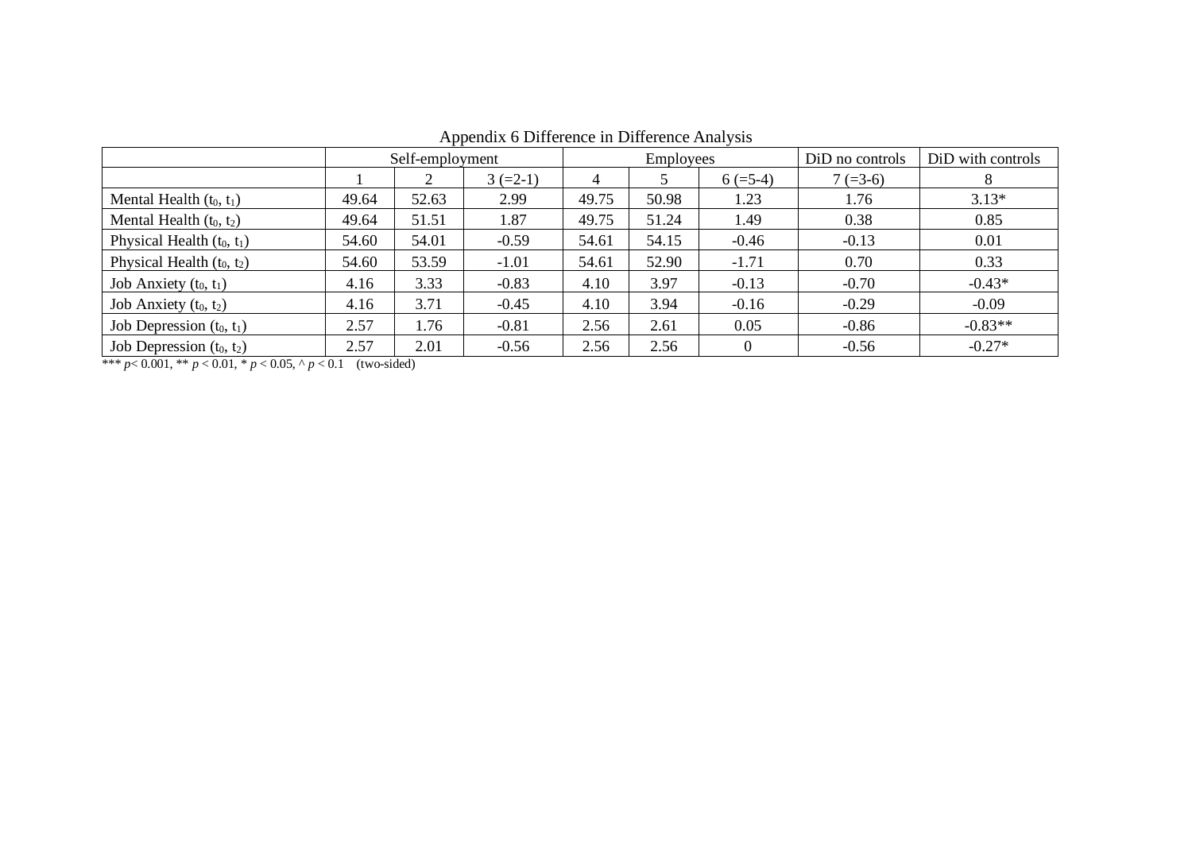|                              | Self-employment |       |            | <b>Employees</b> |       |            | DiD no controls | DiD with controls |
|------------------------------|-----------------|-------|------------|------------------|-------|------------|-----------------|-------------------|
|                              |                 |       | $3 (=2-1)$ | $\overline{4}$   |       | $6 (=5-4)$ | $7 (=3-6)$      | 8                 |
| Mental Health $(t_0, t_1)$   | 49.64           | 52.63 | 2.99       | 49.75            | 50.98 | 1.23       | 1.76            | $3.13*$           |
| Mental Health $(t_0, t_2)$   | 49.64           | 51.51 | 1.87       | 49.75            | 51.24 | 1.49       | 0.38            | 0.85              |
| Physical Health $(t_0, t_1)$ | 54.60           | 54.01 | $-0.59$    | 54.61            | 54.15 | $-0.46$    | $-0.13$         | 0.01              |
| Physical Health $(t_0, t_2)$ | 54.60           | 53.59 | $-1.01$    | 54.61            | 52.90 | $-1.71$    | 0.70            | 0.33              |
| Job Anxiety $(t_0, t_1)$     | 4.16            | 3.33  | $-0.83$    | 4.10             | 3.97  | $-0.13$    | $-0.70$         | $-0.43*$          |
| Job Anxiety $(t_0, t_2)$     | 4.16            | 3.71  | $-0.45$    | 4.10             | 3.94  | $-0.16$    | $-0.29$         | $-0.09$           |
| Job Depression $(t_0, t_1)$  | 2.57            | 1.76  | $-0.81$    | 2.56             | 2.61  | 0.05       | $-0.86$         | $-0.83**$         |
| Job Depression $(t_0, t_2)$  | 2.57            | 2.01  | $-0.56$    | 2.56             | 2.56  | $\Omega$   | $-0.56$         | $-0.27*$          |

Appendix 6 Difference in Difference Analysis

\*\*\*  $p < 0.001$ , \*\*  $p < 0.01$ , \*  $p < 0.05$ , ^  $p < 0.1$  (two-sided)